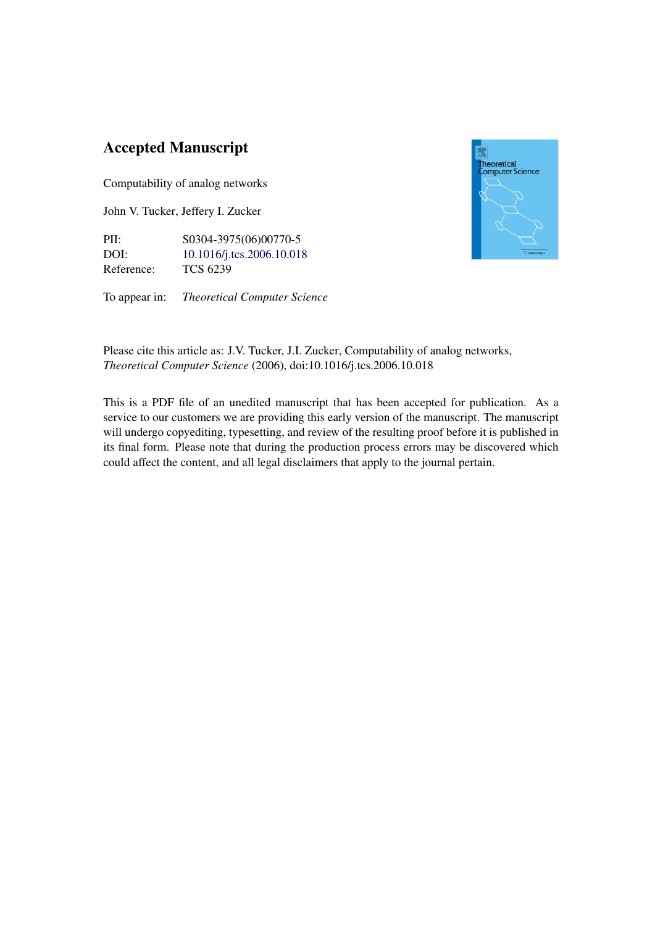## Accepted Manuscript

Computability of analog networks

John V. Tucker, Jeffery I. Zucker

PII: S0304-3975(06)00770-5 DOI: [10.1016/j.tcs.2006.10.018](http://dx.doi.org/10.1016/j.tcs.2006.10.018) Reference: TCS 6239

To appear in: *Theoretical Computer Science*



Please cite this article as: J.V. Tucker, J.I. Zucker, Computability of analog networks, *Theoretical Computer Science* (2006), doi:10.1016/j.tcs.2006.10.018

This is a PDF file of an unedited manuscript that has been accepted for publication. As a service to our customers we are providing this early version of the manuscript. The manuscript will undergo copyediting, typesetting, and review of the resulting proof before it is published in its final form. Please note that during the production process errors may be discovered which could affect the content, and all legal disclaimers that apply to the journal pertain.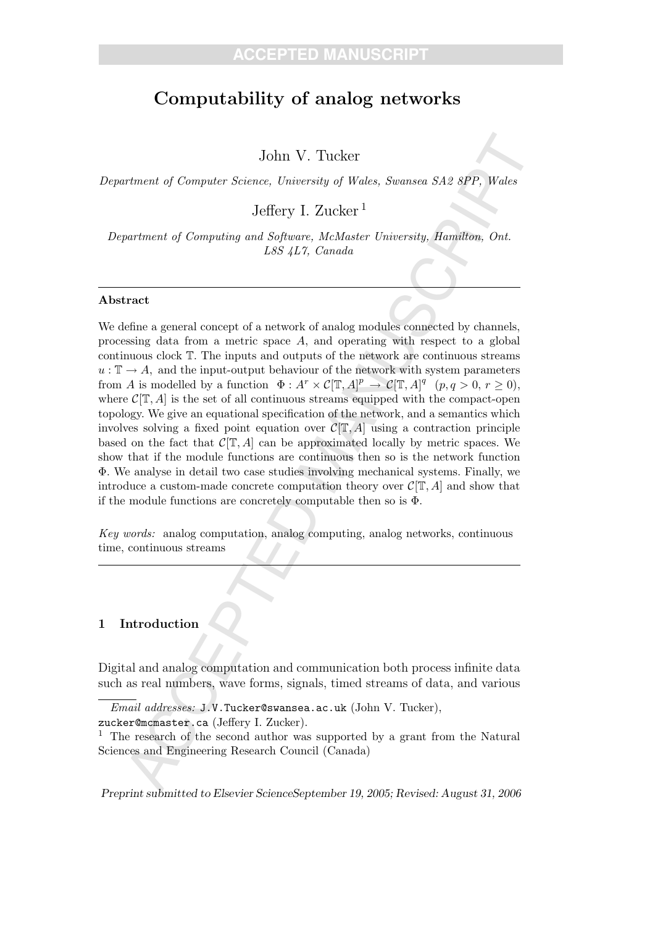# Computability of analog networks

John V. Tucker

Department of Computer Science, University of Wales, Swansea SA2 8PP, Wales

Jeffery I. Zucker<sup>1</sup>

Department of Computing and Software, McMaster University, Hamilton, Ont. L8S 4L7, Canada

#### Abstract

John V. Tucker<br>
Monter Science, University of Wales, Swansea SA2 8PP, Waks<br>
Jeffery 1. Zucker<sup>1</sup><br>
pertment of Computing and Solvance, McMaster University, Bangaton, Ont.<br>
Less 4T7, Canade<br>
Less 4T7, Canade<br>
Less 4T7, Cana We define a general concept of a network of analog modules connected by channels, processing data from a metric space  $A$ , and operating with respect to a global continuous clock T. The inputs and outputs of the network are continuous streams  $u : \mathbb{T} \to A$ , and the input-output behaviour of the network with system parameters from A is modelled by a function  $\Phi: A^r \times C(\mathbb{T}, A]^p \to C(\mathbb{T}, A)^q$   $(p, q > 0, r \ge 0)$ , where  $\mathcal{C}[\mathbb{T}, A]$  is the set of all continuous streams equipped with the compact-open topology. We give an equational specification of the network, and a semantics which involves solving a fixed point equation over  $\mathcal{C}[\mathbb{T}, A]$  using a contraction principle based on the fact that  $\mathcal{C}[\mathbb{T}, A]$  can be approximated locally by metric spaces. We show that if the module functions are continuous then so is the network function Φ. We analyse in detail two case studies involving mechanical systems. Finally, we introduce a custom-made concrete computation theory over  $\mathcal{C}[\mathbb{T}, A]$  and show that if the module functions are concretely computable then so is  $\Phi$ .

Key words: analog computation, analog computing, analog networks, continuous time, continuous streams

#### 1 Introduction

Digital and analog computation and communication both process infinite data such as real numbers, wave forms, signals, timed streams of data, and various

Preprint submitted to Elsevier ScienceSeptember 19, 2005; Revised: August 31, 2006

 $\overline{Email}$  addresses: J.V.Tucker@swansea.ac.uk (John V. Tucker), zucker@mcmaster.ca (Jeffery I. Zucker).

<sup>&</sup>lt;sup>1</sup> The research of the second author was supported by a grant from the Natural Sciences and Engineering Research Council (Canada)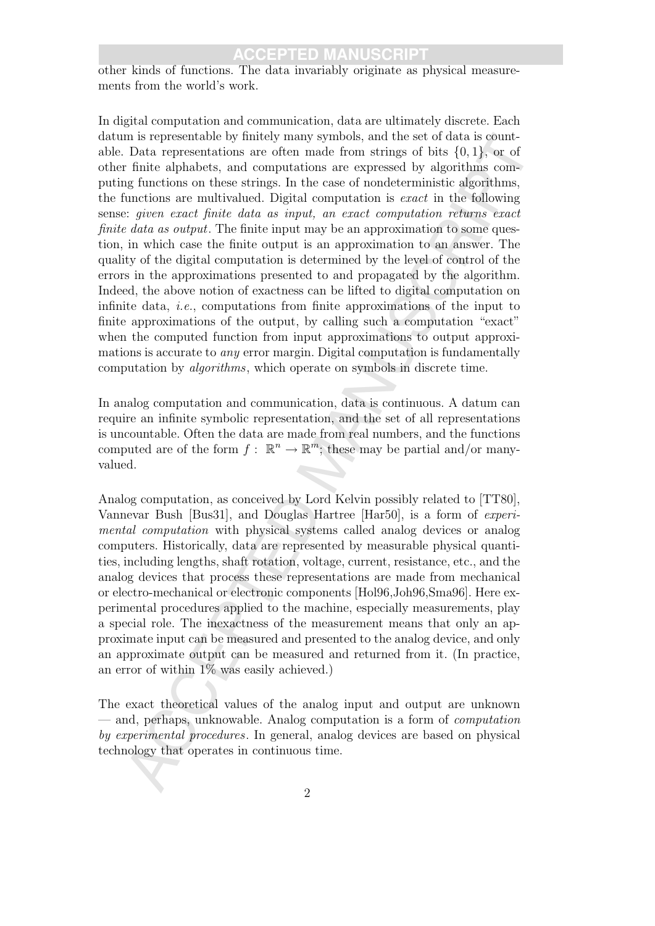other kinds of functions. The data invariably originate as physical measurements from the world's work.

m is representation by thirdly many symbols, and the set of data is gonnit-<br>To be the presentations are often made from strings of bits (6), tl<sub>y</sub> or of<br>Finite alphabus, and computations are expressed by algorithms,<br>origi In digital computation and communication, data are ultimately discrete. Each datum is representable by finitely many symbols, and the set of data is countable. Data representations are often made from strings of bits  $\{0, 1\}$ , or of other finite alphabets, and computations are expressed by algorithms computing functions on these strings. In the case of nondeterministic algorithms, the functions are multivalued. Digital computation is exact in the following sense: given exact finite data as input, an exact computation returns exact finite data as output. The finite input may be an approximation to some question, in which case the finite output is an approximation to an answer. The quality of the digital computation is determined by the level of control of the errors in the approximations presented to and propagated by the algorithm. Indeed, the above notion of exactness can be lifted to digital computation on infinite data, i.e., computations from finite approximations of the input to finite approximations of the output, by calling such a computation "exact" when the computed function from input approximations to output approximations is accurate to *any* error margin. Digital computation is fundamentally computation by algorithms, which operate on symbols in discrete time.

In analog computation and communication, data is continuous. A datum can require an infinite symbolic representation, and the set of all representations is uncountable. Often the data are made from real numbers, and the functions computed are of the form  $f: \mathbb{R}^n \to \mathbb{R}^m$ ; these may be partial and/or manyvalued.

Analog computation, as conceived by Lord Kelvin possibly related to [TT80], Vannevar Bush [Bus31], and Douglas Hartree [Har50], is a form of experimental computation with physical systems called analog devices or analog computers. Historically, data are represented by measurable physical quantities, including lengths, shaft rotation, voltage, current, resistance, etc., and the analog devices that process these representations are made from mechanical or electro-mechanical or electronic components [Hol96,Joh96,Sma96]. Here experimental procedures applied to the machine, especially measurements, play a special role. The inexactness of the measurement means that only an approximate input can be measured and presented to the analog device, and only an approximate output can be measured and returned from it. (In practice, an error of within  $1\%$  was easily achieved.)

The exact theoretical values of the analog input and output are unknown — and, perhaps, unknowable. Analog computation is a form of computation by experimental procedures. In general, analog devices are based on physical technology that operates in continuous time.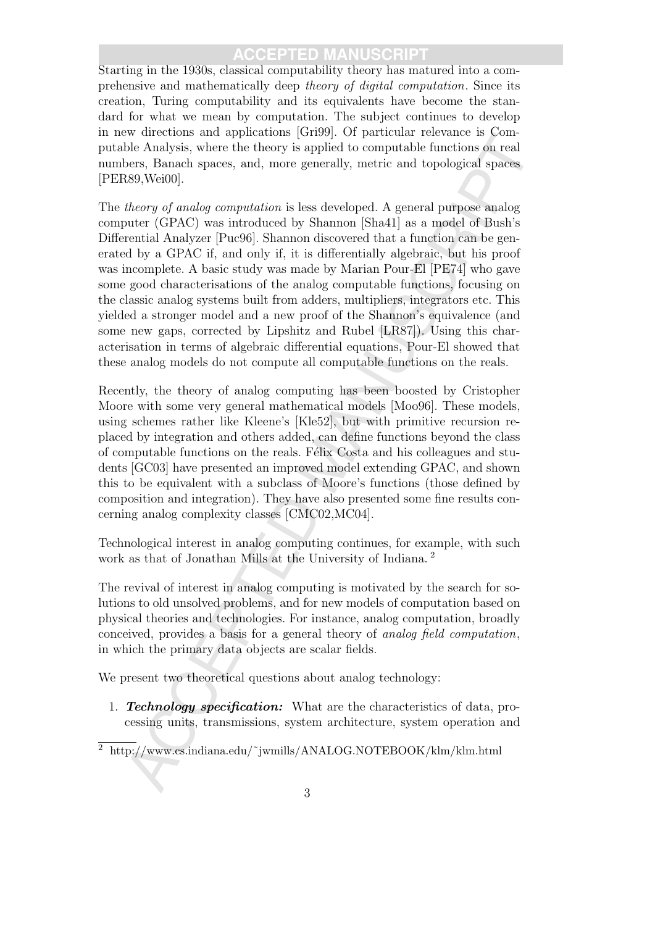Starting in the 1930s, classical computability theory has matured into a comprehensive and mathematically deep theory of digital computation. Since its creation, Turing computability and its equivalents have become the standard for what we mean by computation. The subject continues to develop in new directions and applications [Gri99]. Of particular relevance is Computable Analysis, where the theory is applied to computable functions on real numbers, Banach spaces, and, more generally, metric and topological spaces [PER89,Wei00].

w unctuons and applications [criate] to particlear regional and paperions in a paperion of the here is the heavy is applied to computable functions on real and spaces. Banach spaces, and, more generally, metric and topolo The theory of analog computation is less developed. A general purpose analog computer (GPAC) was introduced by Shannon [Sha41] as a model of Bush's Differential Analyzer [Puc96]. Shannon discovered that a function can be generated by a GPAC if, and only if, it is differentially algebraic, but his proof was incomplete. A basic study was made by Marian Pour-El [PE74] who gave some good characterisations of the analog computable functions, focusing on the classic analog systems built from adders, multipliers, integrators etc. This yielded a stronger model and a new proof of the Shannon's equivalence (and some new gaps, corrected by Lipshitz and Rubel [LR87]). Using this characterisation in terms of algebraic differential equations, Pour-El showed that these analog models do not compute all computable functions on the reals.

Recently, the theory of analog computing has been boosted by Cristopher Moore with some very general mathematical models [Moo96]. These models, using schemes rather like Kleene's [Kle52], but with primitive recursion replaced by integration and others added, can define functions beyond the class of computable functions on the reals. Félix Costa and his colleagues and students [GC03] have presented an improved model extending GPAC, and shown this to be equivalent with a subclass of Moore's functions (those defined by composition and integration). They have also presented some fine results concerning analog complexity classes [CMC02,MC04].

Technological interest in analog computing continues, for example, with such work as that of Jonathan Mills at the University of Indiana.<sup>2</sup>

The revival of interest in analog computing is motivated by the search for solutions to old unsolved problems, and for new models of computation based on physical theories and technologies. For instance, analog computation, broadly conceived, provides a basis for a general theory of analog field computation, in which the primary data objects are scalar fields.

We present two theoretical questions about analog technology:

1. **Technology specification:** What are the characteristics of data, processing units, transmissions, system architecture, system operation and

<sup>2</sup> http://www.cs.indiana.edu/˜jwmills/ANALOG.NOTEBOOK/klm/klm.html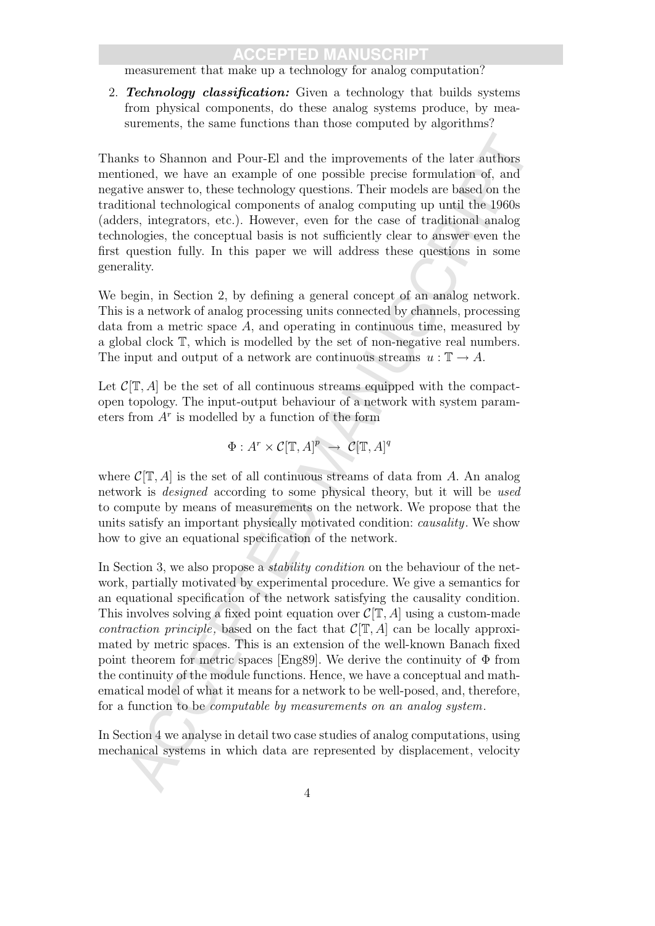measurement that make up a technology for analog computation?

2. **Technology classification:** Given a technology that builds systems from physical components, do these analog systems produce, by measurements, the same functions than those computed by algorithms?

Thanks to Shannon and Pour-El and the improvements of the later authors mentioned, we have an example of one possible precise formulation of, and negative answer to, these technology questions. Their models are based on the traditional technological components of analog computing up until the 1960s (adders, integrators, etc.). However, even for the case of traditional analog technologies, the conceptual basis is not sufficiently clear to answer even the first question fully. In this paper we will address these questions in some generality.

We begin, in Section 2, by defining a general concept of an analog network. This is a network of analog processing units connected by channels, processing data from a metric space  $A$ , and operating in continuous time, measured by a global clock T, which is modelled by the set of non-negative real numbers. The input and output of a network are continuous streams  $u : \mathbb{T} \to A$ .

Let  $\mathcal{C}[\mathbb{T}, A]$  be the set of all continuous streams equipped with the compactopen topology. The input-output behaviour of a network with system parameters from  $A<sup>r</sup>$  is modelled by a function of the form

$$
\Phi: A^r \times \mathcal{C}[\mathbb{T}, A]^p \to \mathcal{C}[\mathbb{T}, A]^q
$$

where  $\mathcal{C}[\mathbb{T}, A]$  is the set of all continuous streams of data from A. An analog network is designed according to some physical theory, but it will be used to compute by means of measurements on the network. We propose that the units satisfy an important physically motivated condition: causality. We show how to give an equational specification of the network.

is to Shomuon and Pour-FJ and the improvements of the later authors<br>ioned, we have an example of one possible precise formulation of, and<br>the masser to, these technology questions. Their models are based on the<br>bivanisce In Section 3, we also propose a *stability condition* on the behaviour of the network, partially motivated by experimental procedure. We give a semantics for an equational specification of the network satisfying the causality condition. This involves solving a fixed point equation over  $\mathcal{C}[\mathbb{T}, A]$  using a custom-made contraction principle, based on the fact that  $\mathcal{C}[\mathbb{T}, A]$  can be locally approximated by metric spaces. This is an extension of the well-known Banach fixed point theorem for metric spaces [Eng89]. We derive the continuity of  $\Phi$  from the continuity of the module functions. Hence, we have a conceptual and mathematical model of what it means for a network to be well-posed, and, therefore, for a function to be computable by measurements on an analog system.

In Section 4 we analyse in detail two case studies of analog computations, using mechanical systems in which data are represented by displacement, velocity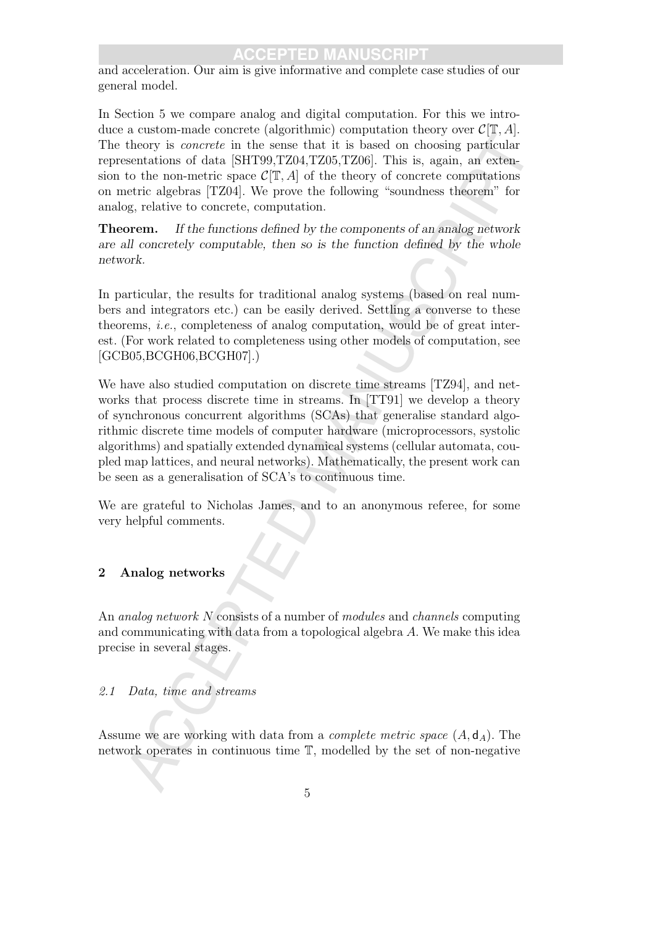and acceleration. Our aim is give informative and complete case studies of our general model.

In Section 5 we compare analog and digital computation. For this we introduce a custom-made concrete (algorithmic) computation theory over  $\mathcal{C}[\mathbb{T}, A]$ . The theory is concrete in the sense that it is based on choosing particular representations of data [SHT99,TZ04,TZ05,TZ06]. This is, again, an extension to the non-metric space  $\mathcal{C}[\mathbb{T}, A]$  of the theory of concrete computations on metric algebras [TZ04]. We prove the following "soundness theorem" for analog, relative to concrete, computation.

Theorem. If the functions defined by the components of an analog network are all concretely computable, then so is the function defined by the whole network.

In particular, the results for traditional analog systems (based on real numbers and integrators etc.) can be easily derived. Settling a converse to these theorems, i.e., completeness of analog computation, would be of great interest. (For work related to completeness using other models of computation, see [GCB05,BCGH06,BCGH07].)

theory is *concrete* in the sense that it is hosed on choosing particular<br>theory is *concrete* in the sense that it is hosed on choosing particular<br>sentations of data [SHT09, 7205, 7206, 7206, 7206, 71hs is, again, an exc We have also studied computation on discrete time streams [TZ94], and networks that process discrete time in streams. In [TT91] we develop a theory of synchronous concurrent algorithms (SCAs) that generalise standard algorithmic discrete time models of computer hardware (microprocessors, systolic algorithms) and spatially extended dynamical systems (cellular automata, coupled map lattices, and neural networks). Mathematically, the present work can be seen as a generalisation of SCA's to continuous time.

We are grateful to Nicholas James, and to an anonymous referee, for some very helpful comments.

### 2 Analog networks

An *analog network* N consists of a number of *modules* and *channels* computing and communicating with data from a topological algebra A. We make this idea precise in several stages.

### 2.1 Data, time and streams

Assume we are working with data from a *complete metric space*  $(A, d_A)$ . The network operates in continuous time T, modelled by the set of non-negative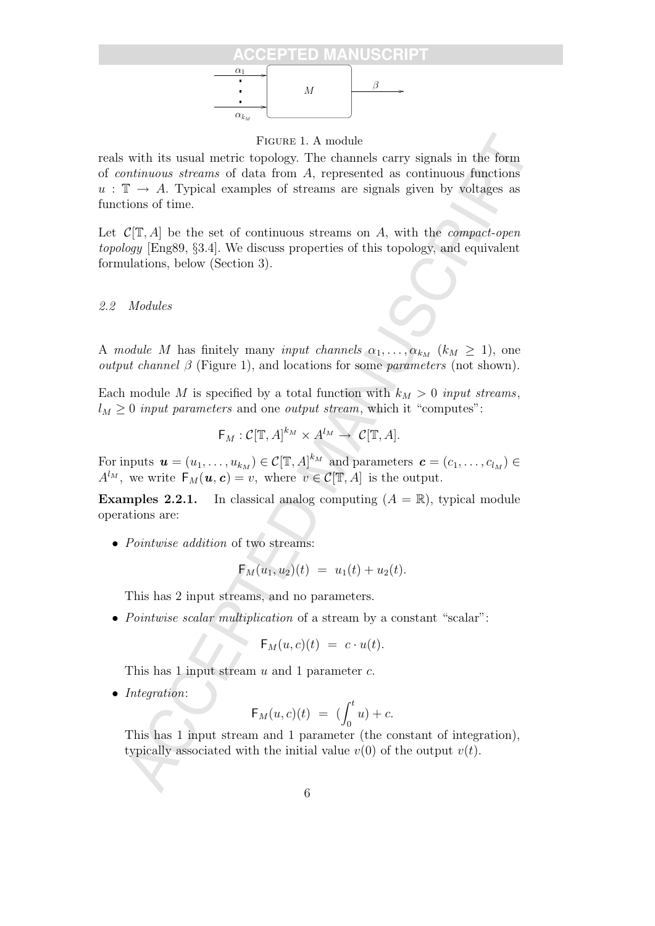

Figure 1. A module

with its usual metric term 1.4 models<br>
with its usual metric topology. The channels carry signals in the form<br>
mationons aframas of data from A, represented as continuous functions<br>  $\mathcal{C}(T,A)$  be the set of continuous st reals with its usual metric topology. The channels carry signals in the form of continuous streams of data from A, represented as continuous functions  $u : \mathbb{T} \to A$ . Typical examples of streams are signals given by voltages as functions of time.

Let  $\mathcal{C}[\mathbb{T}, A]$  be the set of continuous streams on A, with the *compact-open* topology [Eng89, §3.4]. We discuss properties of this topology, and equivalent formulations, below (Section 3).

#### 2.2 Modules

A module M has finitely many input channels  $\alpha_1, \ldots, \alpha_{k_M}$   $(k_M \geq 1)$ , one *output channel*  $\beta$  (Figure 1), and locations for some *parameters* (not shown).

Each module M is specified by a total function with  $k_M > 0$  input streams,  $l_M \geq 0$  input parameters and one output stream, which it "computes":

$$
\mathsf{F}_M:\mathcal{C}[\mathbb{T},A]^{k_M}\times A^{l_M}\to \mathcal{C}[\mathbb{T},A].
$$

For inputs  $\mathbf{u} = (u_1, \dots, u_{k_M}) \in \mathcal{C}[\mathbb{T}, A]^{k_M}$  and parameters  $\mathbf{c} = (c_1, \dots, c_{l_M}) \in$  $A^{l_M}$ , we write  $F_M(\boldsymbol{u}, \boldsymbol{c}) = v$ , where  $v \in \mathcal{C}[\mathbb{T}, A]$  is the output.

**Examples 2.2.1.** In classical analog computing  $(A = \mathbb{R})$ , typical module operations are:

• *Pointwise addition* of two streams:

$$
\mathsf{F}_M(u_1, u_2)(t) = u_1(t) + u_2(t).
$$

This has 2 input streams, and no parameters.

• Pointwise scalar multiplication of a stream by a constant "scalar":

$$
\mathsf{F}_M(u,c)(t) = c \cdot u(t).
$$

This has 1 input stream  $u$  and 1 parameter  $c$ .

• Integration:

$$
\mathsf{F}_M(u,c)(t) = (\int_0^t u) + c.
$$

This has 1 input stream and 1 parameter (the constant of integration), typically associated with the initial value  $v(0)$  of the output  $v(t)$ .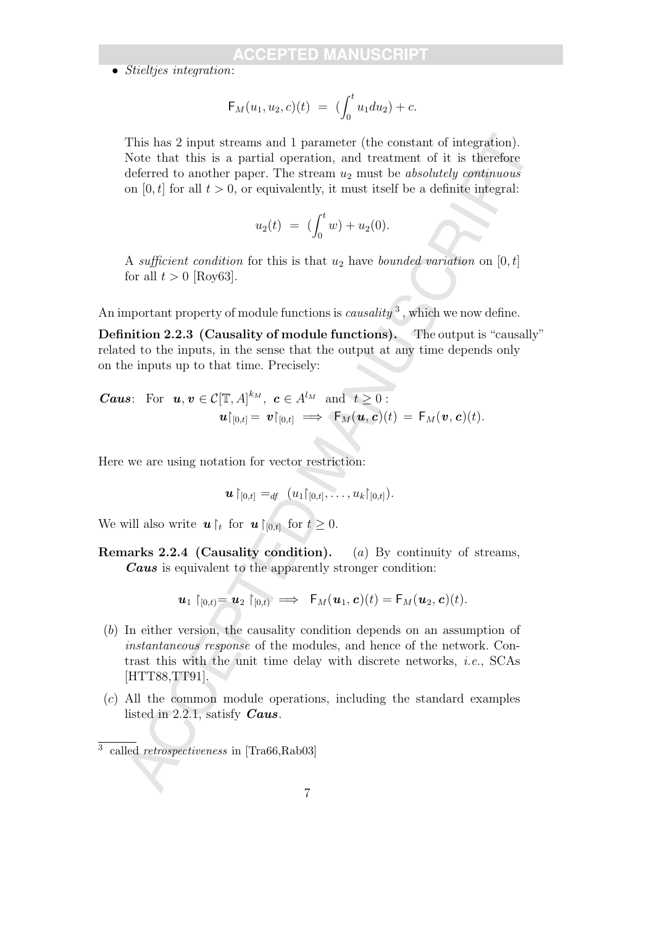$\bullet$  Stielties integration:

$$
\mathsf{F}_M(u_1, u_2, c)(t) = \left( \int_0^t u_1 du_2 \right) + c.
$$

This has 2 input streams and 1 parameter (the constant of integration). Note that this is a partial operation, and treatment of it is therefore deferred to another paper. The stream  $u_2$  must be *absolutely continuous* on  $[0, t]$  for all  $t > 0$ , or equivalently, it must itself be a definite integral:

$$
u_2(t) = (\int_0^t w) + u_2(0).
$$

A sufficient condition for this is that  $u_2$  have bounded variation on [0, t] for all  $t > 0$  [Roy63].

An important property of module functions is *causality*<sup>3</sup>, which we now define.

Definition 2.2.3 (Causality of module functions). The output is "causally" related to the inputs, in the sense that the output at any time depends only on the inputs up to that time. Precisely:

**Caus:** For 
$$
\mathbf{u}, \mathbf{v} \in C[\mathbb{T}, A]^{k_M}
$$
,  $\mathbf{c} \in A^{l_M}$  and  $t \geq 0$ :  
 $\mathbf{u}|_{[0,t]} = \mathbf{v}|_{[0,t]} \implies \mathsf{F}_M(\mathbf{u}, \mathbf{c})(t) = \mathsf{F}_M(\mathbf{v}, \mathbf{c})(t)$ .

Here we are using notation for vector restriction:

$$
\boldsymbol{u}\restriction_{[0,t]} =_{df} (u_1\restriction_{[0,t]},\ldots,u_k\restriction_{[0,t]}).
$$

We will also write  $u \rvert_t$  for  $u \rvert_{[0,t]}$  for  $t \geq 0$ .

Remarks 2.2.4 (Causality condition). (a) By continuity of streams, Caus is equivalent to the apparently stronger condition:

$$
\boldsymbol{u}_1\restriction_{[0,t]}=\boldsymbol{u}_2\restriction_{[0,t)}\implies \ \mathsf{F}_M(\boldsymbol{u}_1,\boldsymbol{c})(t)=\mathsf{F}_M(\boldsymbol{u}_2,\boldsymbol{c})(t).
$$

- This has 2 imput streams and 1 parameter (the constant of integration).<br>
Note that this is a partial operation, and treatment of it is therefore<br>
deferred to another paper. The stream  $u_2$  must be *absolutely emtianous*<br> (b) In either version, the causality condition depends on an assumption of instantaneous response of the modules, and hence of the network. Contrast this with the unit time delay with discrete networks, i.e., SCAs [HTT88,TT91].
- (c) All the common module operations, including the standard examples listed in 2.2.1, satisfy **Caus**.

<sup>3</sup> called retrospectiveness in [Tra66,Rab03]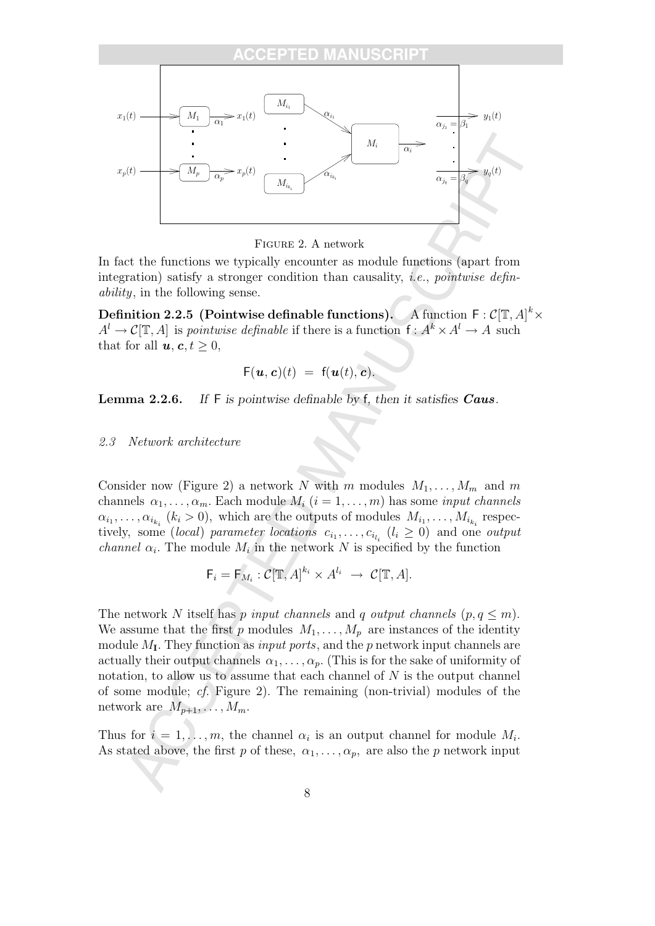

Figure 2. A network

In fact the functions we typically encounter as module functions (apart from integration) satisfy a stronger condition than causality, *i.e.*, *pointwise defin*ability, in the following sense.

Definition 2.2.5 (Pointwise definable functions). A function  $F: \mathcal{C}[\mathbb{T}, A]^k \times$  $A^l \to \mathcal{C}[\mathbb{T}, A]$  is *pointwise definable* if there is a function  $f: A^k \times A^l \to A$  such that for all  $u, c, t > 0$ ,

$$
\mathsf{F}(\boldsymbol{u},\boldsymbol{c})(t) = \mathsf{f}(\boldsymbol{u}(t),\boldsymbol{c}).
$$

Lemma 2.2.6. If F is pointwise definable by f, then it satisfies Caus.

#### 2.3 Network architecture

Consider now (Figure 2) a network N with m modules  $M_1, \ldots, M_m$  and m channels  $\alpha_1, \ldots, \alpha_m$ . Each module  $M_i$   $(i = 1, \ldots, m)$  has some *input channels*  $\alpha_{i_1}, \ldots, \alpha_{i_{k_i}}$  ( $k_i > 0$ ), which are the outputs of modules  $M_{i_1}, \ldots, M_{i_{k_i}}$  respectively, some *(local)* parameter locations  $c_{i_1}, \ldots, c_{i_{l_i}}$   $(l_i \geq 0)$  and one *output channel*  $\alpha_i$ . The module  $M_i$  in the network N is specified by the function

$$
\mathsf{F}_i = \mathsf{F}_{M_i} : \mathcal{C}[\mathbb{T}, A]^{k_i} \times A^{l_i} \rightarrow \mathcal{C}[\mathbb{T}, A].
$$

The network N itself has p input channels and q output channels  $(p, q \leq m)$ . We assume that the first p modules  $M_1, \ldots, M_p$  are instances of the identity module  $M_I$ . They function as *input ports*, and the p network input channels are actually their output channels  $\alpha_1, \ldots, \alpha_p$ . (This is for the sake of uniformity of notation, to allow us to assume that each channel of  $N$  is the output channel of some module; cf. Figure 2). The remaining (non-trivial) modules of the network are  $M_{p+1}, \ldots, M_m$ .

Thus for  $i = 1, \ldots, m$ , the channel  $\alpha_i$  is an output channel for module  $M_i$ . As stated above, the first p of these,  $\alpha_1, \ldots, \alpha_p$ , are also the p network input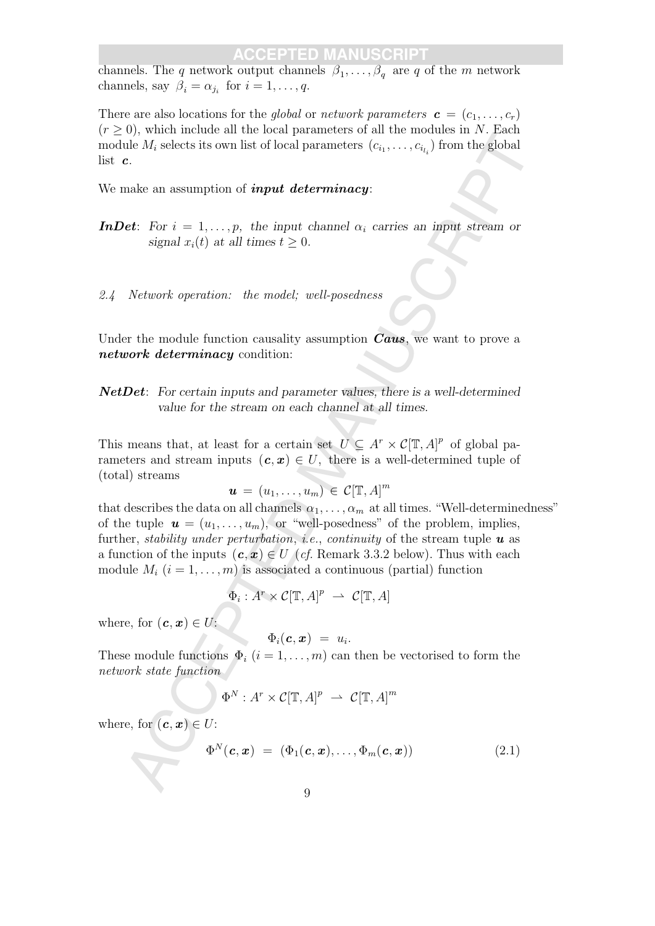channels. The q network output channels  $\beta_1, \ldots, \beta_q$  are q of the m network channels, say  $\beta_i = \alpha_{j_i}$  for  $i = 1, \ldots, q$ .

There are also locations for the global or network parameters  $\mathbf{c} = (c_1, \ldots, c_r)$  $(r > 0)$ , which include all the local parameters of all the modules in N. Each module  $M_i$  selects its own list of local parameters  $(c_{i_1}, \ldots, c_{i_{l_i}})$  from the global list c.

We make an assumption of *input determinacy*:

**InDet:** For  $i = 1, \ldots, p$ , the input channel  $\alpha_i$  carries an input stream or signal  $x_i(t)$  at all times  $t \geq 0$ .

2.4 Network operation: the model; well-posedness

Under the module function causality assumption  $Caus$ , we want to prove a network determinacy condition:

NetDet: For certain inputs and parameter values, there is a well-determined value for the stream on each channel at all times.

This means that, at least for a certain set  $U \subseteq A^r \times C[\mathbb{T}, A]^p$  of global parameters and stream inputs  $(c, x) \in U$ , there is a well-determined tuple of (total) streams

$$
\boldsymbol{u} \,=\, (u_1,\ldots,u_m) \,\in\, \mathcal{C}[\mathbb{T},A]^m
$$

by some manner on the of the plane<br>resources in own list of boral parameters  $(c_1, \ldots, c_{c_k})$  from the global<br>c.<br>the  $M_i$  selects its own list of boral parameters  $(c_1, \ldots, c_{c_k})$  from the global<br>c.<br>**EFCEPTED MANUSCRIPT** (that describes the data on all channels  $\alpha_1, \ldots, \alpha_m$  at all times. "Well-determinedness" of the tuple  $u = (u_1, \ldots, u_m)$ , or "well-posedness" of the problem, implies, further, *stability under perturbation*, *i.e.*, *continuity* of the stream tuple  $\boldsymbol{u}$  as a function of the inputs  $(c, x) \in U$  (cf. Remark 3.3.2 below). Thus with each module  $M_i$   $(i = 1, \ldots, m)$  is associated a continuous (partial) function

$$
\Phi_i: A^r \times \mathcal{C}[\mathbb{T}, A]^p \ \rightharpoonup \ \mathcal{C}[\mathbb{T}, A]
$$

where, for  $(c, x) \in U$ :

$$
\Phi_i(\boldsymbol{c}, \boldsymbol{x}) = u_i.
$$

These module functions  $\Phi_i$   $(i = 1, \ldots, m)$  can then be vectorised to form the network state function

$$
\Phi^N: A^r \times \mathcal{C}[\mathbb{T}, A]^p \ \rightharpoonup \ \mathcal{C}[\mathbb{T}, A]^m
$$

where, for  $(c, x) \in U$ :

$$
\Phi^N(\boldsymbol{c}, \boldsymbol{x}) = (\Phi_1(\boldsymbol{c}, \boldsymbol{x}), \ldots, \Phi_m(\boldsymbol{c}, \boldsymbol{x})) \qquad (2.1)
$$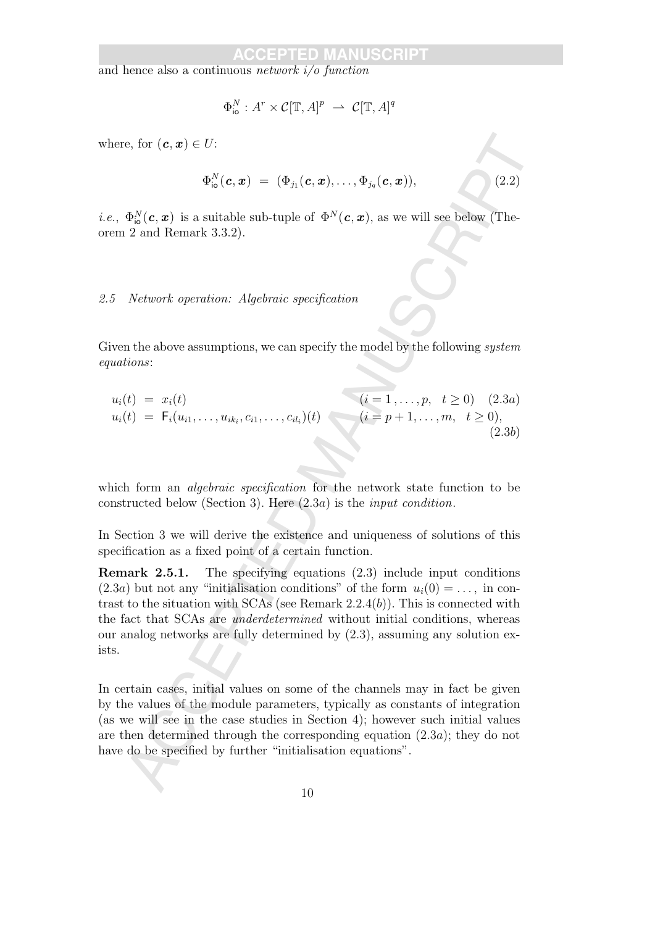and hence also a continuous network i/o function

$$
\Phi_{\text{io}}^N : A^r \times \mathcal{C}[\mathbb{T}, A]^p \ \rightharpoonup \ \mathcal{C}[\mathbb{T}, A]^q
$$

where, for  $(c, x) \in U$ :

$$
\Phi^{N}_{{\bf i}{\bf o}}({\bf c},{\bf x}) \; = \; (\Phi_{j_1}({\bf c},{\bf x}), \ldots, \Phi_{j_q}({\bf c},{\bf x})),
$$

 $(2.2)$ 

*i.e.*,  $\Phi_{\text{io}}^{N}(\textbf{c}, \textbf{x})$  is a suitable sub-tuple of  $\Phi^{N}(\textbf{c}, \textbf{x})$ , as we will see below (Theorem 2 and Remark 3.3.2).

#### 2.5 Network operation: Algebraic specification

Given the above assumptions, we can specify the model by the following *system* equations:

$$
u_i(t) = x_i(t)
$$
  
\n
$$
u_i(t) = F_i(u_{i1},...,u_{ik_i},c_{i1},...,c_{il_i})(t)
$$
  
\n
$$
(i = 1,...,p, t \ge 0)
$$
  
\n
$$
(i = p+1,...,m, t \ge 0),
$$
  
\n
$$
(2.3a)
$$
  
\n(2.3b)

which form an *algebraic specification* for the network state function to be constructed below (Section 3). Here (2.3a) is the input condition.

In Section 3 we will derive the existence and uniqueness of solutions of this specification as a fixed point of a certain function.

c, for  $(\mathbf{c}, \mathbf{z}) \in U$ :<br>  $\Phi_{\alpha}^N(\mathbf{c}, \mathbf{z}) = (\Phi_{\beta_1}(\mathbf{c}, \mathbf{z}), \ldots, \Phi_{\beta_t}(\mathbf{c}, \mathbf{z}))$ , (2.2)<br>  $\Phi_{\alpha}^N(\mathbf{c}, \mathbf{z})$  is a suitable sub-tuple of  $\Phi^N(\mathbf{c}, \mathbf{z})$ , as we will see below (The<br>
2 and Remark 3.3.2).<br> Remark 2.5.1. The specifying equations (2.3) include input conditions  $(2.3a)$  but not any "initialisation conditions" of the form  $u_i(0) = \ldots$ , in contrast to the situation with SCAs (see Remark 2.2.4(b)). This is connected with the fact that SCAs are underdetermined without initial conditions, whereas our analog networks are fully determined by (2.3), assuming any solution exists.

In certain cases, initial values on some of the channels may in fact be given by the values of the module parameters, typically as constants of integration (as we will see in the case studies in Section 4); however such initial values are then determined through the corresponding equation (2.3a); they do not have do be specified by further "initialisation equations".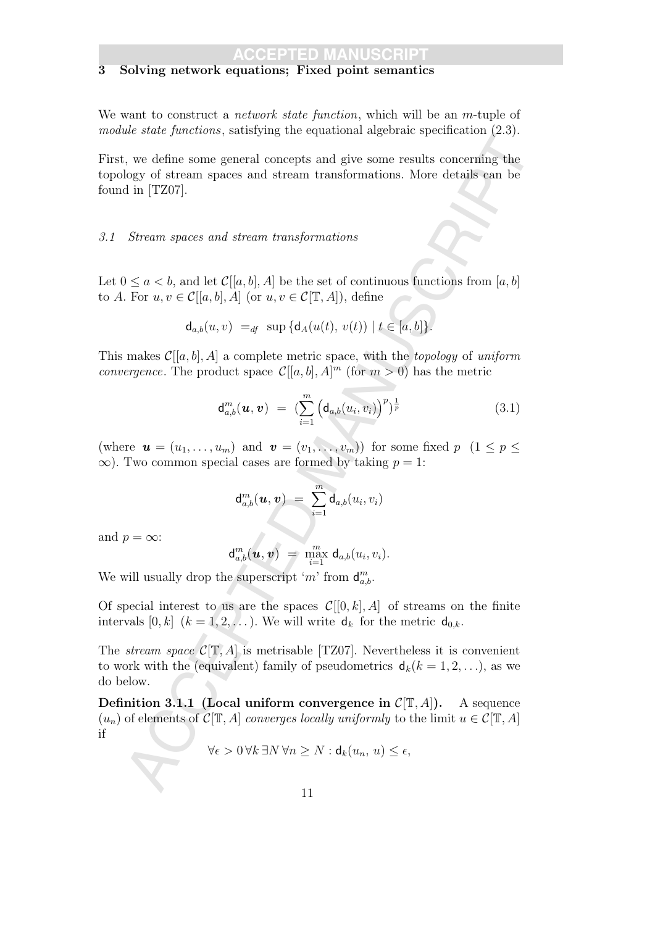### 3 Solving network equations; Fixed point semantics

We want to construct a *network state function*, which will be an *m*-tuple of module state functions, satisfying the equational algebraic specification (2.3).

First, we define some general concepts and give some results concerning the topology of stream spaces and stream transformations. More details can be found in [TZ07].

#### 3.1 Stream spaces and stream transformations

Let  $0 \le a < b$ , and let  $\mathcal{C}[[a, b], A]$  be the set of continuous functions from  $[a, b]$ to A. For  $u, v \in \mathcal{C}[[a, b], A]$  (or  $u, v \in \mathcal{C}[\mathbb{T}, A]$ ), define

$$
\mathsf{d}_{a,b}(u,v) =_{df} \sup \{\mathsf{d}_A(u(t), v(t)) \mid t \in [a,b]\}.
$$

This makes  $\mathcal{C}[[a, b], A]$  a complete metric space, with the *topology* of uniform *convergence*. The product space  $\mathcal{C}[[a,b],A]^m$  (for  $m>0$ ) has the metric

$$
\mathbf{d}_{a,b}^m(\boldsymbol{u},\boldsymbol{v}) = \left(\sum_{i=1}^m \left(\mathbf{d}_{a,b}(u_i,v_i)\right)^p\right)^{\frac{1}{p}} \tag{3.1}
$$

(where  $\mathbf{u} = (u_1, \ldots, u_m)$  and  $\mathbf{v} = (v_1, \ldots, v_m)$ ) for some fixed  $p \ (1 \leq p \leq$  $\infty$ ). Two common special cases are formed by taking  $p = 1$ :

$$
\mathsf{d}^m_{a,b}(\boldsymbol{u},\boldsymbol{v})\ =\ \sum_{i=1}^m \mathsf{d}_{a,b}(u_i,v_i)
$$

and  $p = \infty$ :

$$
\mathsf{d}_{a,b}^m(\boldsymbol{u},\boldsymbol{v}) = \max_{i=1}^m \mathsf{d}_{a,b}(u_i,v_i).
$$

We will usually drop the superscript 'm' from  $\mathsf{d}_{a,b}^m$ .

Of special interest to us are the spaces  $\mathcal{C}[[0, k], A]$  of streams on the finite intervals  $[0, k]$   $(k = 1, 2, \ldots)$ . We will write  $\mathsf{d}_k$  for the metric  $\mathsf{d}_{0,k}$ .

The *stream space*  $C[\mathbb{T}, A]$  is metrisable [TZ07]. Nevertheless it is convenient to work with the (equivalent) family of pseudometrics  $d_k(k = 1, 2, \ldots)$ , as we do below.

are same junctions, samelying the equation ageorian signation (give),<br>  $v_n$  we define some general concepts and give some results concerning the<br>
buy of stream spaces and stream transformations. More details can be<br>  $\lim (T$ Definition 3.1.1 (Local uniform convergence in  $\mathcal{C}[\mathbb{T}, A]$ ). A sequence  $(u_n)$  of elements of  $C[\mathbb{T}, A]$  converges locally uniformly to the limit  $u \in C[\mathbb{T}, A]$ if

$$
\forall \epsilon > 0 \, \forall k \, \exists N \, \forall n \ge N : \mathsf{d}_k(u_n, u) \le \epsilon,
$$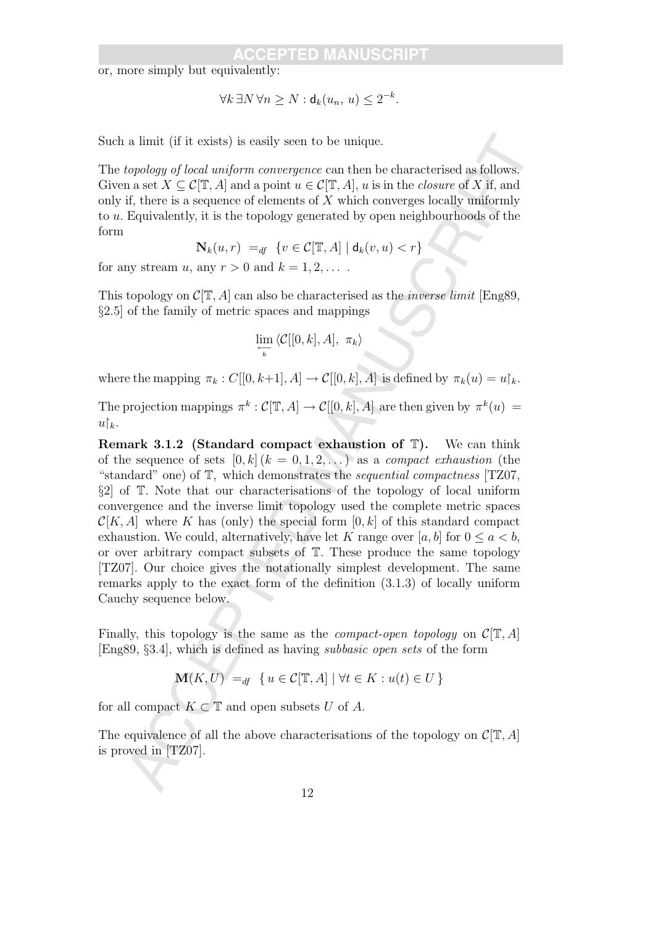or, more simply but equivalently:

$$
\forall k \,\exists N \,\forall n \geq N : \mathsf{d}_k(u_n, u) \leq 2^{-k}.
$$

Such a limit (if it exists) is easily seen to be unique.

The topology of local uniform convergence can then be characterised as follows. Given a set  $X \subseteq \mathcal{C}[\mathbb{T}, A]$  and a point  $u \in \mathcal{C}[\mathbb{T}, A]$ , u is in the *closure* of X if, and only if, there is a sequence of elements of  $X$  which converges locally uniformly to u. Equivalently, it is the topology generated by open neighbourhoods of the form

$$
\mathbf{N}_k(u,r) =_{df} \{ v \in \mathcal{C}[\mathbb{T},A] \mid \mathsf{d}_k(v,u) < r \}
$$

for any stream u, any  $r > 0$  and  $k = 1, 2, \ldots$ .

This topology on  $\mathcal{C}[\mathbb{T}, A]$  can also be characterised as the *inverse limit* [Eng89, §2.5] of the family of metric spaces and mappings

$$
\lim_{\substack{\longleftarrow \\ k}} \langle \mathcal{C}[[0, k], A], \pi_k \rangle
$$

where the mapping  $\pi_k : C[[0, k+1], A] \to C[[0, k], A]$  is defined by  $\pi_k(u) = u_k^k$ .

The projection mappings  $\pi^k : \mathcal{C}[\mathbb{T}, A] \to \mathcal{C}[[0, k], A]$  are then given by  $\pi^k(u) =$  $u\mathcal{b}_k$ .

a limit (if it castals) is easily seen to be unique.<br>
a limit (if it castals) is easily seen to be unique.<br>  $\cos \theta \cos \theta$  along any  $\cos \theta$  can denote experience can then be class<br>
an a set  $X \subset C[T, A]$  and a point  $u \in C[T, A]$ , **Remark 3.1.2** (Standard compact exhaustion of  $\mathbb{T}$ ). We can think of the sequence of sets  $[0, k]$   $(k = 0, 1, 2, ...)$  as a *compact exhaustion* (the "standard" one) of T, which demonstrates the sequential compactness [TZ07, §2] of T. Note that our characterisations of the topology of local uniform convergence and the inverse limit topology used the complete metric spaces  $\mathcal{C}[K, A]$  where K has (only) the special form  $[0, k]$  of this standard compact exhaustion. We could, alternatively, have let K range over [a, b] for  $0 \le a \le b$ , or over arbitrary compact subsets of T. These produce the same topology [TZ07]. Our choice gives the notationally simplest development. The same remarks apply to the exact form of the definition (3.1.3) of locally uniform Cauchy sequence below.

Finally, this topology is the same as the *compact-open topology* on  $\mathcal{C}[\mathbb{T}, A]$ [Eng89, §3.4], which is defined as having subbasic open sets of the form

$$
\mathbf{M}(K, U) =_{df} \{ u \in \mathcal{C}[\mathbb{T}, A] \mid \forall t \in K : u(t) \in U \}
$$

for all compact  $K \subset \mathbb{T}$  and open subsets U of A.

The equivalence of all the above characterisations of the topology on  $\mathcal{C}[\mathbb{T}, A]$ is proved in [TZ07].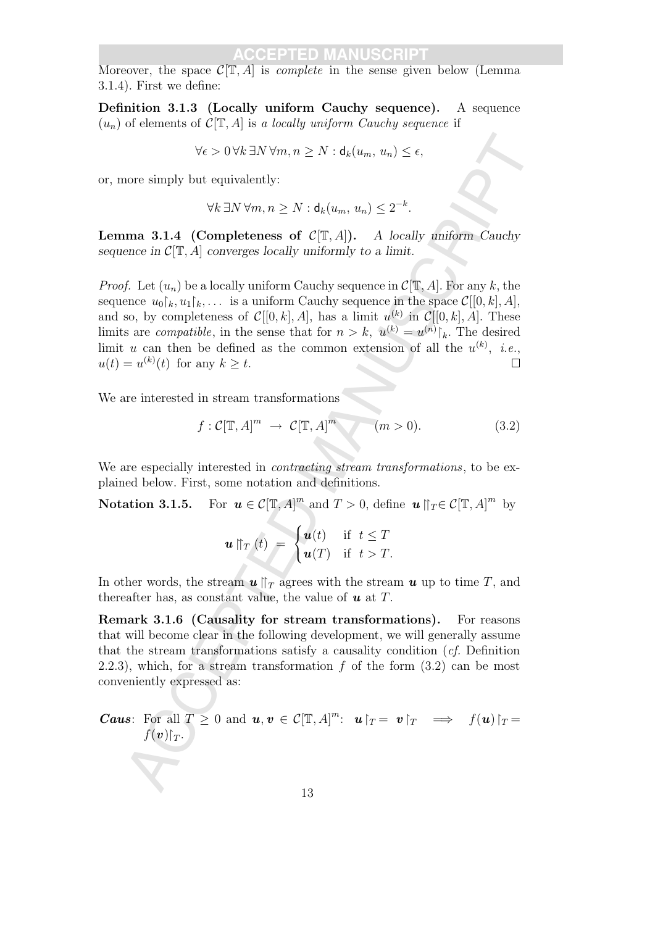Moreover, the space  $\mathcal{C}[\mathbb{T}, A]$  is *complete* in the sense given below (Lemma 3.1.4). First we define:

Definition 3.1.3 (Locally uniform Cauchy sequence). A sequence  $(u_n)$  of elements of  $C[T, A]$  is a locally uniform Cauchy sequence if

$$
\forall \epsilon > 0 \, \forall k \, \exists N \, \forall m, n \ge N : \mathbf{d}_k(u_m, u_n) \le \epsilon,
$$

or, more simply but equivalently:

$$
\forall k \exists N \forall m, n \ge N : \mathsf{d}_k(u_m, u_n) \le 2^{-k}.
$$

**Lemma 3.1.4 (Completeness of**  $C[T, A]$ **).** A locally uniform Cauchy sequence in  $\mathcal{C}[\mathbb{T}, A]$  converges locally uniformly to a limit.

 $\begin{array}{ll} \forall c>0 \, \forall k \, \exists N \, \forall m,n \geq N : d_k(u_m,u_n) \leq c, \\ \text{more simply but equivalently;} & \forall k \, \exists N \, \forall m,n \geq N : d_l(u_m,u_n) \leq 2^{-4}. \end{array}$ <br> $\begin{array}{ll} \text{at least $M$} \text{ (Completeness of } C[\Gamma, A]). & A \text{ locally uniform. Cauchy} \\ \text{force in } \mathcal{C}[\Gamma,A] \text{ converges locally uniformly to a limit.} & \text{for } \mathcal{C}[\Gamma,A] \text{ for any } k \text{, the } j \text{. Let } (u_k) \text{ be a locally uniform. Cauch$ *Proof.* Let  $(u_n)$  be a locally uniform Cauchy sequence in  $\mathcal{C}[\mathbb{T}, A]$ . For any k, the sequence  $u_0|_k, u_1|_k, \ldots$  is a uniform Cauchy sequence in the space  $\mathcal{C}[[0, k], A],$ and so, by completeness of  $\mathcal{C}[[0,k],A]$ , has a limit  $u^{(k)}$  in  $\mathcal{C}[[0,k],A]$ . These limits are *compatible*, in the sense that for  $n > k$ ,  $u^{(k)} = u^{(n)}|_k$ . The desired limit u can then be defined as the common extension of all the  $u^{(k)}$ , *i.e.*,  $u(t) = u^{(k)}(t)$  for any  $k \geq t$ .

We are interested in stream transformations

$$
f: \mathcal{C}[\mathbb{T}, A]^m \to \mathcal{C}[\mathbb{T}, A]^m \qquad (m > 0). \tag{3.2}
$$

We are especially interested in *contracting stream transformations*, to be explained below. First, some notation and definitions.

**Notation 3.1.5.** For  $u \in C[T, A]^m$  and  $T > 0$ , define  $u \mid T \in C[T, A]^m$  by

$$
\boldsymbol{u} \parallel_T (t) = \begin{cases} \boldsymbol{u}(t) & \text{if } t \leq T \\ \boldsymbol{u}(T) & \text{if } t > T. \end{cases}
$$

In other words, the stream  $u \parallel_T$  agrees with the stream u up to time T, and thereafter has, as constant value, the value of  $u$  at T.

Remark 3.1.6 (Causality for stream transformations). For reasons that will become clear in the following development, we will generally assume that the stream transformations satisfy a causality condition (cf. Definition 2.2.3), which, for a stream transformation f of the form  $(3.2)$  can be most conveniently expressed as:

**Caus:** For all  $T \geq 0$  and  $u, v \in C[\mathbb{T}, A]^m$ :  $u|_{T} = v|_{T} \implies f(u)|_{T} =$  $f(\boldsymbol{v})|_T$ .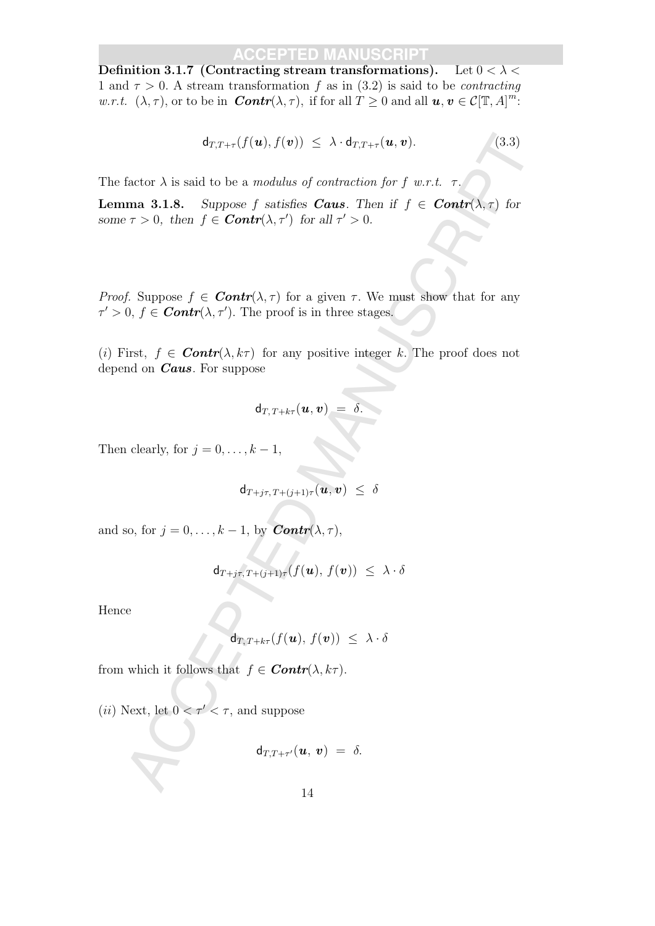Definition 3.1.7 (Contracting stream transformations). Let  $0 < \lambda <$ 1 and  $\tau > 0$ . A stream transformation f as in (3.2) is said to be *contracting w.r.t.*  $(\lambda, \tau)$ , or to be in *Contr* $(\lambda, \tau)$ , if for all  $T \geq 0$  and all  $u, v \in C[\mathbb{T}, A]^m$ :

$$
\mathsf{d}_{T,T+\tau}(f(\boldsymbol{u}),f(\boldsymbol{v})) \leq \lambda \cdot \mathsf{d}_{T,T+\tau}(\boldsymbol{u},\boldsymbol{v}). \tag{3.3}
$$

The factor  $\lambda$  is said to be a modulus of contraction for f w.r.t.  $\tau$ .

 $\begin{array}{ll} \mathsf{d}_{\mathrm{UT}}+(f(\mathbf{u}),f(\mathbf{v}))\leq \lambda\cdot\mathsf{d}_{\mathrm{UT}}+( \mathbf{u},\mathbf{v}). \end{array} \tag{3.3}$  factor  $\lambda$  is said to be a modulus of contraction for  $f$  w.r.t.  $\tau$ ,  $\tau$ ,  $\tau$ ,  $\tau$ ,  $\tau$ ,  $\tau$ ,  $\tau$ ,  $\tau$ ,  $\tau$ ,  $\tau$ ,  $\tau$ ,  $\tau$ ,  $\tau$ **Lemma 3.1.8.** Suppose f satisfies **Caus**. Then if  $f \in \text{Contr}(\lambda, \tau)$  for some  $\tau > 0$ , then  $f \in$  **Contr** $(\lambda, \tau')$  for all  $\tau' > 0$ .

*Proof.* Suppose  $f \in \text{Contr}(\lambda, \tau)$  for a given  $\tau$ . We must show that for any  $\tau' > 0, f \in \text{Contr}(\lambda, \tau').$  The proof is in three stages.

(i) First,  $f \in \text{Contr}(\lambda, k\tau)$  for any positive integer k. The proof does not depend on **Caus**. For suppose

$$
\mathsf{d}_{T,\,T+k\tau}(\boldsymbol{u},\boldsymbol{v})~=~\delta.
$$

Then clearly, for  $j = 0, \ldots, k - 1$ ,

 $d_{T + i\tau, T + (i+1)\tau}(\boldsymbol{u}, \boldsymbol{v}) \leq \delta$ 

and so, for  $j = 0, \ldots, k - 1$ , by  $\text{Contr}(\lambda, \tau)$ ,

$$
\mathsf{d}_{T+j\tau,T+(j+1)\tau}(f(\boldsymbol{u}),f(\boldsymbol{v})) \ \leq \ \lambda \cdot \delta
$$

Hence

$$
\mathsf{d}_{T,\,T+k\tau}(f(\boldsymbol{u}),\,f(\boldsymbol{v}))\,\,\leq\,\,\lambda\cdot\delta
$$

from which it follows that  $f \in \text{Contr}(\lambda, k\tau)$ .

(*ii*) Next, let  $0 < \tau' < \tau$ , and suppose

$$
\mathsf{d}_{T,T+\tau'}(\boldsymbol{u},\,\boldsymbol{v})\;=\;\delta.
$$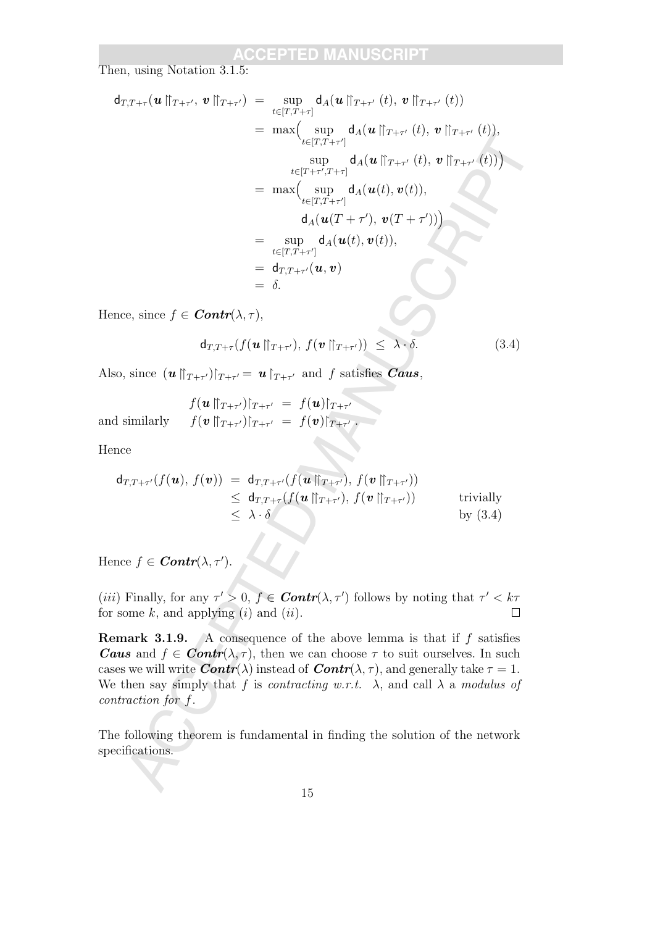Then, using Notation 3.1.5:

d<sub>T,T+*t*</sub>(
$$
u \parallel_{T+\tau'}
$$
,  $v \parallel_{T+\tau'}$ ) =  $\sup_{t \in [T,T+\tau]} d_A(u \parallel_{T+\tau'} (t), v \parallel_{T+\tau'} (t))$   
\t=  $\max \Biggl( \sup_{t \in [T,T+\tau']} d_A(u \parallel_{T+\tau'} (t), v \parallel_{T+\tau'} (t)),$   
\t $\lim_{t \in [T+\tau',T+\tau]} d_A(u \parallel_{T+\tau'} (t), v \parallel_{T+\tau'} (t))$   
\t $d_A(u(T+\tau'), v(T+\tau')))$   
\t $d_A(u(T+\tau'), v(T+\tau')))$   
\t $= \sup_{t \in [T,T+\tau']} d_A(u(t), v(t)),$   
\t $d_{T,T+\tau'}(f(u \parallel_{T+\tau'}), f(v \parallel_{T+\tau'}))$   
\t $= \frac{d_{T,T+\tau}}{d_A(u(t), v(t))},$   
nence, since  $f \in \text{Contr}(\lambda, \tau)$ ,  
\t $d_{T,T+\tau}(f(u \parallel_{T+\tau'}), f(v \parallel_{T+\tau'})) \leq \lambda \cdot \delta$ . (3.4)  
so, since  $(u \parallel_{T+\tau'})|_{T+\tau'} = u \parallel_{T+\tau'}$  and  $f$  satisfies  $\text{Caus}$ ,  
 $f(u \parallel_{T+\tau'})|_{T+\tau'} = f(u)|_{T+\tau'}$ .  
and similarly  $f(v \parallel_{T+\tau'})|_{T+\tau'} = f(v)|_{T+\tau'}$ .  
nence  
 $d_{T,T+\tau'}(f(u), f(v)) = d_{T,T+\tau'}(f(u \parallel_{T+\tau'}), f(v \parallel_{T+\tau'}))$  trivially  
 $\leq \lambda \cdot \delta$  by (3.4)  
nwe  $f \in \text{Contr}(\lambda, \tau')$ .  
 $\lambda) Finally, for any  $\tau' > 0$ ,  $f \in \text{Contr}(\lambda, \tau')$  follows by noting that  $\tau' < k\tau$   
some  $k$ , and applying (i) and (ii).  
  
mark 3.1.9. A consequence of the above lemma is that if  $f$  satisfies  
  $\text{us}$  and  $f \in \text{Contr}(\lambda, \tau)$ , then we can choose  $\tau$  to suit ourselves. In such  
that  $\$$ 

Hence, since  $f \in$  **Contr** $(\lambda, \tau)$ ,

$$
\mathbf{d}_{T,T+\tau}(f(\boldsymbol{u} \parallel_{T+\tau'}),\,f(\boldsymbol{v} \parallel_{T+\tau'})) \leq \lambda \cdot \delta. \tag{3.4}
$$

Also, since  $(u \parallel_{T+\tau'})|_{T+\tau'} = u \parallel_{T+\tau'}$  and f satisfies Caus,

$$
f(\boldsymbol{u} \parallel_{T+\tau'})|_{T+\tau'} = f(\boldsymbol{u})|_{T+\tau'}
$$
  
and similarly 
$$
f(\boldsymbol{v} \parallel_{T+\tau'})|_{T+\tau'} = f(\boldsymbol{v})|_{T+\tau'}.
$$

Hence

$$
\begin{array}{rcl}\n\mathsf{d}_{T,T+\tau'}(f(\boldsymbol{u}), f(\boldsymbol{v})) & = & \mathsf{d}_{T,T+\tau'}(f(\boldsymbol{u} \parallel_{T+\tau'}), f(\boldsymbol{v} \parallel_{T+\tau'})) \\
& \leq & \mathsf{d}_{T,T+\tau}(f(\boldsymbol{u} \parallel_{T+\tau'}), f(\boldsymbol{v} \parallel_{T+\tau'})) \\
& \leq & \lambda \cdot \delta\n\end{array}\n\quad \text{trivially} \quad \text{by (3.4)}
$$

Hence  $f \in$  **Contr** $(\lambda, \tau')$ .

(*iii*) Finally, for any  $\tau' > 0$ ,  $f \in$  **Contr**( $\lambda$ ,  $\tau'$ ) follows by noting that  $\tau' < k\tau$ for some  $k$ , and applying  $(i)$  and  $(ii)$ .

**Remark 3.1.9.** A consequence of the above lemma is that if  $f$  satisfies **Caus** and  $f \in \text{Contr}(\lambda, \tau)$ , then we can choose  $\tau$  to suit ourselves. In such cases we will write  $\text{Contr}(\lambda)$  instead of  $\text{Contr}(\lambda, \tau)$ , and generally take  $\tau = 1$ . We then say simply that f is contracting w.r.t.  $\lambda$ , and call  $\lambda$  a modulus of contraction for f.

The following theorem is fundamental in finding the solution of the network specifications.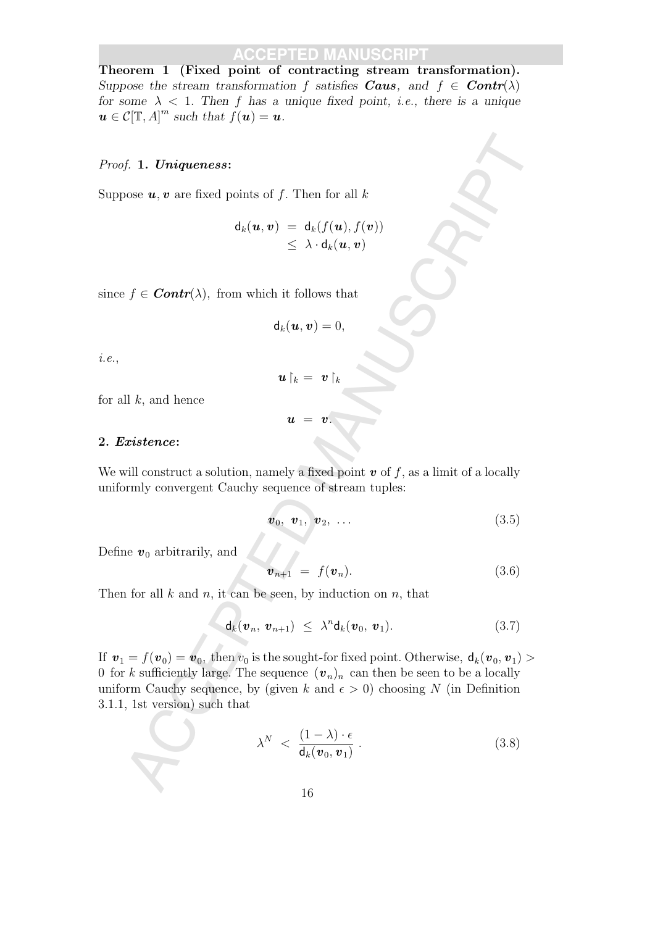Theorem 1 (Fixed point of contracting stream transformation). Suppose the stream transformation f satisfies **Caus**, and  $f \in \text{Contr}(\lambda)$ for some  $\lambda$  < 1. Then f has a unique fixed point, *i.e.*, there is a unique  $u \in \mathcal{C}[\mathbb{T}, A]^m$  such that  $f(u) = u$ .

#### Proof. 1. Uniqueness:

Suppose  $u, v$  are fixed points of f. Then for all k

$$
\mathsf{d}_k(\boldsymbol{u},\boldsymbol{v}) = \mathsf{d}_k(f(\boldsymbol{u}),f(\boldsymbol{v})) \\ \leq \lambda \cdot \mathsf{d}_k(\boldsymbol{u},\boldsymbol{v})
$$

since  $f \in \text{Contr}(\lambda)$ , from which it follows that

$$
\mathsf{d}_k(\boldsymbol{u},\boldsymbol{v})=0,
$$

i.e.,

$$
\bm{u}\!\restriction_k = \bm{v}\!\restriction_k
$$

 $u = v$ .

for all  $k$ , and hence

#### 2. Existence:

We will construct a solution, namely a fixed point  $\boldsymbol{v}$  of f, as a limit of a locally uniformly convergent Cauchy sequence of stream tuples:

$$
\boldsymbol{v}_0, \ \boldsymbol{v}_1, \ \boldsymbol{v}_2, \ \ldots \tag{3.5}
$$

Define  $v_0$  arbitrarily, and

$$
\boldsymbol{v}_{n+1} = f(\boldsymbol{v}_n). \tag{3.6}
$$

Then for all  $k$  and  $n$ , it can be seen, by induction on  $n$ , that

$$
\mathsf{d}_k(\boldsymbol{v}_n, \boldsymbol{v}_{n+1}) \leq \lambda^n \mathsf{d}_k(\boldsymbol{v}_0, \boldsymbol{v}_1). \tag{3.7}
$$

 $f$ . 1. Uniqueness:<br>
sose u, v are fixed points of  $f$ . Then for all  $k$ <br>  $d_k(u, v) = d_k(f(u), f(v))$ <br>  $\leq \lambda \cdot d_k(u, v)$ <br>  $f \in \text{Contr}(\lambda)$ , from which it follows that<br>  $d_k(u, v) = 0$ ,<br>  $u, v = v$ ,<br>  $u = v$ .<br>
<br>
The sum of the solution annely a f If  $\mathbf{v}_1 = f(\mathbf{v}_0) = \mathbf{v}_0$ , then  $v_0$  is the sought-for fixed point. Otherwise,  $d_k(\mathbf{v}_0, \mathbf{v}_1) >$ 0 for k sufficiently large. The sequence  $(v_n)_n$  can then be seen to be a locally uniform Cauchy sequence, by (given k and  $\epsilon > 0$ ) choosing N (in Definition 3.1.1, 1st version) such that

$$
\lambda^N \, < \, \frac{(1-\lambda)\cdot\epsilon}{\mathsf{d}_k(\boldsymbol{v}_0,\boldsymbol{v}_1)} \,. \tag{3.8}
$$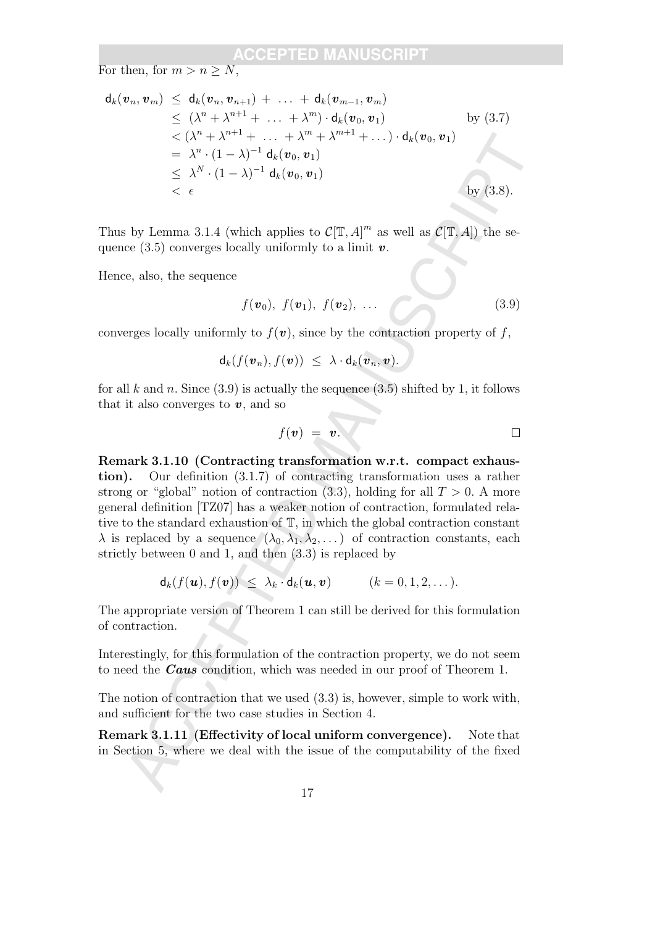For then, for  $m > n > N$ ,

$$
\begin{aligned}\n\mathsf{d}_k(\boldsymbol{v}_n, \boldsymbol{v}_m) &\leq \mathsf{d}_k(\boldsymbol{v}_n, \boldsymbol{v}_{n+1}) + \ldots + \mathsf{d}_k(\boldsymbol{v}_{m-1}, \boldsymbol{v}_m) \\
&\leq (\lambda^n + \lambda^{n+1} + \ldots + \lambda^m) \cdot \mathsf{d}_k(\boldsymbol{v}_0, \boldsymbol{v}_1) \qquad \qquad \text{by (3.7)} \\
&< (\lambda^n + \lambda^{n+1} + \ldots + \lambda^m + \lambda^{m+1} + \ldots) \cdot \mathsf{d}_k(\boldsymbol{v}_0, \boldsymbol{v}_1) \\
&= \lambda^n \cdot (1 - \lambda)^{-1} \mathsf{d}_k(\boldsymbol{v}_0, \boldsymbol{v}_1) \\
&< \lambda^N \cdot (1 - \lambda)^{-1} \mathsf{d}_k(\boldsymbol{v}_0, \boldsymbol{v}_1) \qquad \qquad \text{by (3.8)}.\n\end{aligned}
$$

Thus by Lemma 3.1.4 (which applies to  $\mathcal{C}[\mathbb{T}, A]^m$  as well as  $\mathcal{C}[\mathbb{T}, A]$ ) the sequence (3.5) converges locally uniformly to a limit  $v$ .

Hence, also, the sequence

$$
f(\boldsymbol{v}_0),\ f(\boldsymbol{v}_1),\ f(\boldsymbol{v}_2),\ \ldots
$$
\n(3.9)

converges locally uniformly to  $f(v)$ , since by the contraction property of f,

$$
\mathsf{d}_k(f(\boldsymbol{v}_n),f(\boldsymbol{v}))\ \leq\ \lambda\cdot\mathsf{d}_k(\boldsymbol{v}_n,\boldsymbol{v}).
$$

for all k and n. Since  $(3.9)$  is actually the sequence  $(3.5)$  shifted by 1, it follows that it also converges to  $v$ , and so

$$
f(\boldsymbol{v}) = \boldsymbol{v}.\tag{}
$$

 $\langle \times \langle \lambda^* + \lambda^{n+1} + \ldots \rangle \cdot d_k(v_0, v_1) \rangle$ <br>  $= \lambda^n \cdot (1 - \lambda)^{-1} d_k(v_0, v_1)$ <br>  $= \lambda^n \cdot (1 - \lambda)^{-1} d_k(v_0, v_1)$ <br>  $\leq \lambda^N \cdot (1 - \lambda)^{-1} d_k(v_0, v_1)$ <br>  $\leq \lambda^N \cdot (1 - \lambda)^{-1} d_k(v_0, v_1)$ <br>  $\leq \lambda^N \cdot (1 - \lambda)^{-1} d_k(v_0, v_1)$ <br>  $\leq \lambda^N \cdot (1 - \lambda)^{-1} d_k(v_0,$ Remark 3.1.10 (Contracting transformation w.r.t. compact exhaustion). Our definition (3.1.7) of contracting transformation uses a rather strong or "global" notion of contraction  $(3.3)$ , holding for all  $T > 0$ . A more general definition [TZ07] has a weaker notion of contraction, formulated relative to the standard exhaustion of T, in which the global contraction constant  $\lambda$  is replaced by a sequence  $(\lambda_0, \lambda_1, \lambda_2, ...)$  of contraction constants, each strictly between 0 and 1, and then (3.3) is replaced by

$$
\mathsf{d}_k(f(\boldsymbol{u}),f(\boldsymbol{v})) \leq \lambda_k \cdot \mathsf{d}_k(\boldsymbol{u},\boldsymbol{v}) \qquad (k=0,1,2,\dots).
$$

The appropriate version of Theorem 1 can still be derived for this formulation of contraction.

Interestingly, for this formulation of the contraction property, we do not seem to need the **Caus** condition, which was needed in our proof of Theorem 1.

The notion of contraction that we used (3.3) is, however, simple to work with, and sufficient for the two case studies in Section 4.

Remark 3.1.11 (Effectivity of local uniform convergence). Note that in Section 5, where we deal with the issue of the computability of the fixed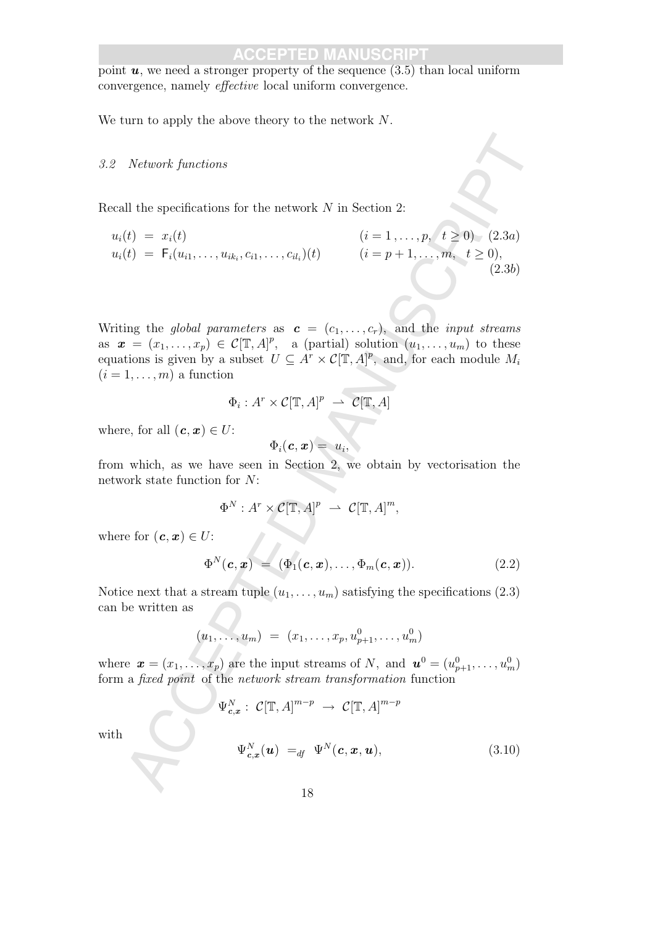point  $u$ , we need a stronger property of the sequence  $(3.5)$  than local uniform convergence, namely effective local uniform convergence.

We turn to apply the above theory to the network N.

#### 3.2 Network functions

Recall the specifications for the network  $N$  in Section 2:

$$
u_i(t) = x_i(t)
$$
  
\n
$$
u_i(t) = F_i(u_{i1},...,u_{ik_i},c_{i1},...,c_{il_i})(t)
$$
  
\n
$$
(i = 1,...,p, t \ge 0) (2.3a)
$$
  
\n
$$
(i = p+1,...,m, t \ge 0),
$$

$$
(i = 1, ..., p, t \ge 0) (2.3a)
$$
  
(*i* = *p* + 1, ..., *m*, *t* \ge 0), (2.3b)

Network functions<br>
all the specifications for the network N in Section 2:<br>
(c) =  $x_i(t)$ <br>
(i) =  $F_1(t)$ ,,,,,,, $u_{\Delta_i}, c_{\delta_1},...,c_{\Delta_i}$ )(1)  $(i = 1,..., p_i, t \ge 0)$ , (2.3a)<br>
(i) =  $F_1(t)$ ,,,,,,, $u_{\Delta_i}, c_{\delta_1},...,c_{\Delta_i}$ )(1)  $(i = p + 1,..., m_i$ Writing the global parameters as  $\mathbf{c} = (c_1, \ldots, c_r)$ , and the *input streams* as  $\mathbf{x} = (x_1, \ldots, x_p) \in \mathcal{C}[\mathbb{T}, A]^p$ , a (partial) solution  $(u_1, \ldots, u_m)$  to these equations is given by a subset  $U \subseteq A^r \times C(\mathbb{T}, A)^p$ , and, for each module  $M_i$  $(i = 1, \ldots, m)$  a function

$$
\Phi_i: A^r \times C[\mathbb{T}, A]^p \ \rightharpoonup \ C[\mathbb{T}, A]
$$

where, for all  $(c, x) \in U$ :

$$
\Phi_i(\boldsymbol{c}, \boldsymbol{x}) = u_i,
$$

from which, as we have seen in Section 2, we obtain by vectorisation the network state function for N:

$$
\Phi^N: A^r \times C[\mathbb{T}, A]^p \ \rightharpoonup \ C[\mathbb{T}, A]^m,
$$

where for  $(c, x) \in U$ :

$$
\Phi^N(\boldsymbol{c}, \boldsymbol{x}) = (\Phi_1(\boldsymbol{c}, \boldsymbol{x}), \ldots, \Phi_m(\boldsymbol{c}, \boldsymbol{x})). \qquad (2.2)
$$

Notice next that a stream tuple  $(u_1, \ldots, u_m)$  satisfying the specifications (2.3) can be written as

$$
(u_1, \ldots, u_m) = (x_1, \ldots, x_p, u_{p+1}^0, \ldots, u_m^0)
$$

where  $\boldsymbol{x} = (x_1, \ldots, x_p)$  are the input streams of N, and  $\boldsymbol{u}^0 = (u_{p+1}^0, \ldots, u_m^0)$ form a fixed point of the network stream transformation function

$$
\Psi_{\mathbf{c},\mathbf{x}}^N : \mathcal{C}[\mathbb{T}, A]^{m-p} \to \mathcal{C}[\mathbb{T}, A]^{m-p}
$$
\n
$$
\Psi_{\mathbf{c},\mathbf{x}}^N(\mathbf{u}) =_{df} \Psi^N(\mathbf{c}, \mathbf{x}, \mathbf{u}), \tag{3.10}
$$

with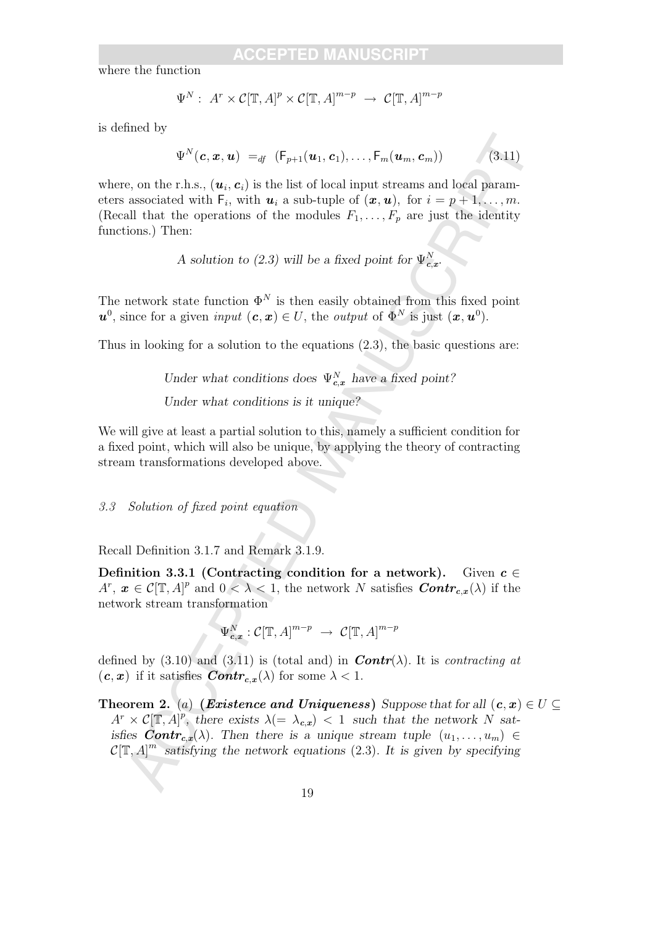where the function

$$
\Psi^N: A^r \times C[\mathbb{T}, A]^p \times C[\mathbb{T}, A]^{m-p} \to C[\mathbb{T}, A]^{m-p}
$$

is defined by

$$
\Psi^N(\boldsymbol{c}, \boldsymbol{x}, \boldsymbol{u}) =_{df} (\mathsf{F}_{p+1}(\boldsymbol{u}_1, \boldsymbol{c}_1), \ldots, \mathsf{F}_m(\boldsymbol{u}_m, \boldsymbol{c}_m))
$$
(3.11)

where, on the r.h.s.,  $(u_i, c_i)$  is the list of local input streams and local parameters associated with  $\mathsf{F}_i$ , with  $\mathbf{u}_i$  a sub-tuple of  $(\mathbf{x}, \mathbf{u})$ , for  $i = p + 1, \ldots, m$ . (Recall that the operations of the modules  $F_1, \ldots, F_p$  are just the identity functions.) Then:

A solution to (2.3) will be a fixed point for  $\Psi_{\mathbf{c},\mathbf{x}}^N$ .

The network state function  $\Phi^N$  is then easily obtained from this fixed point  $u^0$ , since for a given *input*  $(c, x) \in U$ , the *output* of  $\Phi^N$  is just  $(x, u^0)$ .

Thus in looking for a solution to the equations (2.3), the basic questions are:

Under what conditions does  $\Psi_{c,x}^{N}$  have a fixed point? Under what conditions is it unique?

We will give at least a partial solution to this, namely a sufficient condition for a fixed point, which will also be unique, by applying the theory of contracting stream transformations developed above.

3.3 Solution of fixed point equation

Recall Definition 3.1.7 and Remark 3.1.9.

Definition 3.3.1 (Contracting condition for a network). Given  $c \in$  $A^r, x \in \mathcal{C}[\mathbb{T}, A]^p$  and  $0 < \lambda < 1$ , the network N satisfies  $\text{Contr}_{c,x}(\lambda)$  if the network stream transformation

$$
\Psi^N_{c,x} : \mathcal{C}[\mathbb{T}, A]^{m-p} \to \mathcal{C}[\mathbb{T}, A]^{m-p}
$$

defined by (3.10) and (3.11) is (total and) in **Contr**( $\lambda$ ). It is contracting at  $(c, x)$  if it satisfies  $Contr_{c,x}(\lambda)$  for some  $\lambda < 1$ .

 $\Psi^N(\epsilon, x, u) =_{\phi} (\mathbb{F}_{p+1}(u_1, \epsilon_1), \ldots, \mathbb{F}_{n}(u_n, \epsilon_m))$  (3-tt)<br>
e, on the r.h.s.,  $(u_i, e_i)$  is the list of local input streams and local paran-<br>
associated with F., with  $u_i$  a sub-tuple of  $(x, u_i)$ , for  $i = p + 1, \ldots, m$ ,<br>
a **Theorem 2.** (a) (Existence and Uniqueness) Suppose that for all  $(c, x) \in U \subseteq$  $A^r \times C[\mathbb{T},A]^p$ , there exists  $\lambda (= \lambda_{c,x}) < 1$  such that the network N satisfies  $Contr_{c,x}(\lambda)$ . Then there is a unique stream tuple  $(u_1, \ldots, u_m) \in$  $\mathcal{C}[\mathbb{T}, A]^m$  satisfying the network equations (2.3). It is given by specifying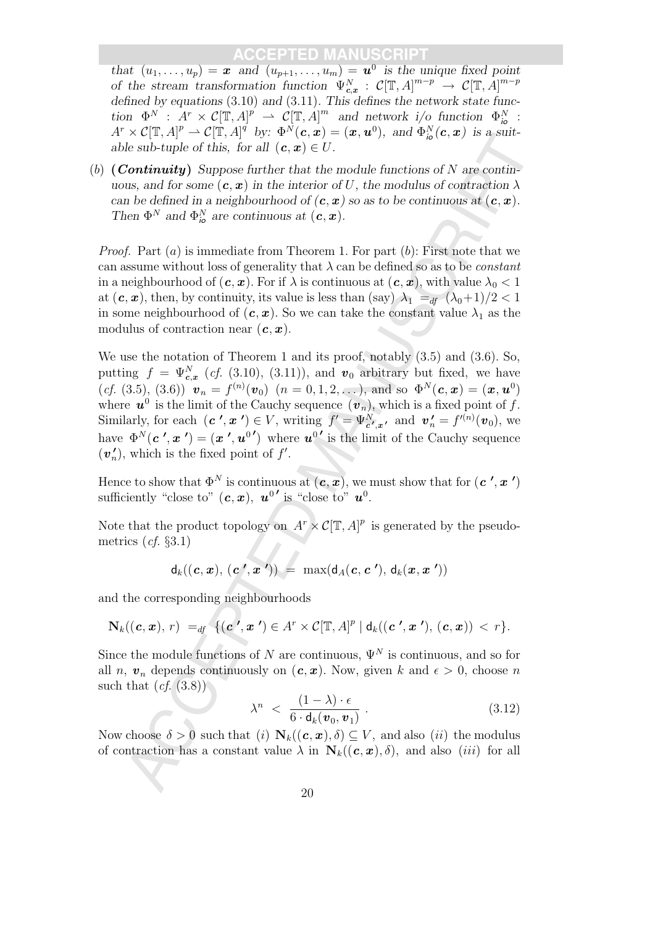that  $(u_1, \ldots, u_p) = \mathbf{x}$  and  $(u_{p+1}, \ldots, u_m) = \mathbf{u}^0$  is the unique fixed point of the stream transformation function  $\Psi_{c,x}^N$  :  $C[\mathbb{T},A]^{m-p} \to C[\mathbb{T},A]^{m-p}$ defined by equations (3.10) and (3.11). This defines the network state function  $\Phi^N$ :  $A^r \times C[\mathbb{T}, A]^p \to C[\mathbb{T}, A]^m$  and network i/o function  $\Phi_{i\bullet}^N$ :  $A^r \times \mathcal{C}[\mathbb{T},A]^p \rightharpoonup \mathcal{C}[\mathbb{T},A]^q$  by:  $\Phi^N(c,x) = (x,u^0)$ , and  $\Phi^N_{io}(c,x)$  is a suitable sub-tuple of this, for all  $(c, x) \in U$ .

(b)  $(Continuity)$  Suppose further that the module functions of N are continuous, and for some  $(c, x)$  in the interior of U, the modulus of contraction  $\lambda$ can be defined in a neighbourhood of  $(c, x)$  so as to be continuous at  $(c, x)$ . Then  $\Phi^N$  and  $\Phi^N_{i\phi}$  are continuous at  $(c, x)$ .

*Proof.* Part  $(a)$  is immediate from Theorem 1. For part  $(b)$ : First note that we can assume without loss of generality that  $\lambda$  can be defined so as to be *constant* in a neighbourhood of  $(c, x)$ . For if  $\lambda$  is continuous at  $(c, x)$ , with value  $\lambda_0 < 1$ at  $(c, x)$ , then, by continuity, its value is less than (say)  $\lambda_1 =_{df} (\lambda_0 + 1)/2 < 1$ in some neighbourhood of  $(c, x)$ . So we can take the constant value  $\lambda_1$  as the modulus of contraction near  $(c, x)$ .

x et j(1, 1) = c j(1, 14) = c) = (2, i) = (2, i) = (2, i) = (2, i) = (2, i) = (3, i) = (3, i) = (3, i) = (3, i) = (3, i) = (3, i) = (3, i) = (3, i) = (3, i) = (3, i) = (3, i) = (3, i) = (3, i) = (3, i) = (3, i) = (3, i) = We use the notation of Theorem 1 and its proof, notably  $(3.5)$  and  $(3.6)$ . So, putting  $f = \Psi_{c,x}^{N}$  (*cf.* (3.10), (3.11)), and  $v_0$  arbitrary but fixed, we have  $(cf. (3.5), (3.6))$   $\mathbf{v}_n = f^{(n)}(\mathbf{v}_0)$   $(n = 0, 1, 2, ...)$ , and so  $\Phi^N(\mathbf{c}, \mathbf{x}) = (\mathbf{x}, \mathbf{u}^0)$ where  $u^0$  is the limit of the Cauchy sequence  $(v_n)$ , which is a fixed point of f. Similarly, for each  $(c', x') \in V$ , writing  $f' = \Psi_{c',x'}^{N}$ , and  $v'_{n} = f^{(n)}(v_{0}),$  we have  $\Phi^N(c', x') = (x', u^{0'})$  where  $u^{0'}$  is the limit of the Cauchy sequence  $(v_n)$  $n'$ , which is the fixed point of f'.

Hence to show that  $\Phi^N$  is continuous at  $(c, x)$ , we must show that for  $(c', x')$ sufficiently "close to"  $(c, x)$ ,  $u^{0}$  is "close to"  $u^{0}$ .

Note that the product topology on  $A^r \times \mathcal{C}[\mathbb{T}, A]^p$  is generated by the pseudometrics  $(cf. \S3.1)$ 

$$
d_k((c, x), (c', x')) = \max(d_A(c, c'), d_k(x, x'))
$$

and the corresponding neighbourhoods

$$
\mathbf{N}_k((\boldsymbol{c},\boldsymbol{x}),r) =_{df} \{(\boldsymbol{c}',\boldsymbol{x}') \in A^r \times C[\mathbb{T},A]^p \mid d_k((\boldsymbol{c}',\boldsymbol{x}'),(\boldsymbol{c},\boldsymbol{x})) < r\}.
$$

Since the module functions of N are continuous,  $\Psi^N$  is continuous, and so for all n,  $v_n$  depends continuously on  $(c, x)$ . Now, given k and  $\epsilon > 0$ , choose n such that  $(cf. (3.8))$ 

$$
\lambda^n \ < \ \frac{(1-\lambda)\cdot\epsilon}{6\cdot d_k(\boldsymbol{v}_0,\boldsymbol{v}_1)} \ . \tag{3.12}
$$

Now choose  $\delta > 0$  such that (i)  $N_k((c, x), \delta) \subseteq V$ , and also (ii) the modulus of contraction has a constant value  $\lambda$  in  $N_k((c, x), \delta)$ , and also *(iii)* for all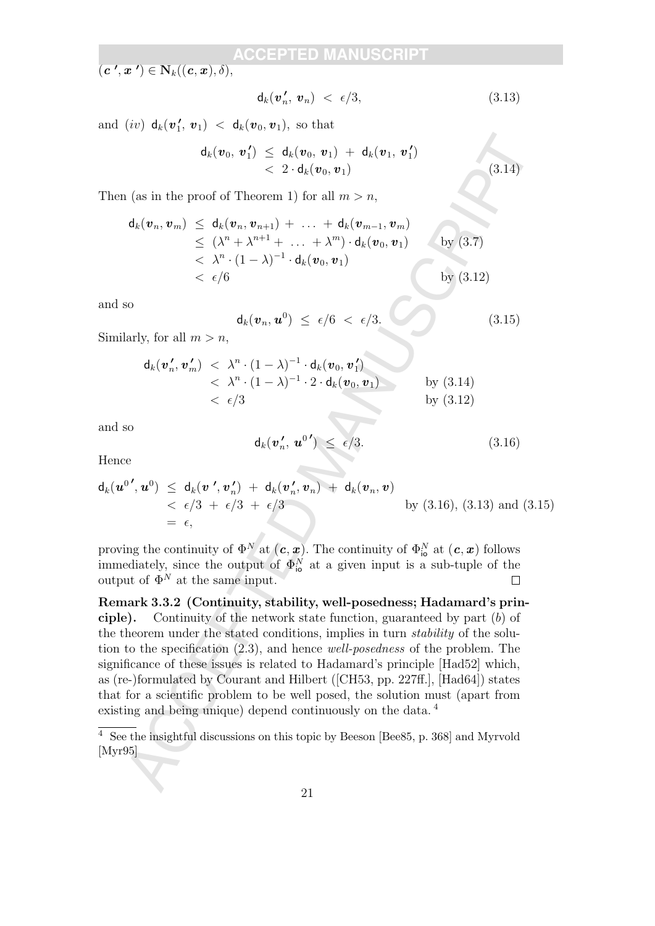$(\boldsymbol{c}^{\,\,\prime},\boldsymbol{x}^{\,\,\prime})\in\mathbf{N}_k((\boldsymbol{c},\boldsymbol{x}),\delta),$ 

$$
\mathsf{d}_k(\boldsymbol{v}'_n, \boldsymbol{v}_n) < \epsilon/3,\tag{3.13}
$$

 $(3.14)$ 

and  $(iv)$   $\mathsf{d}_k(v_1)$  $\mathbf{1}'$ ,  $\mathbf{v}_1$   $\langle \mathbf{1}_k(\mathbf{v}_0, \mathbf{v}_1), \text{ so that }$ 

$$
\begin{array}{lcl} \mathsf{d}_k(\bm{v}_0, \, \bm{v}^{\,\prime}_1) \; \leq \; \mathsf{d}_k(\bm{v}_0, \, \bm{v}_1) \; + \; \mathsf{d}_k(\bm{v}_1, \, \bm{v}^{\,\prime}_1) \\qquad \qquad < \; 2 \cdot \mathsf{d}_k(\bm{v}_0, \bm{v}_1) \end{array}
$$

Then (as in the proof of Theorem 1) for all  $m > n$ ,

$$
\mathsf{d}_k(\boldsymbol{v}_n, \boldsymbol{v}_m) \leq \mathsf{d}_k(\boldsymbol{v}_n, \boldsymbol{v}_{n+1}) + \ldots + \mathsf{d}_k(\boldsymbol{v}_{m-1}, \boldsymbol{v}_m) \n\leq (\lambda^n + \lambda^{n+1} + \ldots + \lambda^m) \cdot \mathsf{d}_k(\boldsymbol{v}_0, \boldsymbol{v}_1) \qquad \text{by (3.7)} \n< \lambda^n \cdot (1 - \lambda)^{-1} \cdot \mathsf{d}_k(\boldsymbol{v}_0, \boldsymbol{v}_1) \qquad \text{by (3.12)}
$$

and so

$$
\mathsf{d}_k(\boldsymbol{v}_n,\boldsymbol{u}^0) \ \leq \ \epsilon/6 \ < \ \epsilon/3. \tag{3.15}
$$

Similarly, for all  $m > n$ ,

$$
\mathsf{d}_k(\boldsymbol{v}'_n, \boldsymbol{v}'_m) < \lambda^n \cdot (1 - \lambda)^{-1} \cdot \mathsf{d}_k(\boldsymbol{v}_0, \boldsymbol{v}'_1) \\
&< \lambda^n \cdot (1 - \lambda)^{-1} \cdot 2 \cdot \mathsf{d}_k(\boldsymbol{v}_0, \boldsymbol{v}_1) \qquad \qquad \text{by (3.14)} \\
&< \epsilon/3 \qquad \qquad \text{by (3.12)}
$$

and so

$$
\mathsf{d}_k(\boldsymbol{v}'_n, \, \boldsymbol{u}^{0\,\prime}) \ \leq \ \epsilon/3. \tag{3.16}
$$

Hence

$$
\mathsf{d}_k(\boldsymbol{u}^{0\,\prime},\boldsymbol{u}^0) \leq \mathsf{d}_k(\boldsymbol{v}^{\,\prime},\boldsymbol{v}_n^{\,\prime}) + \mathsf{d}_k(\boldsymbol{v}_n^{\,\prime},\boldsymbol{v}_n) + \mathsf{d}_k(\boldsymbol{v}_n,\boldsymbol{v})
$$
\n
$$
< \epsilon/3 + \epsilon/3 + \epsilon/3
$$
\nby (3.16), (3.13) and (3.15)\n
$$
= \epsilon,
$$

proving the continuity of  $\Phi^N$  at  $(c, x)$ . The continuity of  $\Phi^N_{\text{io}}$  at  $(c, x)$  follows immediately, since the output of  $\Phi_{\text{io}}^N$  at a given input is a sub-tuple of the output of  $\Phi^N$  at the same input.

 $\begin{array}{ll} \displaystyle d_k(v_0,\,v_1')\,\leq\,d_k(v_0,\,v_1)+d_k(v_0,\,v_1')\\ \displaystyle \quad <\, 2\cdot d_k(v_0,\,v_1)\\ \displaystyle d_k(u_3,\,v_m)\,\leq\,d_k(v_4,\,v_2,\,v_1)+\,\ldots\,+\,d_k(v_m,\,v_1,\,v_m)\\ \displaystyle d_k(v_3,\,v_m)\,\leq\,(\lambda^2+\lambda^{p+1}+\,\ldots\,+\,\lambda^{p_1})\cdot d_k(v_0,\,v_1)\\ \displaystyle \quad <\,\lambda^2\cdot(1-\lambda)^{-1}\cdot d_k(v_0,\,v_1$ Remark 3.3.2 (Continuity, stability, well-posedness; Hadamard's principle). Continuity of the network state function, guaranteed by part (b) of the theorem under the stated conditions, implies in turn stability of the solution to the specification (2.3), and hence well-posedness of the problem. The significance of these issues is related to Hadamard's principle [Had52] which, as (re-)formulated by Courant and Hilbert ([CH53, pp. 227ff.], [Had64]) states that for a scientific problem to be well posed, the solution must (apart from existing and being unique) depend continuously on the data.<sup>4</sup>

 $\frac{4}{4}$  See the insightful discussions on this topic by Beeson [Bee85, p. 368] and Myrvold [Myr95]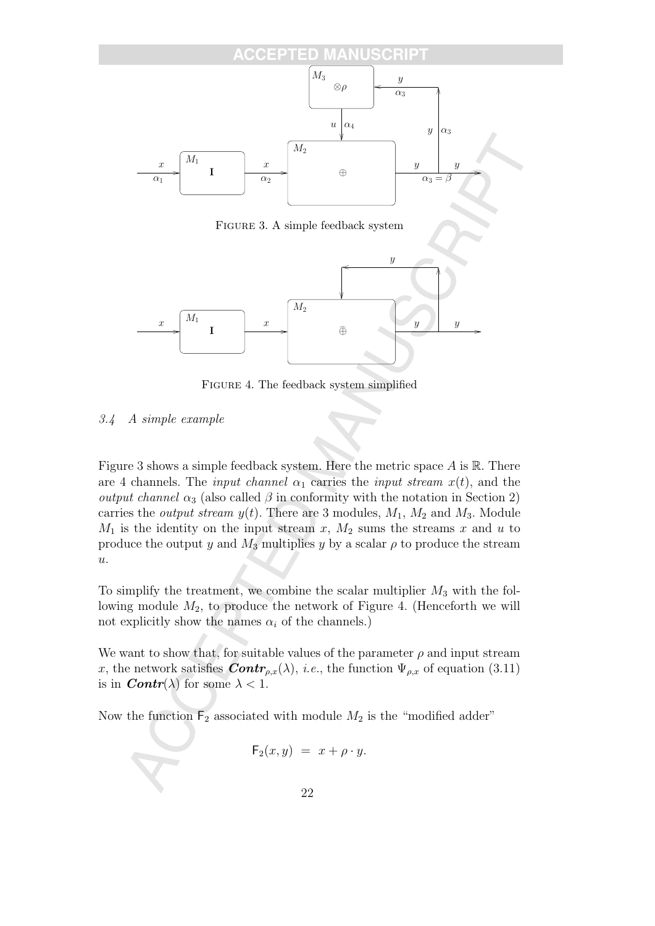

Figure 3. A simple feedback system



Figure 4. The feedback system simplified

### 3.4 A simple example

Figure 3 shows a simple feedback system. Here the metric space  $A$  is  $\mathbb{R}$ . There are 4 channels. The *input channel*  $\alpha_1$  carries the *input stream*  $x(t)$ , and the *output channel*  $\alpha_3$  (also called  $\beta$  in conformity with the notation in Section 2) carries the *output stream*  $y(t)$ . There are 3 modules,  $M_1$ ,  $M_2$  and  $M_3$ . Module  $M_1$  is the identity on the input stream x,  $M_2$  sums the streams x and u to produce the output y and  $M_3$  multiplies y by a scalar  $\rho$  to produce the stream  $\overline{u}$ .

To simplify the treatment, we combine the scalar multiplier  $M_3$  with the following module  $M_2$ , to produce the network of Figure 4. (Henceforth we will not explicitly show the names  $\alpha_i$  of the channels.)

We want to show that, for suitable values of the parameter  $\rho$  and input stream x, the network satisfies  $\textbf{Contr}_{\rho,x}(\lambda)$ , *i.e.*, the function  $\Psi_{\rho,x}$  of equation (3.11) is in  $\text{Contr}(\lambda)$  for some  $\lambda < 1$ .

Now the function  $F_2$  associated with module  $M_2$  is the "modified adder"

$$
\mathsf{F}_2(x,y) = x + \rho \cdot y.
$$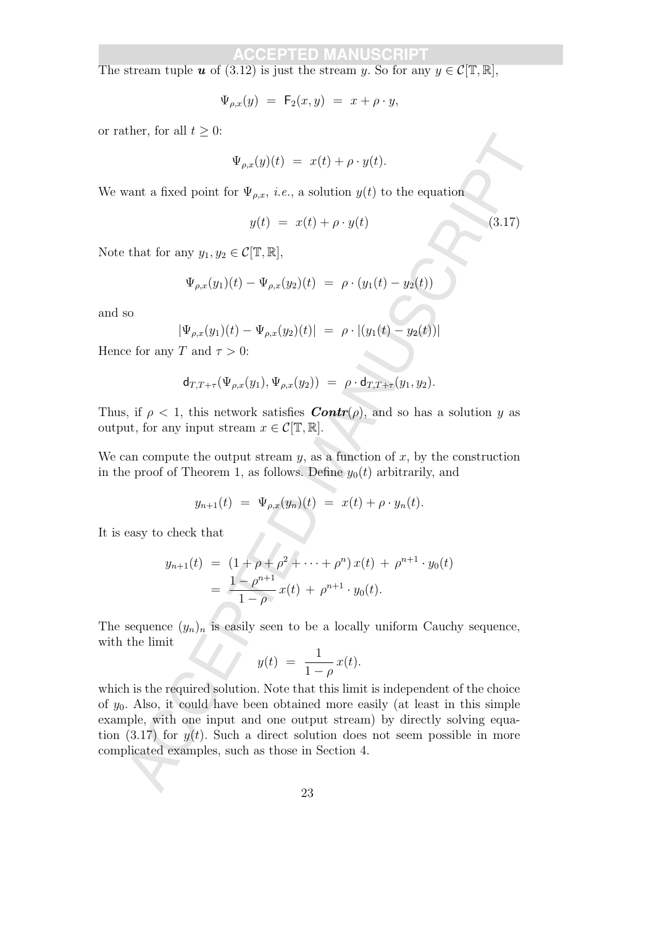The stream tuple **u** of (3.12) is just the stream y. So for any  $y \in \mathcal{C}[\mathbb{T}, \mathbb{R}]$ ,

$$
\Psi_{\rho,x}(y) = \mathsf{F}_2(x,y) = x + \rho \cdot y,
$$

or rather, for all  $t > 0$ :

$$
\Psi_{\rho,x}(y)(t) = x(t) + \rho \cdot y(t).
$$

We want a fixed point for  $\Psi_{\rho,x}$ , *i.e.*, a solution  $y(t)$  to the equation

$$
y(t) = x(t) + \rho \cdot y(t) \tag{3.17}
$$

Note that for any  $y_1, y_2 \in \mathcal{C}[\mathbb{T}, \mathbb{R}],$ 

$$
\Psi_{\rho,x}(y_1)(t) - \Psi_{\rho,x}(y_2)(t) = \rho \cdot (y_1(t) - y_2(t))
$$

and so

$$
|\Psi_{\rho,x}(y_1)(t) - \Psi_{\rho,x}(y_2)(t)| = \rho \cdot |(y_1(t) - y_2(t))|
$$

Hence for any T and  $\tau > 0$ :

$$
\mathsf{d}_{T,T+\tau}(\Psi_{\rho,x}(y_1),\Psi_{\rho,x}(y_2)) = \rho \cdot \mathsf{d}_{T,T+\tau}(y_1,y_2).
$$

Thus, if  $\rho < 1$ , this network satisfies  $\text{Contr}(\rho)$ , and so has a solution y as output, for any input stream  $x \in \mathcal{C}[\mathbb{T}, \mathbb{R}]$ .

We can compute the output stream  $y$ , as a function of  $x$ , by the construction in the proof of Theorem 1, as follows. Define  $y_0(t)$  arbitrarily, and

$$
y_{n+1}(t) = \Psi_{\rho,x}(y_n)(t) = x(t) + \rho \cdot y_n(t).
$$

It is easy to check that

$$
y_{n+1}(t) = (1 + \rho + \rho^2 + \dots + \rho^n) x(t) + \rho^{n+1} \cdot y_0(t)
$$
  
= 
$$
\frac{1 - \rho^{n+1}}{1 - \rho} x(t) + \rho^{n+1} \cdot y_0(t).
$$

The sequence  $(y_n)_n$  is easily seen to be a locally uniform Cauchy sequence, with the limit

$$
y(t) = \frac{1}{1-\rho} x(t).
$$

Let, so at  $t > 0$ .<br>  $\Psi_{p,q}(y)(t) = x(t) + \rho \cdot y(t)$ .<br>
What a fixed point for  $\Psi_{p,q}, i.e.,$  a solution  $y(t)$  to the equation<br>  $y(t) = x(t) + \rho \cdot y(t)$ .<br>
(3.17)<br>
that for any  $y_1, y_2 \in C[\Gamma, \mathbb{R}],$ <br>  $\Psi_{p,q}(y_1)(t) = \Psi_{p,q}(y_2)(t) = -\rho \cdot (y_1(t) - y_$ which is the required solution. Note that this limit is independent of the choice of  $y_0$ . Also, it could have been obtained more easily (at least in this simple example, with one input and one output stream) by directly solving equation (3.17) for  $y(t)$ . Such a direct solution does not seem possible in more complicated examples, such as those in Section 4.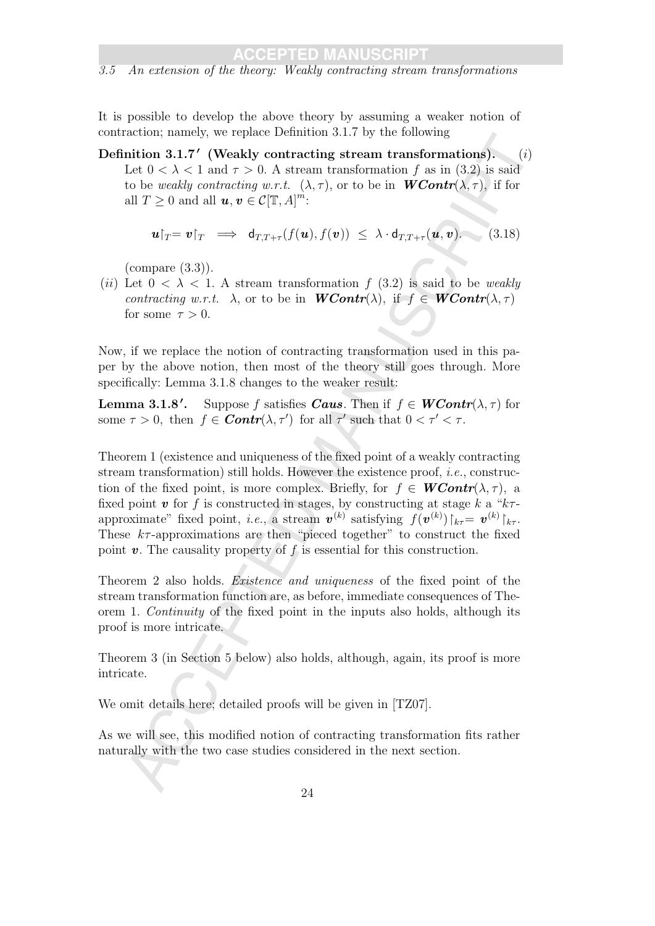3.5 An extension of the theory: Weakly contracting stream transformations

It is possible to develop the above theory by assuming a weaker notion of contraction; namely, we replace Definition 3.1.7 by the following

Definition 3.1.7' (Weakly contracting stream transformations).  $(i)$ Let  $0 < \lambda < 1$  and  $\tau > 0$ . A stream transformation f as in (3.2) is said to be weakly contracting w.r.t.  $(\lambda, \tau)$ , or to be in  $WContr(\lambda, \tau)$ , if for all  $T \geq 0$  and all  $u, v \in \mathcal{C}[\mathbb{T}, A]^m$ :

$$
\boldsymbol{u}|_{T} = \boldsymbol{v}|_{T} \implies d_{T,T+\tau}(f(\boldsymbol{u}), f(\boldsymbol{v})) \leq \lambda \cdot d_{T,T+\tau}(\boldsymbol{u}, \boldsymbol{v}). \tag{3.18}
$$

(compare (3.3)).

(ii) Let  $0 < \lambda < 1$ . A stream transformation f (3.2) is said to be weakly contracting w.r.t.  $\lambda$ , or to be in **WContr**( $\lambda$ ), if  $f \in WContr(\lambda, \tau)$ for some  $\tau > 0$ .

Now, if we replace the notion of contracting transformation used in this paper by the above notion, then most of the theory still goes through. More specifically: Lemma 3.1.8 changes to the weaker result:

Lemma  $3.1.8'$ . Suppose f satisfies **Caus**. Then if  $f \in \textbf{WContr}(\lambda, \tau)$  for some  $\tau > 0$ , then  $f \in$  **Contr**( $\lambda$ ,  $\tau'$ ) for all  $\tau'$  such that  $0 < \tau' < \tau$ .

cated); instance, we repare Deminiton 5.1. by the totaous and<br>this a 3.1,7' (Weakly contracting stream transformations). (i)<br>Let 0 <  $\lambda < 1$  such  $\tau > 0$ . A stream transformation  $f$  as in (3.2) is said<br>to be weakly contr Theorem 1 (existence and uniqueness of the fixed point of a weakly contracting stream transformation) still holds. However the existence proof, i.e., construction of the fixed point, is more complex. Briefly, for  $f \in WContr(\lambda, \tau)$ , a fixed point v for f is constructed in stages, by constructing at stage k a " $k\tau$ approximate" fixed point, *i.e.*, a stream  $\mathbf{v}^{(k)}$  satisfying  $f(\mathbf{v}^{(k)})|_{k\tau} = \mathbf{v}^{(k)}|_{k\tau}$ . These  $k\tau$ -approximations are then "pieced together" to construct the fixed point  $v$ . The causality property of  $f$  is essential for this construction.

Theorem 2 also holds. Existence and uniqueness of the fixed point of the stream transformation function are, as before, immediate consequences of Theorem 1. Continuity of the fixed point in the inputs also holds, although its proof is more intricate.

Theorem 3 (in Section 5 below) also holds, although, again, its proof is more intricate.

We omit details here; detailed proofs will be given in [TZ07].

As we will see, this modified notion of contracting transformation fits rather naturally with the two case studies considered in the next section.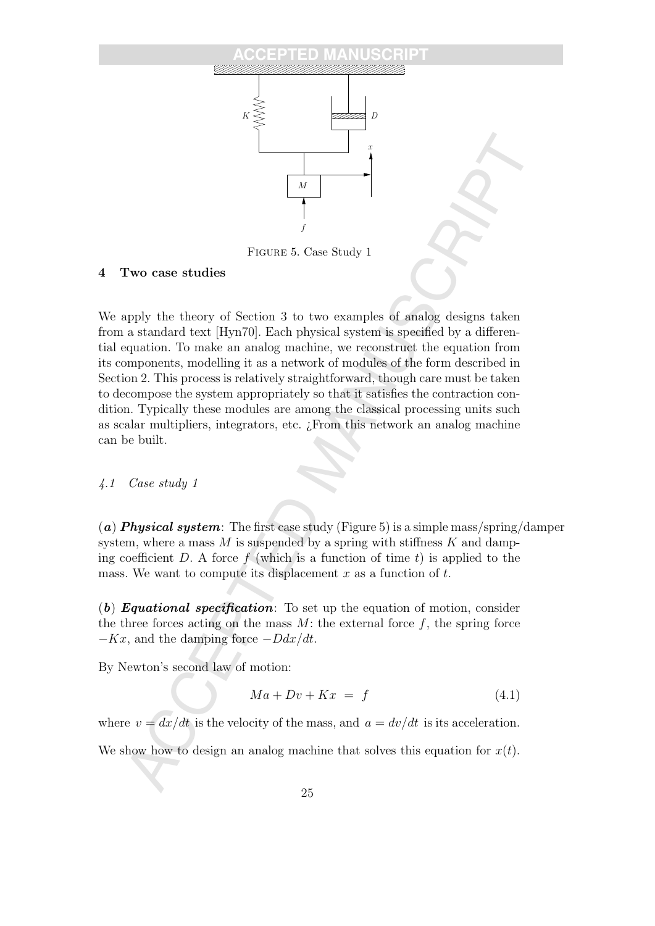

Figure 5. Case Study 1

### 4 Two case studies

**Example 18**<br> **Example 18**<br> **Example 18**<br> **Example 18**<br> **Example the theory of Section 3 to two examples of analog designs taken**<br>
a standard text [Hyn70]. Each physical system is specified by a differen-<br>
a standard text We apply the theory of Section 3 to two examples of analog designs taken from a standard text [Hyn70]. Each physical system is specified by a differential equation. To make an analog machine, we reconstruct the equation from its components, modelling it as a network of modules of the form described in Section 2. This process is relatively straightforward, though care must be taken to decompose the system appropriately so that it satisfies the contraction condition. Typically these modules are among the classical processing units such as scalar multipliers, integrators, etc. ¿From this network an analog machine can be built.

#### 4.1 Case study 1

(a) **Physical system**: The first case study (Figure 5) is a simple mass/spring/damper system, where a mass  $M$  is suspended by a spring with stiffness  $K$  and damping coefficient D. A force  $f$  (which is a function of time  $t$ ) is applied to the mass. We want to compute its displacement x as a function of  $t$ .

 $(b)$  Equational specification: To set up the equation of motion, consider the three forces acting on the mass  $M$ : the external force  $f$ , the spring force  $-Kx$ , and the damping force  $-Ddx/dt$ .

By Newton's second law of motion:

$$
Ma + Dv + Kx = f \tag{4.1}
$$

where  $v = dx/dt$  is the velocity of the mass, and  $a = dv/dt$  is its acceleration.

We show how to design an analog machine that solves this equation for  $x(t)$ .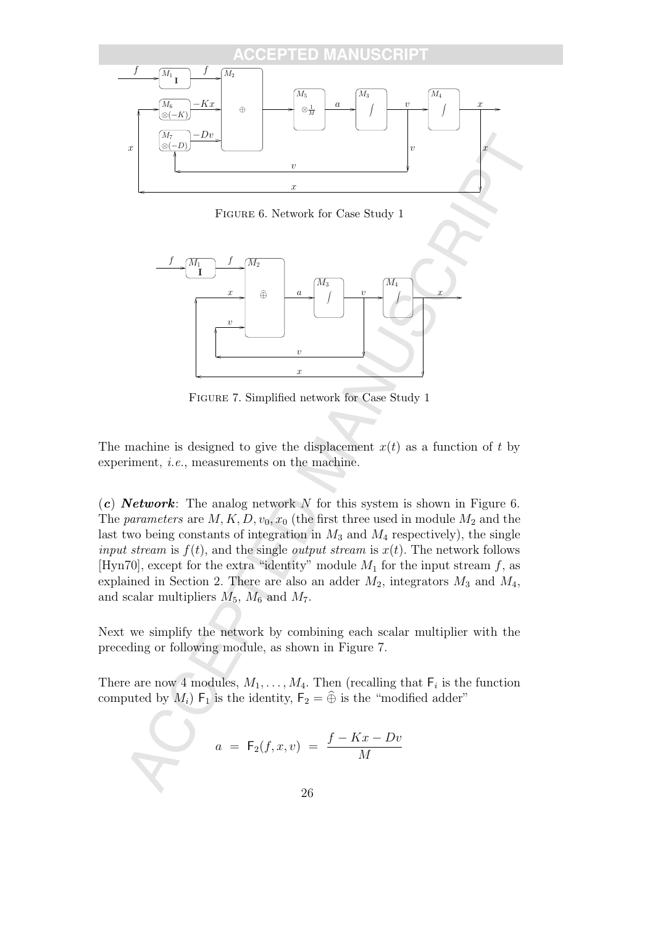

Figure 6. Network for Case Study 1



Figure 7. Simplified network for Case Study 1

The machine is designed to give the displacement  $x(t)$  as a function of t by experiment, i.e., measurements on the machine.

(c) **Network**: The analog network N for this system is shown in Figure 6. The parameters are  $M, K, D, v_0, x_0$  (the first three used in module  $M_2$  and the last two being constants of integration in  $M_3$  and  $M_4$  respectively), the single input stream is  $f(t)$ , and the single *output stream* is  $x(t)$ . The network follows [Hyn70], except for the extra "identity" module  $M_1$  for the input stream f, as explained in Section 2. There are also an adder  $M_2$ , integrators  $M_3$  and  $M_4$ , and scalar multipliers  $M_5$ ,  $M_6$  and  $M_7$ .

Next we simplify the network by combining each scalar multiplier with the preceding or following module, as shown in Figure 7.

There are now 4 modules,  $M_1, \ldots, M_4$ . Then (recalling that  $F_i$  is the function computed by  $M_i$ )  $\mathsf{F}_1$  is the identity,  $\mathsf{F}_2 = \widehat{\oplus}$  is the "modified adder"

$$
a = F_2(f, x, v) = \frac{f - Kx - Dv}{M}
$$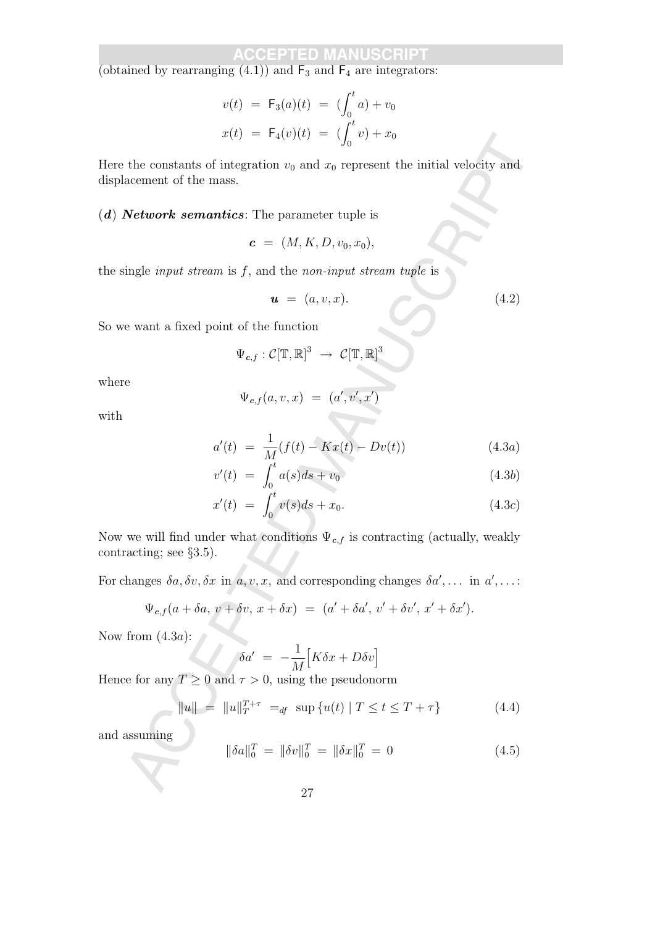(obtained by rearranging  $(4.1)$ ) and  $\mathsf{F}_3$  and  $\mathsf{F}_4$  are integrators:

$$
v(t) = F_3(a)(t) = (\int_0^t a) + v_0
$$
  

$$
x(t) = F_4(v)(t) = (\int_0^t v) + x_0
$$

Here the constants of integration  $v_0$  and  $x_0$  represent the initial velocity and displacement of the mass.

 $(d)$  **Network semantics**: The parameter tuple is

$$
c = (M, K, D, v_0, x_0),
$$

the single *input stream* is  $f$ , and the *non-input stream tuple* is

$$
\mathbf{u} = (a, v, x). \tag{4.2}
$$

So we want a fixed point of the function

$$
\Psi_{c,f}:\mathcal{C}[\mathbb{T},\mathbb{R}]^3\;\rightarrow\; \mathcal{C}[\mathbb{T},\mathbb{R}]^3
$$

where

$$
\Psi_{\boldsymbol{c},f}(a,v,x) \,\,=\,\, (a',v',x')
$$

with

$$
a'(t) = \frac{1}{M}(f(t) - Kx(t) - Dv(t))
$$
\n(4.3a)

$$
v'(t) = \int_0^t a(s)ds + v_0 \tag{4.3b}
$$

$$
x'(t) = \int_0^t v(s)ds + x_0.
$$
 (4.3c)

 $x(t) = F_1(0)(t) = \sum_{ij} c_j + x_0$ <br>
the constants of integration  $r_0$  and  $x_0$  represent the initial velocity and<br>
accentrated the mass.<br> **Network semantics:** The parameter tuple is<br>  $c = (M, K, D, r_0, r_0)$ ,<br>
ingle input stream is Now we will find under what conditions  $\Psi_{c,f}$  is contracting (actually, weakly contracting; see §3.5).

For changes  $\delta a, \delta v, \delta x$  in  $a, v, x$ , and corresponding changes  $\delta a', \ldots$  in  $a', \ldots$ :

$$
\Psi_{c,f}(a+\delta a, v+\delta v, x+\delta x) = (a'+\delta a', v'+\delta v', x'+\delta x').
$$

Now from  $(4.3a)$ :

$$
\delta a' = -\frac{1}{M} \Big[ K \delta x + D \delta v \Big]
$$

Hence for any  $T \geq 0$  and  $\tau > 0$ , using the pseudonorm

$$
||u|| = ||u||_T^{T+\tau} =_{df} \sup \{u(t) | T \le t \le T+\tau\}
$$
\n(4.4)

and assuming

$$
\|\delta a\|_0^T = \|\delta v\|_0^T = \|\delta x\|_0^T = 0 \tag{4.5}
$$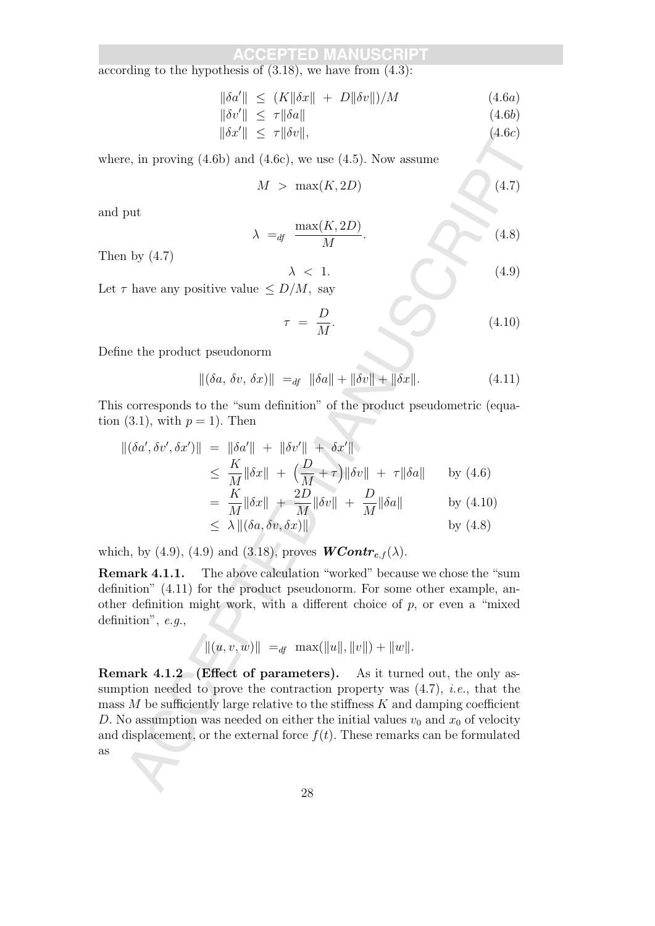according to the hypothesis of  $(3.18)$ , we have from  $(4.3)$ :

$$
\|\delta a'\| \le (K\|\delta x\| + D\|\delta v\|)/M \tag{4.6a}
$$

$$
\|\delta v'\| \le \tau \|\delta a\| \tag{4.6b}
$$

$$
\|\delta x'\| \le \tau \|\delta v\|,\tag{4.6c}
$$

where, in proving  $(4.6b)$  and  $(4.6c)$ , we use  $(4.5)$ . Now assume

$$
M > \max(K, 2D) \tag{4.7}
$$

and put

$$
\lambda =_{df} \frac{\max(K, 2D)}{M}.
$$
\n(4.8)

Then by (4.7)

$$
\lambda < 1. \tag{4.9}
$$

Let  $\tau$  have any positive value  $\leq D/M$ , say

$$
\tau = \frac{D}{M}.\tag{4.10}
$$

Define the product pseudonorm

$$
\|(\delta a, \, \delta v, \, \delta x)\| \ =_{df} \|\delta a\| + \|\delta v\| + \|\delta x\|.\tag{4.11}
$$

This corresponds to the "sum definition" of the product pseudometric (equation (3.1), with  $p = 1$ ). Then

$$
\begin{aligned} \|(\delta a', \delta v', \delta x')\| &= \| \delta a' \| + \| \delta v' \| + \delta x' \| \\ &\leq \frac{K}{M} \| \delta x \| + \left( \frac{D}{M} + \tau \right) \| \delta v \| + \tau \| \delta a \| \qquad \text{by (4.6)} \\ &= \frac{K}{M} \| \delta x \| + \frac{2D}{M} \| \delta v \| + \frac{D}{M} \| \delta a \| \qquad \text{by (4.10)} \end{aligned}
$$

$$
\leq \lambda \|(\delta a, \delta v, \delta x)\|
$$
 by (4.8)

which, by (4.9), (4.9) and (3.18), proves  $WContr_{c,f}(\lambda)$ .

Remark 4.1.1. The above calculation "worked" because we chose the "sum definition" (4.11) for the product pseudonorm. For some other example, another definition might work, with a different choice of  $p$ , or even a "mixed" definition", e.g.,

$$
||(u, v, w)|| =_{df} \max(||u||, ||v||) + ||w||.
$$

e, in proving  $(4.6b)$  and  $(4.6c)$ , we use  $(4.5)$ . Now assume<br>  $M > \max(K, 2D)$ <br>
(4.7)<br>  $\lambda = q \frac{\max(K, 2D)}{M}$ .<br>
(4.8)<br>  $\lambda$  the vector of  $\lambda$  and  $\lambda$  and  $\lambda$  and  $\lambda$  and  $\lambda$  and  $\lambda$  and  $\lambda$  and  $\lambda$  and  $\tau = \frac{D}{M}$ .<br> Remark 4.1.2 (Effect of parameters). As it turned out, the only assumption needed to prove the contraction property was  $(4.7)$ , *i.e.*, that the mass  $M$  be sufficiently large relative to the stiffness  $K$  and damping coefficient D. No assumption was needed on either the initial values  $v_0$  and  $x_0$  of velocity and displacement, or the external force  $f(t)$ . These remarks can be formulated as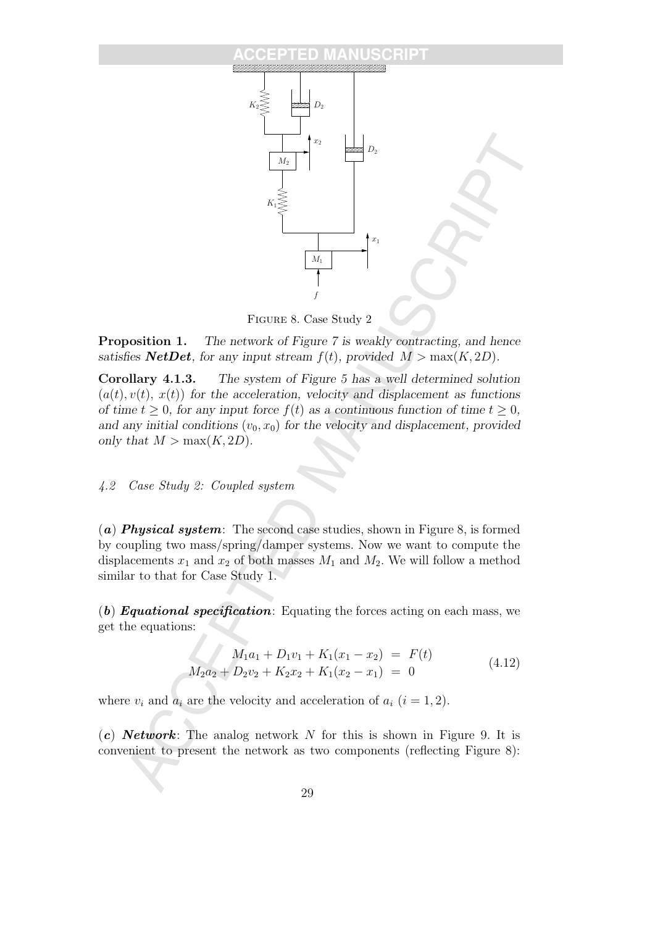#### **SCRIPT**



Figure 8. Case Study 2

**Proposition 1.** The network of Figure 7 is weakly contracting, and hence satisfies **NetDet**, for any input stream  $f(t)$ , provided  $M > \max(K, 2D)$ .

Corollary 4.1.3. The system of Figure 5 has a well determined solution  $(a(t), v(t), x(t))$  for the acceleration, velocity and displacement as functions of time  $t > 0$ , for any input force  $f(t)$  as a continuous function of time  $t > 0$ , and any initial conditions  $(v_0, x_0)$  for the velocity and displacement, provided only that  $M > \max(K, 2D)$ .

4.2 Case Study 2: Coupled system

(a) **Physical system**: The second case studies, shown in Figure 8, is formed by coupling two mass/spring/damper systems. Now we want to compute the displacements  $x_1$  and  $x_2$  of both masses  $M_1$  and  $M_2$ . We will follow a method similar to that for Case Study 1.

(b) **Equational specification**: Equating the forces acting on each mass, we get the equations:

$$
M_1a_1 + D_1v_1 + K_1(x_1 - x_2) = F(t)
$$
  
\n
$$
M_2a_2 + D_2v_2 + K_2x_2 + K_1(x_2 - x_1) = 0
$$
\n(4.12)

where  $v_i$  and  $a_i$  are the velocity and acceleration of  $a_i$   $(i = 1, 2)$ .

 $(c)$  **Network**: The analog network N for this is shown in Figure 9. It is convenient to present the network as two components (reflecting Figure 8):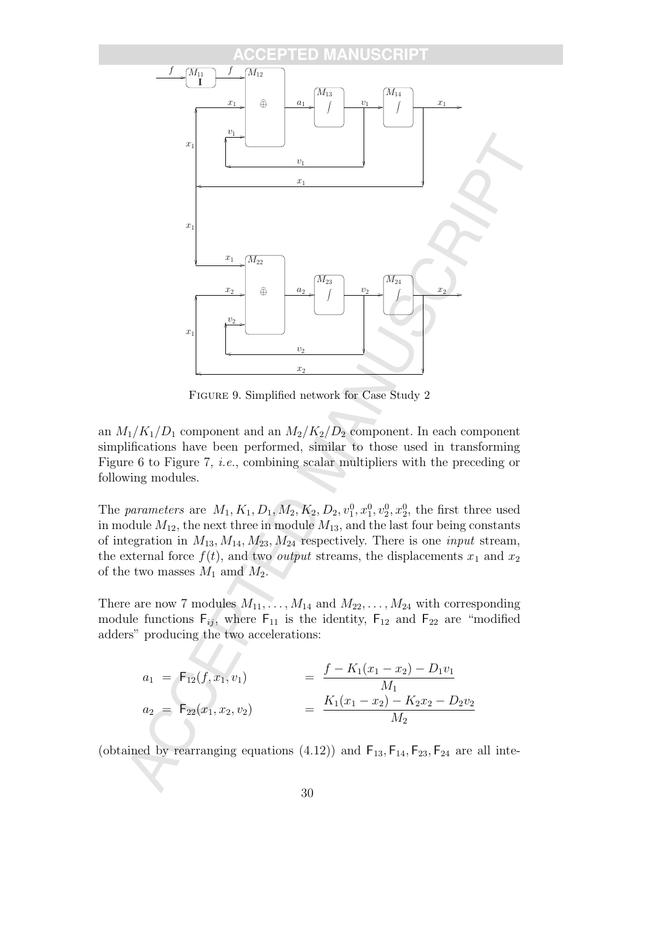

Figure 9. Simplified network for Case Study 2

an  $M_1/K_1/D_1$  component and an  $M_2/K_2/D_2$  component. In each component simplifications have been performed, similar to those used in transforming Figure 6 to Figure 7, i.e., combining scalar multipliers with the preceding or following modules.

The parameters are  $M_1, K_1, D_1, M_2, K_2, D_2, v_1^0, x_1^0, v_2^0, x_2^0$ , the first three used in module  $M_{12}$ , the next three in module  $M_{13}$ , and the last four being constants of integration in  $M_{13}$ ,  $M_{14}$ ,  $M_{23}$ ,  $M_{24}$  respectively. There is one *input* stream, the external force  $f(t)$ , and two *output* streams, the displacements  $x_1$  and  $x_2$ of the two masses  $M_1$  amd  $M_2$ .

There are now 7 modules  $M_{11}, \ldots, M_{14}$  and  $M_{22}, \ldots, M_{24}$  with corresponding module functions  $F_{ij}$ , where  $F_{11}$  is the identity,  $F_{12}$  and  $F_{22}$  are "modified adders" producing the two accelerations:

$$
a_1 = F_{12}(f, x_1, v_1) = \frac{f - K_1(x_1 - x_2) - D_1v_1}{M_1}
$$
  
\n
$$
a_2 = F_{22}(x_1, x_2, v_2) = \frac{K_1(x_1 - x_2) - K_2x_2 - D_2v_2}{M_2}
$$

(obtained by rearranging equations (4.12)) and  $F_{13}$ ,  $F_{14}$ ,  $F_{23}$ ,  $F_{24}$  are all inte-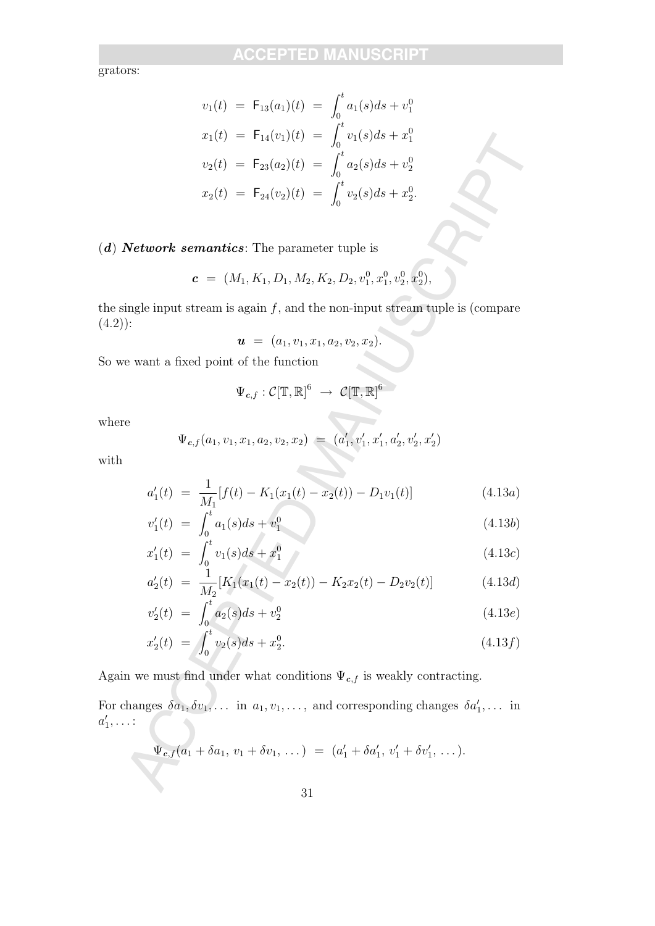grators:

$$
v_1(t) = F_{13}(a_1)(t) = \int_0^t a_1(s)ds + v_1^0
$$
  
\n
$$
x_1(t) = F_{14}(v_1)(t) = \int_0^t v_1(s)ds + x_1^0
$$
  
\n
$$
v_2(t) = F_{23}(a_2)(t) = \int_0^t a_2(s)ds + v_2^0
$$
  
\n
$$
x_2(t) = F_{24}(v_2)(t) = \int_0^t v_2(s)ds + x_2^0.
$$
  
\nNetwork semantics: The parameter tuple is  
\n
$$
c = (M_1, K_1, D_1, M_2, K_2, D_2, v_1^0, v_1^0, v_2^0, x_2^0),
$$
  
\nsingle input stream is again f, and the non-input stream tuple is (compare):  
\n
$$
u = (a_1, v_1, x_1, a_2, v_2, x_2).
$$
  
\n
$$
v_{c,f} : C[\mathbb{T}, \mathbb{R}]_0^6 \rightarrow C[\mathbb{T}, \mathbb{R}]_0^6
$$
  
\n
$$
\Psi_{c,f}(a_1, v_1, x_1, a_2, v_2, x_2) = (a'_1, v'_1, x'_1, a'_2, v'_2, x'_2)
$$
  
\n
$$
a'_1(t) = \frac{1}{M_1}[f(t) - K_1(x_1(t) - x_2(t)) - D_1v_1(t)] \qquad (4.13a)
$$
  
\n
$$
v'_1(t) = \int_0^t a_1(s)ds + v_1^0 \qquad (4.13b)
$$
  
\n
$$
a'_2(t) = \frac{1}{M_2}[K_1(x_1(t) - x_2(t)) - K_2x_2(t) - D_2v_2(t)] \qquad (4.13d)
$$
  
\n
$$
v'_2(t) = \int_0^t a_2(s)ds + v_2^0 \qquad (4.13e)
$$
  
\n
$$
a'_2(t) = \int_0^t a_2(s)ds + v_2^0 \qquad (4.13f)
$$
  
\n
$$
w_{c,f}(a_1 + \delta a_1, v_1 + \delta v_1, \dots) = (a'_1 + \delta a'_1, v'_1 + \delta v'_1, \
$$

 $(d)$  **Network semantics**: The parameter tuple is

$$
\boldsymbol{c} = (M_1, K_1, D_1, M_2, K_2, D_2, v_1^0, x_1^0, v_2^0, x_2^0),
$$

the single input stream is again  $f$ , and the non-input stream tuple is (compare  $(4.2)$ :

$$
\boldsymbol{u} = (a_1, v_1, x_1, a_2, v_2, x_2).
$$

So we want a fixed point of the function

$$
\Psi_{c,f}:\mathcal{C}[\mathbb{T},\mathbb{R}]^6\;\rightarrow\; \mathcal{C}[\mathbb{T},\mathbb{R}]^6
$$

where

$$
\Psi_{c,f}(a_1,v_1,x_1,a_2,v_2,x_2) = (a'_1,v'_1,x'_1,a'_2,v'_2,x'_2)
$$

with

$$
a_1'(t) = \frac{1}{M_1} [f(t) - K_1(x_1(t) - x_2(t)) - D_1v_1(t)] \qquad (4.13a)
$$

$$
v_1'(t) = \int_0^t a_1(s)ds + v_1^0 \tag{4.13b}
$$

$$
x_1'(t) = \int_0^t v_1(s)ds + x_1^0 \tag{4.13c}
$$

$$
a_2'(t) = \frac{1}{M_2} [K_1(x_1(t) - x_2(t)) - K_2 x_2(t) - D_2 v_2(t)] \qquad (4.13d)
$$

$$
v_2'(t) = \int_0^t a_2(s)ds + v_2^0 \tag{4.13e}
$$

$$
x_2'(t) = \int_0^t v_2(s)ds + x_2^0.
$$
\n(4.13f)

Again we must find under what conditions  $\Psi_{c,f}$  is weakly contracting.

For changes  $\delta a_1, \delta v_1, \ldots$  in  $a_1, v_1, \ldots$ , and corresponding changes  $\delta a'_1, \ldots$  in  $a'_1, \ldots$ :

$$
\Psi_{c,f}(a_1+\delta a_1, v_1+\delta v_1, \dots) = (a'_1+\delta a'_1, v'_1+\delta v'_1, \dots).
$$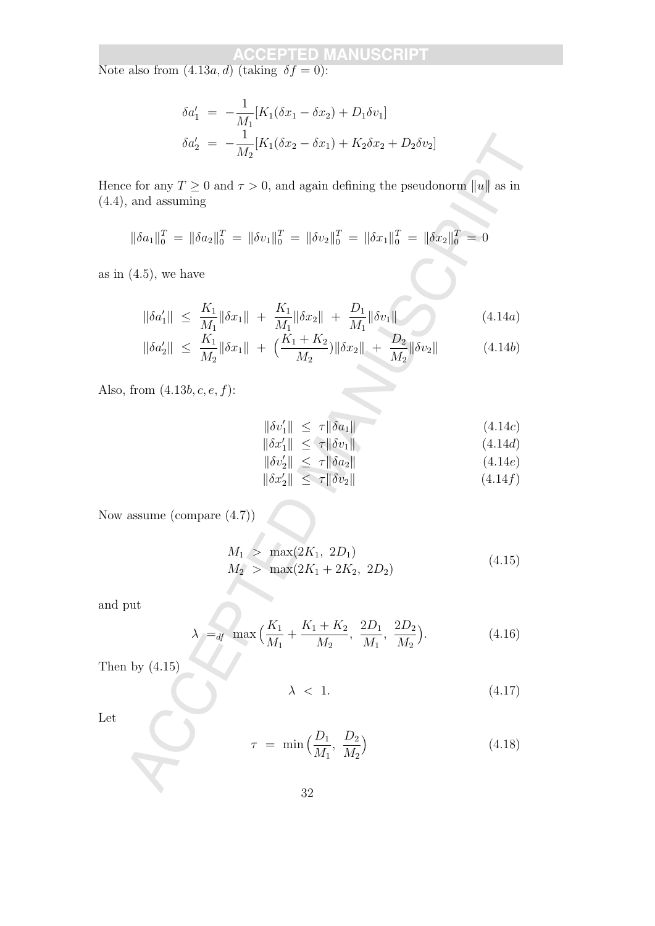Note also from  $(4.13a, d)$  (taking  $\delta f = 0$ ):

$$
\delta a_1' = -\frac{1}{M_1} [K_1(\delta x_1 - \delta x_2) + D_1 \delta v_1]
$$
  

$$
\delta a_2' = -\frac{1}{M_2} [K_1(\delta x_2 - \delta x_1) + K_2 \delta x_2 + D_2 \delta v_2]
$$

Hence for any  $T \ge 0$  and  $\tau > 0$ , and again defining the pseudonorm  $||u||$  as in (4.4), and assuming

$$
\|\delta a_1\|_0^T = \|\delta a_2\|_0^T = \|\delta v_1\|_0^T = \|\delta v_2\|_0^T = \|\delta x_1\|_0^T = \|\delta x_2\|_0^T = 0
$$

as in  $(4.5)$ , we have

$$
\delta a'_{2} = -\frac{1}{M_{2}} [K_{1}(\delta x_{2} - \delta x_{1}) + K_{2}\delta x_{2} + D_{2}\delta v_{2}]
$$
  
\nwe for any  $T \ge 0$  and  $\tau > 0$ , and again defining the pseudonorm ||u|| as in  
\n, and assuming  
\n
$$
\|\delta a_{1}\|_{0}^{T} = \|\delta a_{2}\|_{0}^{T} = \|\delta v_{1}\|_{0}^{T} = \|\delta v_{2}\|_{0}^{T} = \|\delta x_{1}\|_{0}^{T} = \|\delta x_{2}\|_{0}^{T} = 0
$$
\n(4.5), we have  
\n
$$
\|\delta a'_{1}\| \le \frac{K_{1}}{M_{1}} \|\delta x_{1}\| + \frac{K_{1}}{M_{1}} \|\delta x_{2}\| + \frac{D_{1}}{M_{1}} \|\delta v_{1}\|
$$
\n(4.14a)  
\n
$$
\|\delta a'_{2}\| \le \frac{K_{1}}{M_{2}} \|\delta x_{1}\| + (\frac{K_{1} + K_{2}}{M_{2}}) \|\delta x_{2}\| + \frac{D_{2}}{M_{2}} \|\delta v_{2}\|
$$
\n(4.14b)  
\n, from (4.13b, c, e, f):  
\n
$$
\|\delta v'_{1}\| \le \tau \|\delta a_{1}\|
$$
\n(4.14c)  
\n
$$
\|\delta v'_{1}\| \le \tau \|\delta a_{2}\|
$$
\n(4.14e)  
\n
$$
\|\delta v'_{2}\| \le \tau \|\delta v_{2}\|
$$
\n(4.14f)  
\nassume (compare (4.7))  
\n
$$
M_{1} > \max(2K_{1} , 2D_{1})
$$
\n
$$
M_{2} > \max(2K_{1} + 2K_{2} , 2D_{2})
$$
\n(4.15)  
\n
$$
\lambda =_{d'} \max(\frac{K_{1}}{M_{1}} + \frac{K_{1} + K_{2}}{M_{2}}, \frac{2D_{1}}{M_{1}}, \frac{2D_{2}}{M_{2}}).
$$
\n(4.16)  
\nby (4.15)  
\n
$$
\lambda < 1.
$$
\n(4.17)  
\n
$$
\tau = \min
$$

$$
\|\delta a_2'\| \le \frac{K_1}{M_2} \|\delta x_1\| + \left(\frac{K_1 + K_2}{M_2}\right) \|\delta x_2\| + \frac{D_2}{M_2} \|\delta v_2\| \tag{4.14b}
$$

Also, from  $(4.13b, c, e, f)$ :

$$
\|\delta v_1'\| \le \tau \|\delta a_1\| \tag{4.14c}
$$

- $\|\delta x_1'\| \leq \tau \|\delta v_1\|$  (4.14d)
- $\|\delta v_2'\| \leq \tau \|\delta a_2\|$  (4.14e)
- $\|\delta x_2'\| \leq \tau \|\delta v_2\|$  (4.14f)

Now assume (compare (4.7))

$$
M_1 > \max(2K_1, 2D_1)
$$
  
\n
$$
M_2 > \max(2K_1 + 2K_2, 2D_2)
$$
\n(4.15)

and put

$$
\lambda_{\parallel} =_{df} \max \Big( \frac{K_1}{M_1} + \frac{K_1 + K_2}{M_2}, \ \frac{2D_1}{M_1}, \ \frac{2D_2}{M_2} \Big). \tag{4.16}
$$

Then by  $(4.15)$ 

$$
\lambda \, < \, 1. \tag{4.17}
$$

Let

$$
\tau = \min\left(\frac{D_1}{M_1}, \frac{D_2}{M_2}\right) \tag{4.18}
$$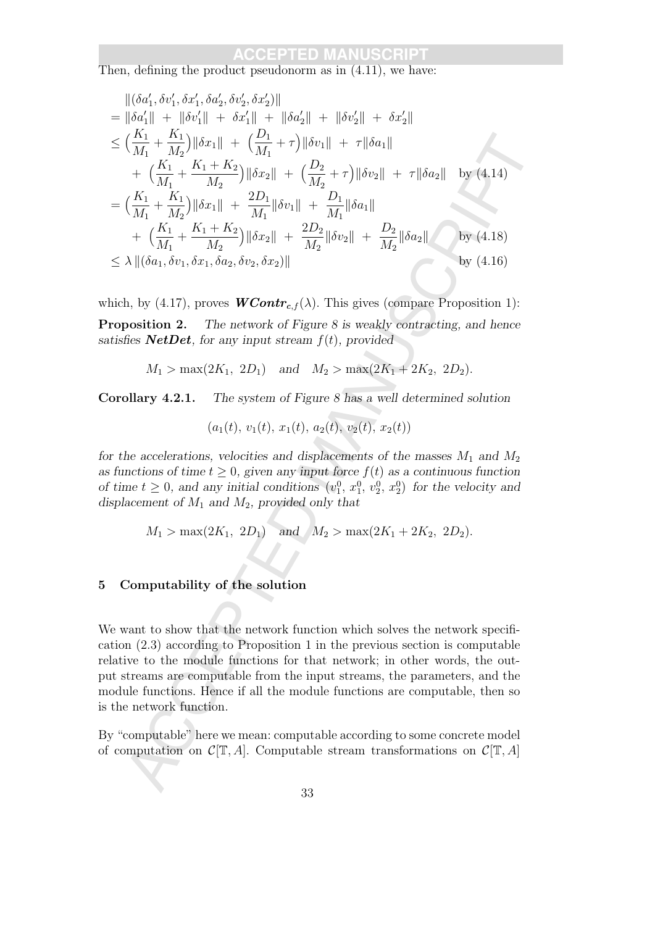Then, defining the product pseudonorm as in  $(4.11)$ , we have:

$$
\begin{aligned}\n\|\delta a'_1, \delta v'_1, \delta x'_1, \delta a'_2, \delta v'_2, \delta x'_2\| \\
&= \|\delta a'_1\| + \|\delta v'_1\| + \delta x'_1\| + \|\delta a'_2\| + \|\delta v'_2\| + \delta x'_2\| \\
&\leq \left(\frac{K_1}{M_1} + \frac{K_1}{M_2}\right) \|\delta x_1\| + \left(\frac{D_1}{M_1} + \tau\right) \|\delta v_1\| + \tau \|\delta a_1\| \\
&+ \left(\frac{K_1}{M_1} + \frac{K_1 + K_2}{M_2}\right) \|\delta x_2\| + \left(\frac{D_2}{M_2} + \tau\right) \|\delta v_2\| + \tau \|\delta a_2\| \quad \text{by (4.14)} \\
&= \left(\frac{K_1}{M_1} + \frac{K_1 + K_2}{M_2}\right) \|\delta x_1\| + \frac{2D_1}{M_1} \|\delta a_1\| \\
&+ \left(\frac{K_1}{M_1} + \frac{K_1 + K_2}{M_2}\right) \|\delta x_2\| + \frac{2D_2}{M_2} \|\delta v_2\| + \frac{D_2}{M_2} \|\delta a_2\| \quad \text{by (4.18)} \\
&\leq \lambda \|(\delta a_1, \delta v_1, \delta x_1, \delta a_2, \delta v_2, \delta x_2)\| \\
\text{which, by (4.17), proves } \mathbf{WContr}_{c,f}(\lambda). \text{ This gives (compare Proposition 1):}\n\end{aligned}
$$
\n
$$
\begin{aligned}\n\text{proposition 2.} \quad \text{The network of Figure 8 is weakly contracting, and hence} \\
\text{tisfies NetDet, for any input stream } f(t), provided \\
M_1 &> \max(2K_1, 2D_1) \quad \text{and} \quad M_2 &> \max(2K_1 + 2K_2, 2D_2).\n\end{aligned}
$$
\n
$$
\text{orollary 4.2.1.} \quad \text{The system of Figure 8 has a well determined solution} \\
(a_1(t), v_1(t), x_1(t), a_2(t), v_2(t), x_2(t)) \\
\text{or } t \text{ the accelerations, velocities and displacement of } M_1 \text{ and } M_2, \text{ provides only that} \\
M_1 &> \max(2
$$

which, by (4.17), proves  $WContr_{c,f}(\lambda)$ . This gives (compare Proposition 1):

**Proposition 2.** The network of Figure 8 is weakly contracting, and hence satisfies **NetDet**, for any input stream  $f(t)$ , provided

 $M_1 > \max(2K_1, 2D_1)$  and  $M_2 > \max(2K_1 + 2K_2, 2D_2)$ .

Corollary 4.2.1. The system of Figure 8 has a well determined solution

$$
(a_1(t), v_1(t), x_1(t), a_2(t), v_2(t), x_2(t))
$$

for the accelerations, velocities and displacements of the masses  $M_1$  and  $M_2$ as functions of time  $t > 0$ , given any input force  $f(t)$  as a continuous function of time  $t \geq 0$ , and any initial conditions  $(v_1^0, x_1^0, v_2^0, x_2^0)$  for the velocity and displacement of  $M_1$  and  $M_2$ , provided only that

$$
M_1 > \max(2K_1, 2D_1)
$$
 and  $M_2 > \max(2K_1 + 2K_2, 2D_2)$ .

### 5 Computability of the solution

We want to show that the network function which solves the network specification (2.3) according to Proposition 1 in the previous section is computable relative to the module functions for that network; in other words, the output streams are computable from the input streams, the parameters, and the module functions. Hence if all the module functions are computable, then so is the network function.

By "computable" here we mean: computable according to some concrete model of computation on  $\mathcal{C}[\mathbb{T}, A]$ . Computable stream transformations on  $\mathcal{C}[\mathbb{T}, A]$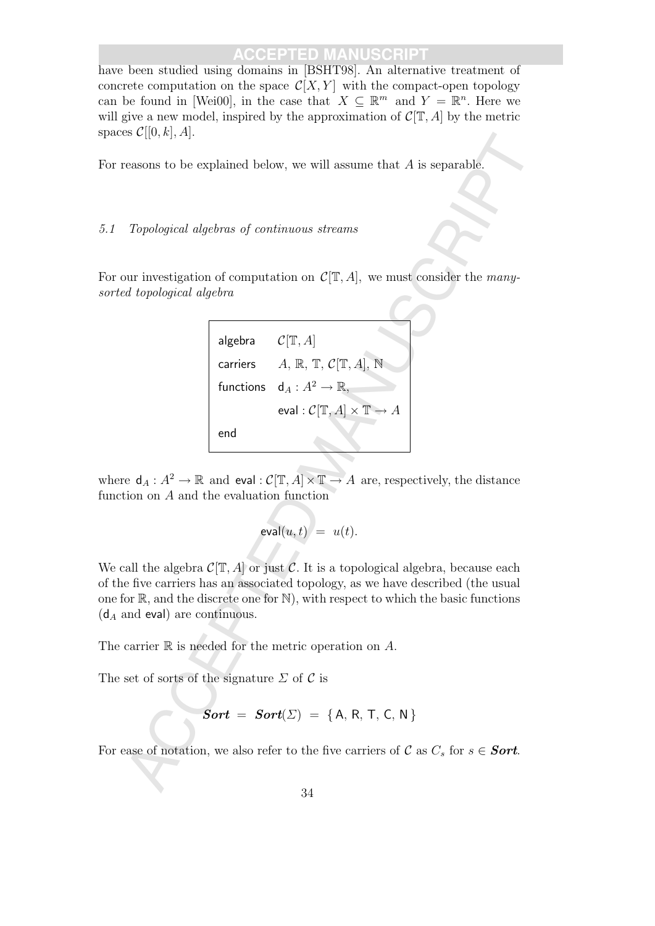have been studied using domains in [BSHT98]. An alternative treatment of concrete computation on the space  $\mathcal{C}[X, Y]$  with the compact-open topology can be found in [Wei00], in the case that  $X \subseteq \mathbb{R}^m$  and  $Y = \mathbb{R}^n$ . Here we will give a new model, inspired by the approximation of  $\mathcal{C}[\mathbb{T}, A]$  by the metric spaces  $\mathcal{C}[[0, k], A]$ .

For reasons to be explained below, we will assume that A is separable.

### 5.1 Topological algebras of continuous streams

For our investigation of computation on  $\mathcal{C}[\mathbb{T}, A]$ , we must consider the manysorted topological algebra



where  $d_A : A^2 \to \mathbb{R}$  and eval :  $C[\mathbb{T}, A] \times \mathbb{T} \to A$  are, respectively, the distance function on A and the evaluation function

$$
\mathsf{eval}(u,t)\big/\,=\,\,u(t).
$$

We call the algebra  $C[T, A]$  or just C. It is a topological algebra, because each of the five carriers has an associated topology, as we have described (the usual one for  $\mathbb{R}$ , and the discrete one for  $\mathbb{N}$ ), with respect to which the basic functions  $(d_A \text{ and eval})$  are continuous.

The carrier  $\mathbb R$  is needed for the metric operation on  $A$ .

The set of sorts of the signature  $\Sigma$  of  $\mathcal C$  is

$$
Sort = Sort(\Sigma) = \{A, R, T, C, N\}
$$

For ease of notation, we also refer to the five carriers of C as  $C_s$  for  $s \in$  **Sort.**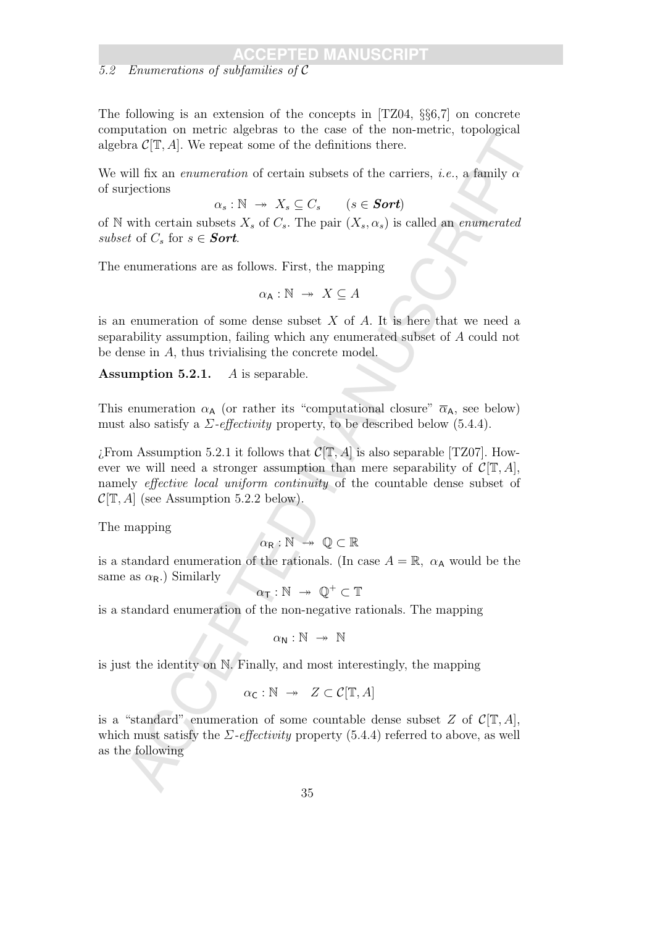### 5.2 Enumerations of subfamilies of C

The following is an extension of the concepts in  $[TZ04, \S66, 7]$  on concrete computation on metric algebras to the case of the non-metric, topological algebra  $\mathcal{C}[\mathbb{T}, A]$ . We repeat some of the definitions there.

We will fix an *enumeration* of certain subsets of the carriers, *i.e.*, a family  $\alpha$ of surjections

 $\alpha_s : \mathbb{N} \to X_s \subseteq C_s \qquad (s \in **Sort**)$ 

of N with certain subsets  $X_s$  of  $C_s$ . The pair  $(X_s, \alpha_s)$  is called an *enumerated* subset of  $C_s$  for  $s \in$  **Sort**.

The enumerations are as follows. First, the mapping

$$
\alpha_{\mathsf{A}} : \mathbb{N} \to X \subseteq A
$$

is an enumeration of some dense subset  $X$  of  $A$ . It is here that we need a separability assumption, failing which any enumerated subset of A could not be dense in A, thus trivialising the concrete model.

**Assumption 5.2.1.** A is separable.

This enumeration  $\alpha_{\mathsf{A}}$  (or rather its "computational closure"  $\overline{\alpha}_{\mathsf{A}}$ , see below) must also satisfy a  $\Sigma$ -effectivity property, to be described below (5.4.4).

For CPT. All, We repeat some of the definitions then,<br>
we (PT, Al, We repeat some of the definitions then,<br>
will fix an envancemtion of certain subsets of the carriers, i.e., a family of<br>
rigidiums<br>
with certain subsets  $\chi$ From Assumption 5.2.1 it follows that  $\mathcal{C}[\mathbb{T}, A]$  is also separable [TZ07]. However we will need a stronger assumption than mere separability of  $\mathcal{C}[\mathbb{T}, A]$ , namely *effective local uniform continuity* of the countable dense subset of  $\mathcal{C}[\mathbb{T}, A]$  (see Assumption 5.2.2 below).

The mapping

$$
\alpha_{\mathsf{R}}:\mathbb{N}\ \twoheadrightarrow\ \mathbb{Q}\subset\mathbb{R}
$$

is a standard enumeration of the rationals. (In case  $A = \mathbb{R}$ ,  $\alpha_A$  would be the same as  $\alpha_{\rm R}$ .) Similarly

$$
\alpha_\mathsf{T}:\mathbb{N}\ \twoheadrightarrow\ \mathbb{Q}^+\subset\mathbb{T}
$$

is a standard enumeration of the non-negative rationals. The mapping

$$
\alpha_\mathsf{N}:\mathbb{N}\ \twoheadrightarrow\ \mathbb{N}
$$

is just the identity on N. Finally, and most interestingly, the mapping

$$
\alpha_{\mathsf{C}} : \mathbb{N} \to Z \subset \mathcal{C}[\mathbb{T}, A]
$$

is a "standard" enumeration of some countable dense subset Z of  $C[T, A]$ , which must satisfy the  $\Sigma$ -effectivity property (5.4.4) referred to above, as well as the following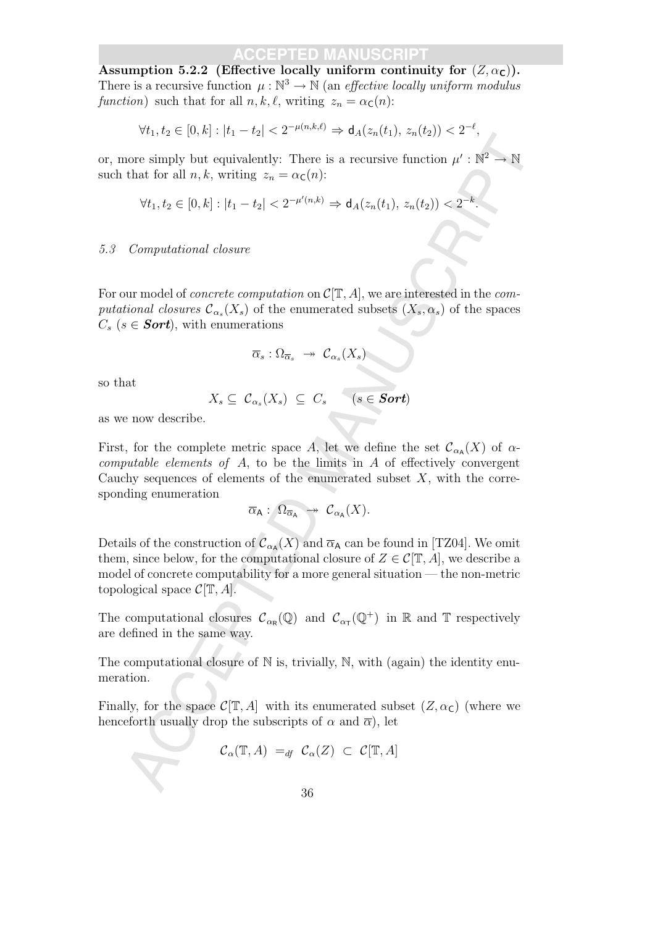Assumption 5.2.2 (Effective locally uniform continuity for  $(Z, \alpha_C)$ ). There is a recursive function  $\mu : \mathbb{N}^3 \to \mathbb{N}$  (an *effective locally uniform modulus* function) such that for all  $n, k, \ell$ , writing  $z_n = \alpha_c(n)$ :

$$
\forall t_1, t_2 \in [0, k] : |t_1 - t_2| < 2^{-\mu(n, k, \ell)} \Rightarrow \mathsf{d}_A(z_n(t_1), z_n(t_2)) < 2^{-\ell},
$$

or, more simply but equivalently: There is a recursive function  $\mu': \mathbb{N}^2 \to \mathbb{N}$ such that for all  $n, k$ , writing  $z_n = \alpha_{\mathsf{C}}(n)$ :

$$
\forall t_1, t_2 \in [0, k] : |t_1 - t_2| < 2^{-\mu'(n,k)} \Rightarrow d_A(z_n(t_1), z_n(t_2)) < 2^{-k}.
$$

#### 5.3 Computational closure

For our model of *concrete computation* on  $\mathcal{C}[\mathbb{T}, A]$ , we are interested in the *com*putational closures  $\mathcal{C}_{\alpha_s}(X_s)$  of the enumerated subsets  $(X_s, \alpha_s)$  of the spaces  $C_s$  ( $s \in$  **Sort**), with enumerations

$$
\overline{\alpha}_s : \Omega_{\overline{\alpha}_s} \rightarrow {\mathcal C}_{\alpha_s}(X_s)
$$

so that

$$
X_s \subseteq \mathcal{C}_{\alpha_s}(X_s) \subseteq C_s \qquad (s \in Sort)
$$

as we now describe.

First, for the complete metric space A, let we define the set  $\mathcal{C}_{\alpha_{\mathsf{A}}}(X)$  of  $\alpha$ computable elements of  $A$ , to be the limits in  $A$  of effectively convergent Cauchy sequences of elements of the enumerated subset  $X$ , with the corresponding enumeration

$$
\overline{\alpha}_A: \ \Omega_{\overline{\alpha}_A} \ \twoheadrightarrow \ \mathcal{C}_{\alpha_A}(X).
$$

 $V_{1,1,2}$  ( $(v, n)$ ,  $|v_1|$ ,  $v_2$ )  $\leq$   $\rightarrow$   $Q_1(x_0)(1)$ ,  $\neg n(v_2)$ )  $\leq$  2.<br>
that for all *n*, *k*, writing  $z_n = \alpha_C(n)$ :<br>
that for all *n*, *k*, writing  $z_n = \alpha_C(n)$ :<br>  $\forall t_1, t_2 \in [0, k] : |t_1 - t_2| < 2^{-p'(n,k)} \Rightarrow d_A(z_n(t_1), z_n(t_2))$ Details of the construction of  $\mathcal{C}_{\alpha_{\mathsf{A}}}(X)$  and  $\overline{\alpha}_{\mathsf{A}}$  can be found in [TZ04]. We omit them, since below, for the computational closure of  $Z \in \mathcal{C}[\mathbb{T}, A]$ , we describe a model of concrete computability for a more general situation — the non-metric topological space  $\mathcal{C}[\mathbb{T}, A]$ .

The computational closures  $\mathcal{C}_{\alpha_{\mathsf{R}}}(\mathbb{Q})$  and  $\mathcal{C}_{\alpha_{\mathsf{T}}}(\mathbb{Q}^+)$  in  $\mathbb R$  and  $\mathbb T$  respectively are defined in the same way.

The computational closure of  $\mathbb N$  is, trivially,  $\mathbb N$ , with (again) the identity enumeration.

Finally, for the space  $\mathcal{C}[\mathbb{T}, A]$  with its enumerated subset  $(Z, \alpha_{\mathsf{C}})$  (where we henceforth usually drop the subscripts of  $\alpha$  and  $\overline{\alpha}$ ), let

$$
\mathcal{C}_{\alpha}(\mathbb{T}, A) =_{df} \mathcal{C}_{\alpha}(Z) \subset \mathcal{C}[\mathbb{T}, A]
$$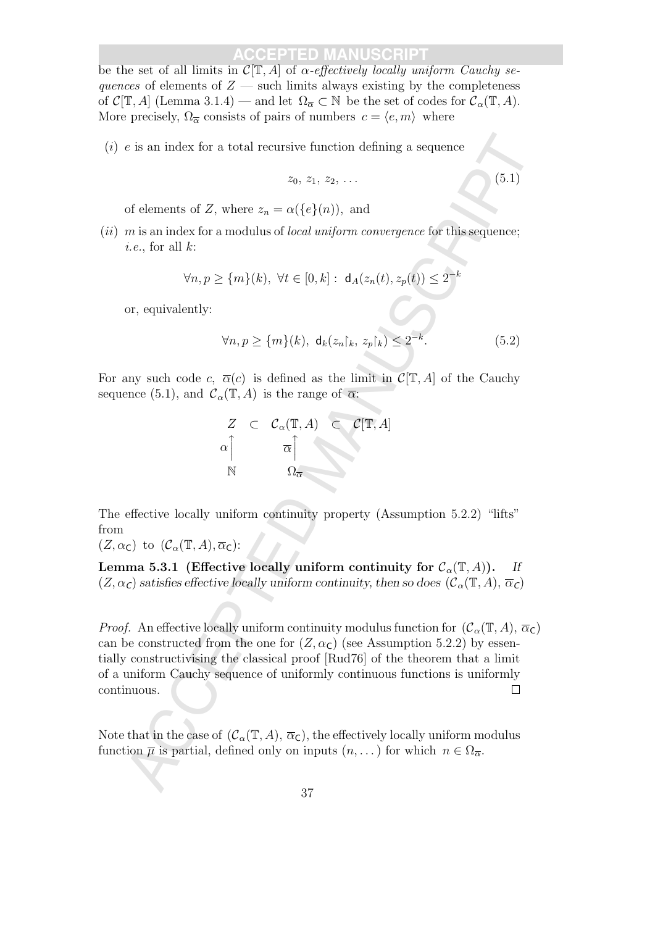be the set of all limits in  $\mathcal{C}[\mathbb{T}, A]$  of  $\alpha$ -effectively locally uniform Cauchy sequences of elements of  $Z$  — such limits always existing by the completeness of  $\mathcal{C}[\mathbb{T}, A]$  (Lemma 3.1.4) — and let  $\Omega_{\overline{\alpha}} \subset \mathbb{N}$  be the set of codes for  $\mathcal{C}_{\alpha}(\mathbb{T}, A)$ . More precisely,  $\Omega_{\overline{\alpha}}$  consists of pairs of numbers  $c = \langle e, m \rangle$  where

(*i*)  $e$  is an index for a total recursive function defining a sequence

$$
z_0, z_1, z_2, \ldots \tag{5.1}
$$

of elements of Z, where  $z_n = \alpha({e}(n))$ , and

 $(ii)$  m is an index for a modulus of *local uniform convergence* for this sequence; *i.e.*, for all  $k$ :

$$
\forall n, p \ge \{m\}(k), \ \forall t \in [0, k]: \ \mathsf{d}_A(z_n(t), z_p(t)) \le 2^{-k}
$$

or, equivalently:

$$
\forall n, p \ge \{m\}(k), \ \mathsf{d}_k(z_n\upharpoonright_k, z_p\upharpoonright_k) \le 2^{-k}.\tag{5.2}
$$

For any such code c,  $\overline{\alpha}(c)$  is defined as the limit in  $\mathcal{C}[\mathbb{T}, A]$  of the Cauchy sequence (5.1), and  $\mathcal{C}_{\alpha}(\mathbb{T}, A)$  is the range of  $\overline{\alpha}$ :



The effective locally uniform continuity property (Assumption 5.2.2) "lifts" from

 $(Z, \alpha_{\mathsf{C}})$  to  $(\mathcal{C}_{\alpha}(\mathbb{T}, A), \overline{\alpha}_{\mathsf{C}})$ :

Lemma 5.3.1 (Effective locally uniform continuity for  $C_{\alpha}(\mathbb{T}, A)$ ). If  $(Z, \alpha_C)$  satisfies effective locally uniform continuity, then so does  $(C_\alpha(\mathbb{T}, A), \overline{\alpha}_C)$ 

e is an index for a total recursive function defining a sequence<br>  $z_0, z_1, z_2, \ldots$  (5.1)<br>
of elements of Z, where  $z_n = \alpha((e_1(n)),$  and<br>
m is an index for a modulus of local and/orm convergence for this<br>sequence;<br>
i.e., for *Proof.* An effective locally uniform continuity modulus function for  $(C_\alpha(\mathbb{T}, A), \overline{\alpha}_\mathbb{C})$ can be constructed from the one for  $(Z, \alpha_{\mathsf{C}})$  (see Assumption 5.2.2) by essentially constructivising the classical proof [Rud76] of the theorem that a limit of a uniform Cauchy sequence of uniformly continuous functions is uniformly continuous.

Note that in the case of  $(C_\alpha(\mathbb{T}, A), \overline{\alpha}_c)$ , the effectively locally uniform modulus function  $\overline{\mu}$  is partial, defined only on inputs  $(n, \dots)$  for which  $n \in \Omega_{\overline{\alpha}}$ .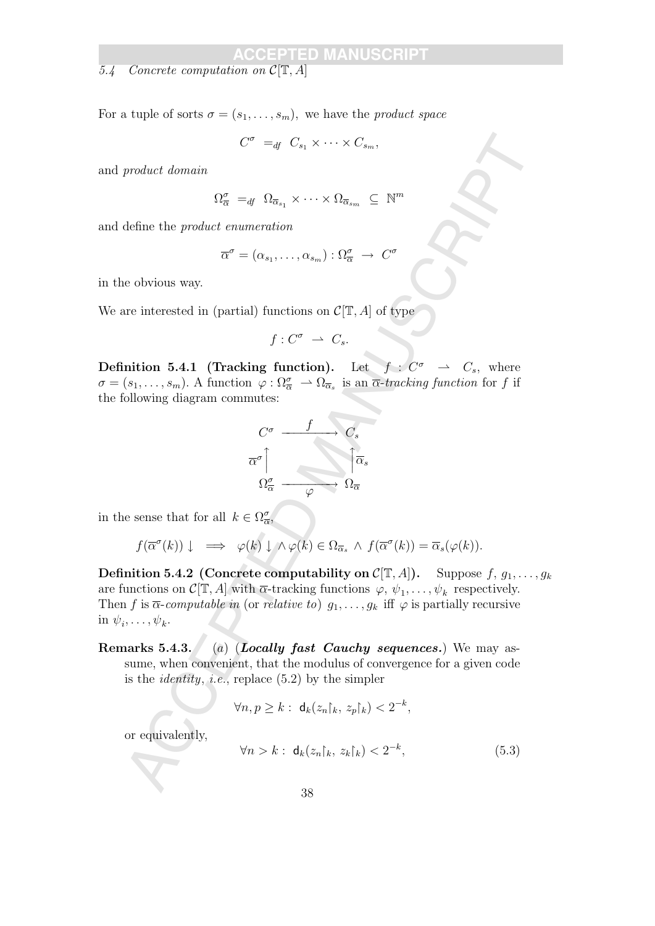5.4 Concrete computation on  $\mathcal{C}[\mathbb{T}, A]$ 

For a tuple of sorts  $\sigma = (s_1, \ldots, s_m)$ , we have the *product space* 

 $C^{\sigma} =_{df} C_{s_1} \times \cdots \times C_{s_m}$ 

and product domain

$$
\Omega^{\sigma}_{\overline{\alpha}} =_{df} \Omega_{\overline{\alpha}_{s_1}} \times \cdots \times \Omega_{\overline{\alpha}_{s_m}} \subseteq \mathbb{N}^m
$$

and define the product enumeration

$$
\overline{\alpha}^{\sigma} = (\alpha_{s_1}, \dots, \alpha_{s_m}) : \Omega_{\overline{\alpha}}^{\sigma} \rightarrow C^{\sigma}
$$

in the obvious way.

We are interested in (partial) functions on  $\mathcal{C}[\mathbb{T}, A]$  of type

$$
f: C^{\sigma} \ \rightharpoonup \ C_s.
$$

**Definition 5.4.1 (Tracking function).** Let  $f: C^{\sigma} \rightarrow C_s$ , where  $\sigma = (s_1, \ldots, s_m)$ . A function  $\varphi : \Omega_{\overline{\alpha}}^{\sigma} \to \Omega_{\overline{\alpha}_s}$  is an  $\overline{\alpha}$ -tracking function for f if the following diagram commutes:



in the sense that for all  $k \in \Omega_{\overline{\alpha}}^{\sigma}$ ,

$$
f(\overline{\alpha}^{\sigma}(k)) \downarrow \implies \varphi(k) \downarrow \wedge \varphi(k) \in \Omega_{\overline{\alpha}_s} \wedge f(\overline{\alpha}^{\sigma}(k)) = \overline{\alpha}_s(\varphi(k)).
$$

 $\label{eq:2.1} \begin{array}{l} C^{\mathcal{P}}=q\cdot C_{\eta}\times \cdots \times C_{\eta_m},\\ \text{product domain}\\ \Omega_{\overline{\alpha}}^{\mathcal{P}}=q\cdot \Omega_{\overline{\alpha}_1}\times \cdots \times \Omega_{\overline{\alpha}_m}\subseteq \mathbb{N}^n\\ \text{define the product  $\overline{\alpha}^{\mathcal{P}}=(\alpha_{i1},\ldots,\alpha_{i_m}): \Omega_{\overline{\alpha}}^{\mathcal{P}}\rightarrow C^{\mathcal{P}}\\ \text{define the product  $\overline{\alpha}^{\mathcal{P}}=(\alpha_{i1},\ldots,\alpha_{i_m}): \Omega_{$$$ **Definition 5.4.2** (Concrete computability on  $C[T, A]$ ). Suppose  $f, g_1, \ldots, g_k$ are functions on  $\mathcal{C}[\mathbb{T}, A]$  with  $\overline{\alpha}$ -tracking functions  $\varphi, \psi_1, \dots, \psi_k$  respectively. Then f is  $\overline{\alpha}$ -computable in (or relative to)  $g_1, \ldots, g_k$  iff  $\varphi$  is partially recursive in  $\psi_i, \ldots, \psi_k$ .

Remarks 5.4.3. (a) (Locally fast Cauchy sequences.) We may assume, when convenient, that the modulus of convergence for a given code is the *identity*, *i.e.*, replace  $(5.2)$  by the simpler

$$
\forall n, p \ge k : \mathsf{d}_k(z_n\upharpoonright_k, z_p\upharpoonright_k) < 2^{-k},
$$

or equivalently,

$$
\forall n > k : \mathbf{d}_k(z_n \upharpoonright_k, z_k \upharpoonright_k) < 2^{-k}, \tag{5.3}
$$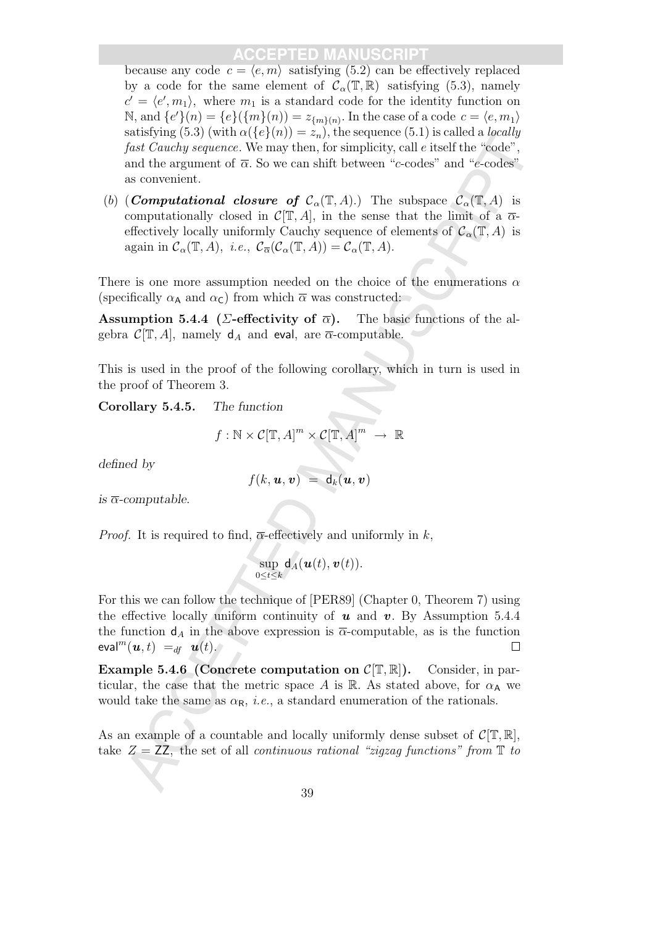because any code  $c = \langle e, m \rangle$  satisfying (5.2) can be effectively replaced by a code for the same element of  $\mathcal{C}_{\alpha}(\mathbb{T}, \mathbb{R})$  satisfying (5.3), namely  $c' = \langle e', m_1 \rangle$ , where  $m_1$  is a standard code for the identity function on N, and  ${e'}(n) = {e}(\{m\}(n)) = z_{\{m\}(n)}$ . In the case of a code  $c = \langle e, m_1 \rangle$ satisfying (5.3) (with  $\alpha({e}(n)) = z_n$ ), the sequence (5.1) is called a *locally* fast Cauchy sequence. We may then, for simplicity, call e itself the "code", and the argument of  $\overline{\alpha}$ . So we can shift between "c-codes" and "e-codes" as convenient.

(b) (**Computational closure of**  $\mathcal{C}_{\alpha}(\mathbb{T}, A)$ .) The subspace  $\mathcal{C}_{\alpha}(\mathbb{T}, A)$  is computationally closed in  $\mathcal{C}[\mathbb{T}, A]$ , in the sense that the limit of a  $\overline{\alpha}$ effectively locally uniformly Cauchy sequence of elements of  $\mathcal{C}_{\alpha}(\mathbb{T}, A)$  is again in  $\mathcal{C}_{\alpha}(\mathbb{T}, A)$ , *i.e.*,  $\mathcal{C}_{\overline{\alpha}}(\mathcal{C}_{\alpha}(\mathbb{T}, A)) = \mathcal{C}_{\alpha}(\mathbb{T}, A)$ .

There is one more assumption needed on the choice of the enumerations  $\alpha$ (specifically  $\alpha_{\mathsf{A}}$  and  $\alpha_{\mathsf{C}}$ ) from which  $\overline{\alpha}$  was constructed:

Assumption 5.4.4 ( $\Sigma$ -effectivity of  $\overline{\alpha}$ ). The basic functions of the algebra  $\mathcal{C}[\mathbb{T}, A]$ , namely  $d_A$  and eval, are  $\overline{\alpha}$ -computable.

This is used in the proof of the following corollary, which in turn is used in the proof of Theorem 3.

Corollary 5.4.5. The function

$$
f: \mathbb{N} \times \mathcal{C}[\mathbb{T}, A]^m \times \mathcal{C}[\mathbb{T}, A]^m \rightarrow \mathbb{R}
$$

defined by

$$
f(k, \boldsymbol{u}, \boldsymbol{v}) = \mathsf{d}_k(\boldsymbol{u}, \boldsymbol{v})
$$

is  $\overline{\alpha}$ -computable.

*Proof.* It is required to find,  $\overline{\alpha}$ -effectively and uniformly in k,

$$
\sup_{0\leq t\leq k}\mathsf{d}_A(\boldsymbol{u}(t),\boldsymbol{v}(t)).
$$

satistying (0.5) (with  $\alpha(\mathbf{r}(t)W) = z_{s,t}$ , the settentic of the radio factor of  $\mathbf{r}(t)$  and the argumeteric match and the argumeteric of  $\mathbf{r}(t)$ ,  $\mathbf{r}(t)$  as convenient.<br>
so convenient of  $\overline{\alpha}$ , So we can shi For this we can follow the technique of [PER89] (Chapter 0, Theorem 7) using the effective locally uniform continuity of  $u$  and  $v$ . By Assumption 5.4.4 the function  $d_A$  in the above expression is  $\overline{\alpha}$ -computable, as is the function eval $^m(\boldsymbol{u},t) =_{df} \boldsymbol{u}(t)$ .

**Example 5.4.6 (Concrete computation on**  $\mathcal{C}[\mathbb{T}, \mathbb{R}]$ **).** Consider, in particular, the case that the metric space A is R. As stated above, for  $\alpha_A$  we would take the same as  $\alpha_{\mathsf{R}}$ , *i.e.*, a standard enumeration of the rationals.

As an example of a countable and locally uniformly dense subset of  $\mathcal{C}[\mathbb{T}, \mathbb{R}],$ take  $Z = ZZ$ , the set of all continuous rational "zigzag functions" from  $\mathbb T$  to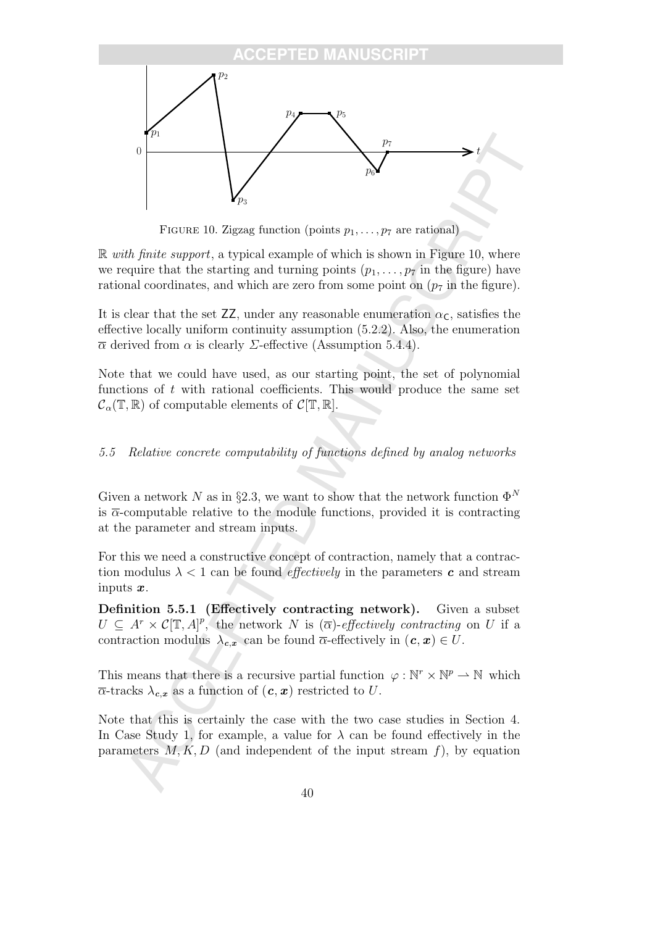

FIGURE 10. Zigzag function (points  $p_1, \ldots, p_7$  are rational)

 $\mathbb R$  with finite support, a typical example of which is shown in Figure 10, where we require that the starting and turning points  $(p_1, \ldots, p_7)$  in the figure) have rational coordinates, and which are zero from some point on  $(p_7$  in the figure).

It is clear that the set  $ZZ$ , under any reasonable enumeration  $\alpha_{\mathsf{C}}$ , satisfies the effective locally uniform continuity assumption (5.2.2). Also, the enumeration  $\overline{\alpha}$  derived from  $\alpha$  is clearly *Σ*-effective (Assumption 5.4.4).

Note that we could have used, as our starting point, the set of polynomial functions of  $t$  with rational coefficients. This would produce the same set  $\mathcal{C}_{\alpha}(\mathbb{T}, \mathbb{R})$  of computable elements of  $\mathcal{C}[\mathbb{T}, \mathbb{R}].$ 

### 5.5 Relative concrete computability of functions defined by analog networks

Given a network N as in §2.3, we want to show that the network function  $\Phi^N$ is  $\overline{\alpha}$ -computable relative to the module functions, provided it is contracting at the parameter and stream inputs.

For this we need a constructive concept of contraction, namely that a contraction modulus  $\lambda < 1$  can be found *effectively* in the parameters **c** and stream inputs  $\boldsymbol{x}$ .

Definition 5.5.1 (Effectively contracting network). Given a subset  $U \subseteq A^r \times C[\mathbb{T},A]^p$ , the network N is  $(\overline{\alpha})$ -effectively contracting on U if a contraction modulus  $\lambda_{c,x}$  can be found  $\overline{\alpha}$ -effectively in  $(c, x) \in U$ .

This means that there is a recursive partial function  $\varphi : \mathbb{N}^r \times \mathbb{N}^p \to \mathbb{N}$  which  $\overline{\alpha}$ -tracks  $\lambda_{c,x}$  as a function of  $(c, x)$  restricted to U.

Note that this is certainly the case with the two case studies in Section 4. In Case Study 1, for example, a value for  $\lambda$  can be found effectively in the parameters  $M, K, D$  (and independent of the input stream f), by equation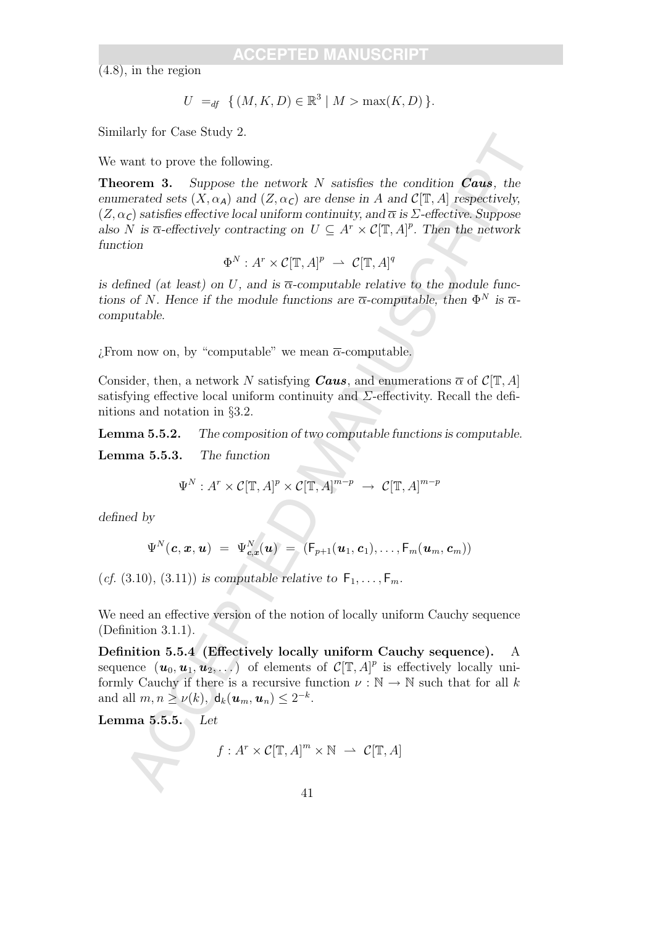(4.8), in the region

$$
U =_{df} \{ (M, K, D) \in \mathbb{R}^3 \mid M > \max(K, D) \}.
$$

Similarly for Case Study 2.

We want to prove the following.

any for Case Study 2.<br>
ware to following.<br>
ware the following external as suppose the network N satisfies the condition **Caus**, the<br>
network size  $(X, \alpha_A)$  and  $(Z, \alpha_C)$  are dense in A and  $C[\Gamma, A]$  respectively.<br>  $(\epsilon)$  sati **Theorem 3.** Suppose the network N satisfies the condition **Caus**, the enumerated sets  $(X, \alpha_A)$  and  $(Z, \alpha_C)$  are dense in A and  $\mathcal{C}[\mathbb{T}, A]$  respectively,  $(Z, \alpha_C)$  satisfies effective local uniform continuity, and  $\overline{\alpha}$  is  $\Sigma$ -effective. Suppose also N is  $\overline{\alpha}$ -effectively contracting on  $U \subseteq A^r \times C(\mathbb{T}, A)^p$ . Then the network function

$$
\Phi^N : A^r \times \mathcal{C}[\mathbb{T}, A]^p \ \rightharpoonup \ \mathcal{C}[\mathbb{T}, A]^q
$$

is defined (at least) on U, and is  $\overline{\alpha}$ -computable relative to the module functions of N. Hence if the module functions are  $\bar{\alpha}$ -computable, then  $\Phi^N$  is  $\bar{\alpha}$ computable.

 $\overline{c}$ . From now on, by "computable" we mean  $\overline{\alpha}$ -computable.

Consider, then, a network N satisfying **Caus**, and enumerations  $\overline{\alpha}$  of  $\mathcal{C}[\mathbb{T}, A]$ satisfying effective local uniform continuity and  $\Sigma$ -effectivity. Recall the definitions and notation in §3.2.

Lemma 5.5.2. The composition of two computable functions is computable.

Lemma 5.5.3. The function

$$
\Psi^N: A^r \times \mathcal{C}[\mathbb{T}, A]^p \times \mathcal{C}[\mathbb{T}, A]^{m-p} \rightarrow \mathcal{C}[\mathbb{T}, A]^{m-p}
$$

defined by

$$
\Psi^N(\boldsymbol{c}, \boldsymbol{x}, \boldsymbol{u}) \; = \; \Psi^N_{\boldsymbol{c}, \boldsymbol{x}}(\boldsymbol{u}) \; = \; (\mathsf{F}_{p+1}(\boldsymbol{u}_1, \boldsymbol{c}_1), \ldots, \mathsf{F}_{m}(\boldsymbol{u}_m, \boldsymbol{c}_m))
$$

(*cf.* (3.10), (3.11)) is computable relative to  $F_1, \ldots, F_m$ .

We need an effective version of the notion of locally uniform Cauchy sequence (Definition 3.1.1).

Definition 5.5.4 (Effectively locally uniform Cauchy sequence). A sequence  $(\boldsymbol{u}_0, \boldsymbol{u}_1, \boldsymbol{u}_2, \ldots)$  of elements of  $C[\mathbb{T}, A]^p$  is effectively locally uniformly Cauchy if there is a recursive function  $\nu : \mathbb{N} \to \mathbb{N}$  such that for all k and all  $m, n \ge \nu(k)$ ,  $d_k(\boldsymbol{u}_m, \boldsymbol{u}_n) \le 2^{-k}$ .

Lemma 5.5.5. Let

$$
f: A^r \times C[\mathbb{T}, A]^m \times \mathbb{N} \ \rightharpoonup \ C[\mathbb{T}, A]
$$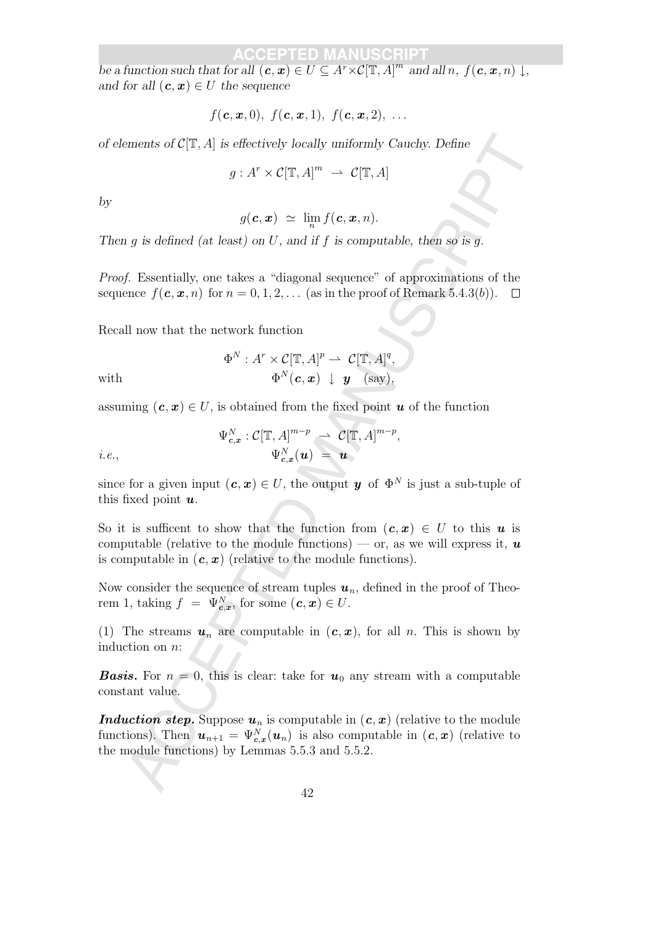be a function such that for all  $(c, x) \in U \subseteq A^r \times C[\mathbb{T}, A]^m$  and all n,  $f(c, x, n) \downarrow$ , and for all  $(c, x) \in U$  the sequence

$$
f(\boldsymbol{c},\boldsymbol{x},0),\ f(\boldsymbol{c},\boldsymbol{x},1),\ f(\boldsymbol{c},\boldsymbol{x},2),\ \ldots
$$

of elements of  $C[\mathbb{T}, A]$  is effectively locally uniformly Cauchy. Define

$$
g: A^r \times C[\mathbb{T}, A]^m \ \rightharpoonup \ C[\mathbb{T}, A]
$$

by

$$
g(\boldsymbol{c},\boldsymbol{x}) \ \simeq \ \lim_n f(\boldsymbol{c},\boldsymbol{x},n).
$$

Then g is defined (at least) on U, and if f is computable, then so is g.

Proof. Essentially, one takes a "diagonal sequence" of approximations of the sequence  $f(c, x, n)$  for  $n = 0, 1, 2, \ldots$  (as in the proof of Remark 5.4.3(b)).  $\Box$ 

Recall now that the network function

with 
$$
\Phi^N: A^r \times C[\mathbb{T}, A]^p \to C[\mathbb{T}, A]^q,
$$

$$
\Phi^N(\mathbf{c}, \mathbf{x}) \downarrow \mathbf{y} \quad \text{(say)},
$$

assuming  $(c, x) \in U$ , is obtained from the fixed point u of the function

$$
\Psi_{c,x}^N : \mathcal{C}[\mathbb{T},A]^{m-p} \ \rightharpoonup \ \mathcal{C}[\mathbb{T},A]^{m-p},
$$
  
*i.e.*, 
$$
\Psi_{c,x}^N(\boldsymbol{u}) = \boldsymbol{u}
$$

since for a given input  $(c, x) \in U$ , the output y of  $\Phi^N$  is just a sub-tuple of this fixed point  $u$ .

So it is sufficent to show that the function from  $(c, x) \in U$  to this u is computable (relative to the module functions) — or, as we will express it,  $\boldsymbol{u}$ is computable in  $(c, x)$  (relative to the module functions).

Now consider the sequence of stream tuples  $u_n$ , defined in the proof of Theorem 1, taking  $f = \Psi_{c,x}^N$ , for some  $(c, x) \in U$ .

(1) The streams  $u_n$  are computable in  $(c, x)$ , for all n. This is shown by induction on n:

**Basis.** For  $n = 0$ , this is clear: take for  $u_0$  any stream with a computable constant value.

contains of  $C(\mathbb{T}, A]$  is effectively locally uniformly Cauchy. Define<br>  $g: A^r \times C(\mathbb{T}, A]^m \to C(\mathbb{T}, A)$ <br>  $g(c, x) \simeq \lim_{\epsilon} f(c, x, n)$ .<br>
a is defined (at least) on U, and if f is computable, then so is g.<br>
f. Essentially, one tak **Induction step.** Suppose  $u_n$  is computable in  $(c, x)$  (relative to the module functions). Then  $\mathbf{u}_{n+1} = \Psi_{c,x}^{N}(\mathbf{u}_n)$  is also computable in  $(c, x)$  (relative to the module functions) by Lemmas 5.5.3 and 5.5.2.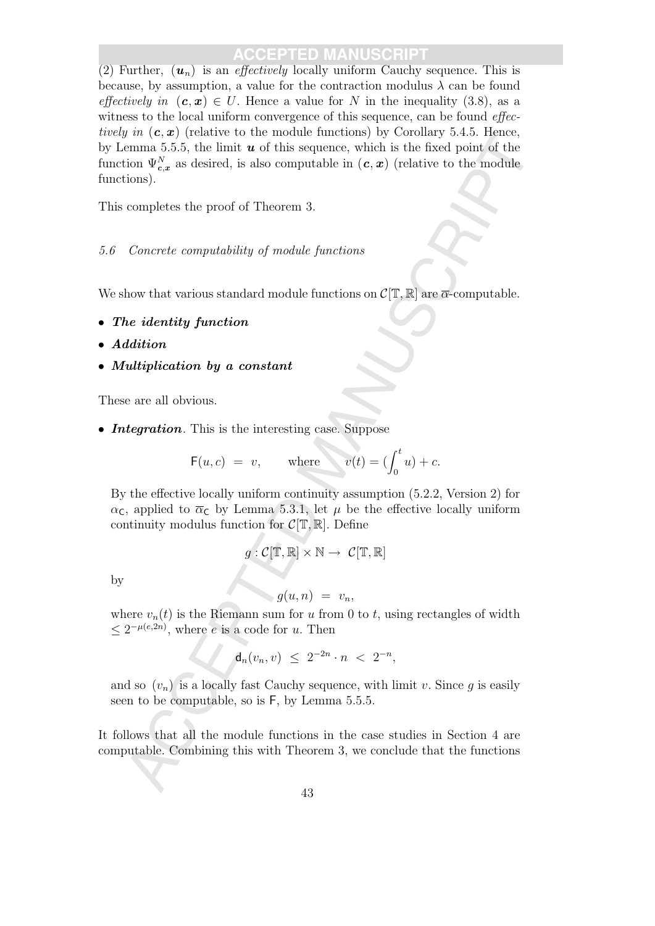*y* at  $(x, y)$  tetanive to the modula unitarial of the sequence, which is the disord point of the emmin 5.5.5, the limit *u* of this sequence, which is the disord point of the limit).<br>
Leaving  $\Psi_{x, y}^{\lambda}$  as desired, is (2) Further,  $(\mathbf{u}_n)$  is an *effectively* locally uniform Cauchy sequence. This is because, by assumption, a value for the contraction modulus  $\lambda$  can be found effectively in  $(c, x) \in U$ . Hence a value for N in the inequality (3.8), as a witness to the local uniform convergence of this sequence, can be found *effec*tively in  $(c, x)$  (relative to the module functions) by Corollary 5.4.5. Hence, by Lemma 5.5.5, the limit  $u$  of this sequence, which is the fixed point of the function  $\Psi^N_{c,x}$  as desired, is also computable in  $(c, x)$  (relative to the module functions).

This completes the proof of Theorem 3.

### 5.6 Concrete computability of module functions

We show that various standard module functions on  $\mathcal{C}[\mathbb{T}, \mathbb{R}]$  are  $\overline{\alpha}$ -computable.

- The identity function
- Addition
- Multiplication by a constant

These are all obvious.

• Integration. This is the interesting case. Suppose

$$
\mathsf{F}(u, c) = v, \quad \text{where} \quad v(t) = \left(\int_0^t u\right) + c.
$$

By the effective locally uniform continuity assumption (5.2.2, Version 2) for  $\alpha_{\mathsf{C}}$ , applied to  $\overline{\alpha}_{\mathsf{C}}$  by Lemma 5.3.1, let  $\mu$  be the effective locally uniform continuity modulus function for  $\mathcal{C}[\mathbb{T}, \mathbb{R}]$ . Define

$$
g: \mathcal{C}[\mathbb{T},\mathbb{R}]\times \mathbb{N} \to \mathcal{C}[\mathbb{T},\mathbb{R}]
$$

by

$$
g(u,n) = v_n,
$$

where  $v_n(t)$  is the Riemann sum for u from 0 to t, using rectangles of width  $\leq 2^{-\mu(e,2n)}$ , where *e* is a code for *u*. Then

$$
d_n(v_n, v) \leq 2^{-2n} \cdot n \ < \ 2^{-n},
$$

and so  $(v_n)$  is a locally fast Cauchy sequence, with limit v. Since g is easily seen to be computable, so is F, by Lemma 5.5.5.

It follows that all the module functions in the case studies in Section 4 are computable. Combining this with Theorem 3, we conclude that the functions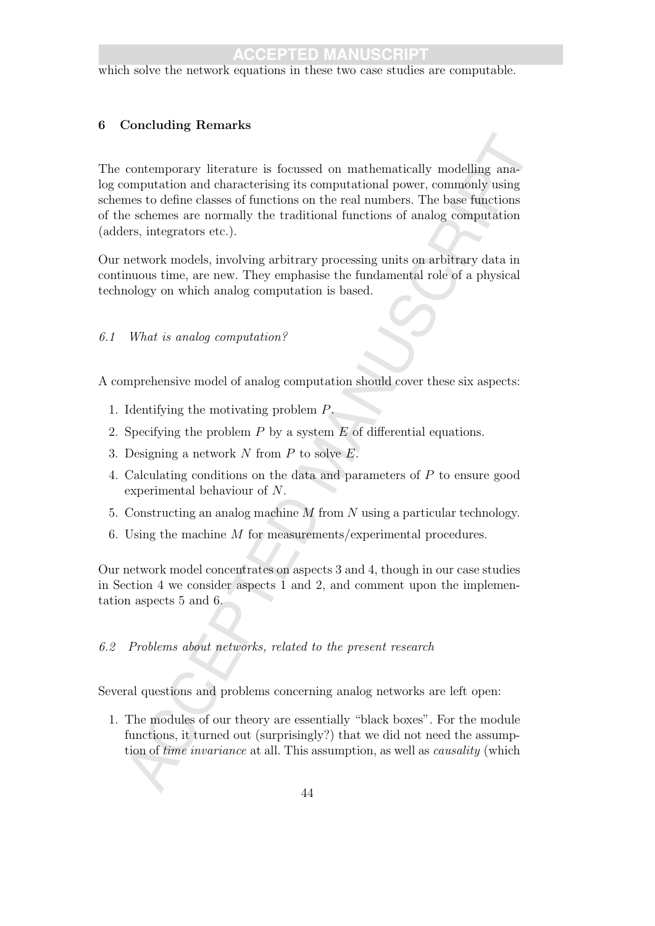which solve the network equations in these two case studies are computable.

### 6 Concluding Remarks

contemporary literature is focussed on mathematically modelling anamonputation and characterising its computational power, commonly using<br>eas to define classes of functions on the real numbers. The base functions<br>exchense The contemporary literature is focussed on mathematically modelling analog computation and characterising its computational power, commonly using schemes to define classes of functions on the real numbers. The base functions of the schemes are normally the traditional functions of analog computation (adders, integrators etc.).

Our network models, involving arbitrary processing units on arbitrary data in continuous time, are new. They emphasise the fundamental role of a physical technology on which analog computation is based.

### 6.1 What is analog computation?

A comprehensive model of analog computation should cover these six aspects:

- 1. Identifying the motivating problem P.
- 2. Specifying the problem  $P$  by a system  $E$  of differential equations.
- 3. Designing a network  $N$  from  $P$  to solve  $E$ .
- 4. Calculating conditions on the data and parameters of P to ensure good experimental behaviour of N.
- 5. Constructing an analog machine M from N using a particular technology.
- 6. Using the machine M for measurements/experimental procedures.

Our network model concentrates on aspects 3 and 4, though in our case studies in Section 4 we consider aspects 1 and 2, and comment upon the implementation aspects 5 and 6.

### 6.2 Problems about networks, related to the present research

Several questions and problems concerning analog networks are left open:

1. The modules of our theory are essentially "black boxes". For the module functions, it turned out (surprisingly?) that we did not need the assumption of time invariance at all. This assumption, as well as causality (which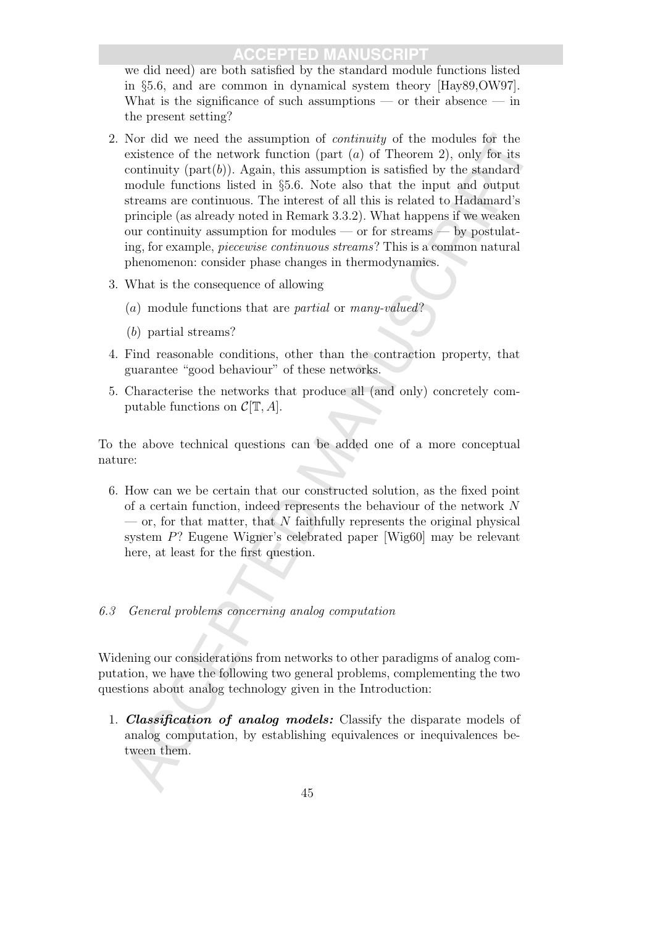we did need) are both satisfied by the standard module functions listed in §5.6, and are common in dynamical system theory [Hay89,OW97]. What is the significance of such assumptions — or their absence — in the present setting?

- Nor did we need the assumption of contravity of the modules for the contrinuity of the modules from the modules from the contrinuity (part (a) of Theorem 2), only for its contrinuity (part (b). Again, this assumption is s 2. Nor did we need the assumption of continuity of the modules for the existence of the network function (part  $(a)$  of Theorem 2), only for its continuity (part $(b)$ ). Again, this assumption is satisfied by the standard module functions listed in §5.6. Note also that the input and output streams are continuous. The interest of all this is related to Hadamard's principle (as already noted in Remark 3.3.2). What happens if we weaken our continuity assumption for modules — or for streams — by postulating, for example, piecewise continuous streams? This is a common natural phenomenon: consider phase changes in thermodynamics.
- 3. What is the consequence of allowing
	- (a) module functions that are partial or many-valued?
	- (b) partial streams?
- 4. Find reasonable conditions, other than the contraction property, that guarantee "good behaviour" of these networks.
- 5. Characterise the networks that produce all (and only) concretely computable functions on  $\mathcal{C}[\mathbb{T}, A]$ .

To the above technical questions can be added one of a more conceptual nature:

6. How can we be certain that our constructed solution, as the fixed point of a certain function, indeed represents the behaviour of the network N  $\sim$  or, for that matter, that N faithfully represents the original physical system P? Eugene Wigner's celebrated paper [Wig60] may be relevant here, at least for the first question.

### 6.3 General problems concerning analog computation

Widening our considerations from networks to other paradigms of analog computation, we have the following two general problems, complementing the two questions about analog technology given in the Introduction:

1. Classification of analog models: Classify the disparate models of analog computation, by establishing equivalences or inequivalences between them.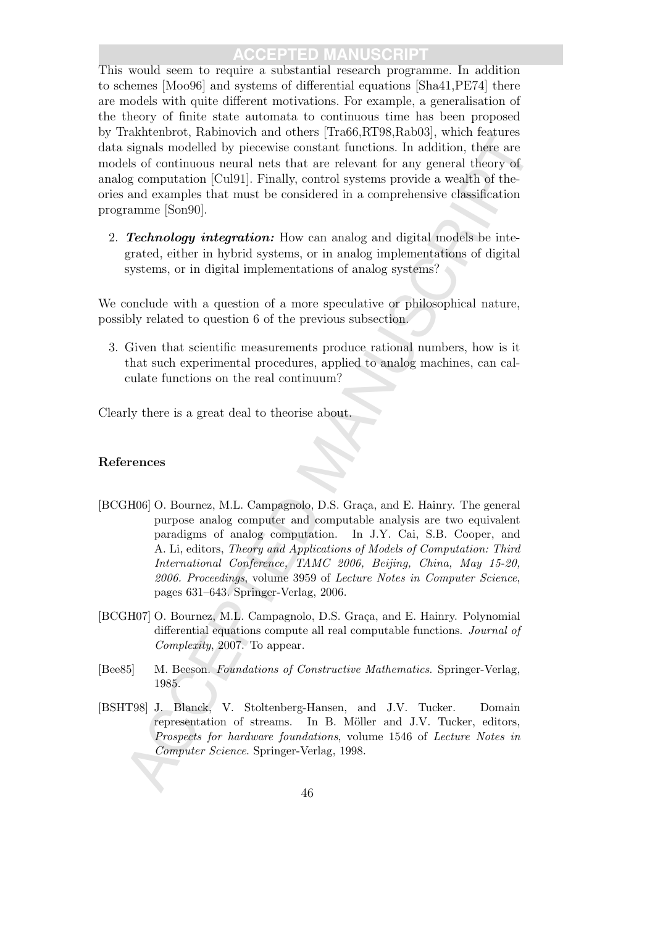This would seem to require a substantial research programme. In addition to schemes [Moo96] and systems of differential equations [Sha41,PE74] there are models with quite different motivations. For example, a generalisation of the theory of finite state automata to continuous time has been proposed by Trakhtenbrot, Rabinovich and others [Tra66,RT98,Rab03], which features data signals modelled by piecewise constant functions. In addition, there are models of continuous neural nets that are relevant for any general theory of analog computation [Cul91]. Finally, control systems provide a wealth of theories and examples that must be considered in a comprehensive classification programme [Son90].

2. **Technology integration:** How can analog and digital models be integrated, either in hybrid systems, or in analog implementations of digital systems, or in digital implementations of analog systems?

We conclude with a question of a more speculative or philosophical nature, possibly related to question 6 of the previous subsection.

3. Given that scientific measurements produce rational numbers, how is it that such experimental procedures, applied to analog machines, can calculate functions on the real continuum?

Clearly there is a great deal to theorise about.

### References

- mannencoe, namatomean into context practices. The same standard signals modelled by piecewise constant functions. In soldition, there are east of continuous neural are state at each context for any general theory of a gen [BCGH06] O. Bournez, M.L. Campagnolo, D.S. Graça, and E. Hainry. The general purpose analog computer and computable analysis are two equivalent paradigms of analog computation. In J.Y. Cai, S.B. Cooper, and A. Li, editors, Theory and Applications of Models of Computation: Third International Conference, TAMC 2006, Beijing, China, May 15-20, 2006. Proceedings, volume 3959 of Lecture Notes in Computer Science, pages 631–643. Springer-Verlag, 2006.
- [BCGH07] O. Bournez, M.L. Campagnolo, D.S. Graça, and E. Hainry. Polynomial differential equations compute all real computable functions. Journal of Complexity, 2007. To appear.
- [Bee85] M. Beeson. Foundations of Constructive Mathematics. Springer-Verlag, 1985.
- [BSHT98] J. Blanck, V. Stoltenberg-Hansen, and J.V. Tucker. Domain representation of streams. In B. Möller and J.V. Tucker, editors, Prospects for hardware foundations, volume 1546 of Lecture Notes in Computer Science. Springer-Verlag, 1998.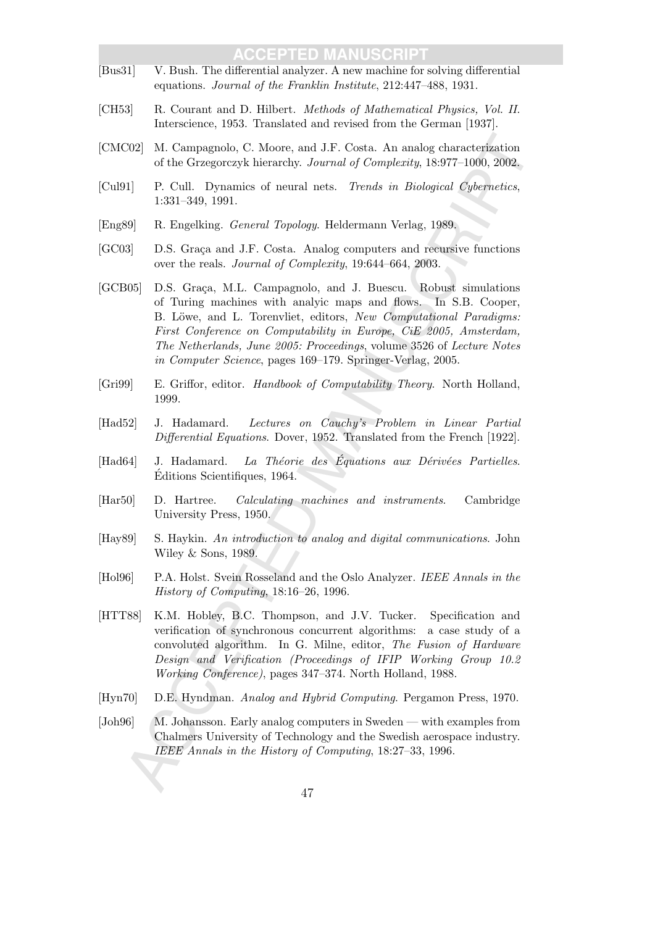- [Bus31] V. Bush. The differential analyzer. A new machine for solving differential equations. Journal of the Franklin Institute, 212:447–488, 1931.
- [CH53] R. Courant and D. Hilbert. Methods of Mathematical Physics, Vol. II. Interscience, 1953. Translated and revised from the German [1937].
- [CMC02] M. Campagnolo, C. Moore, and J.F. Costa. An analog characterization of the Grzegorczyk hierarchy. Journal of Complexity, 18:977–1000, 2002.
- [Cul91] P. Cull. Dynamics of neural nets. Trends in Biological Cybernetics, 1:331–349, 1991.
- [Eng89] R. Engelking. General Topology. Heldermann Verlag, 1989.
- [GC03] D.S. Graca and J.F. Costa. Analog computers and recursive functions over the reals. Journal of Complexity, 19:644–664, 2003.
- 202] M. Compagnolo, C. Moore, and J.F. Costa. An analog characterization of the Greegoveyk bierarchy. Journal of Completing, 18:377–1000, 2002, <br>
1 T. Cull. Dynamics of neural nets. Treads in Biological Coherentics,<br>
1-31 [GCB05] D.S. Graça, M.L. Campagnolo, and J. Buescu. Robust simulations of Turing machines with analyic maps and flows. In S.B. Cooper, B. Löwe, and L. Torenvliet, editors, New Computational Paradigms: First Conference on Computability in Europe, CiE 2005, Amsterdam, The Netherlands, June 2005: Proceedings, volume 3526 of Lecture Notes in Computer Science, pages 169–179. Springer-Verlag, 2005.
- [Gri99] E. Griffor, editor. Handbook of Computability Theory. North Holland, 1999.
- [Had52] J. Hadamard. Lectures on Cauchy's Problem in Linear Partial Differential Equations. Dover, 1952. Translated from the French [1922].
- $[Had64]$  J. Hadamard. La Théorie des Équations aux Dérivées Partielles.  $Éditions$  Scientifiques, 1964.
- [Har50] D. Hartree. Calculating machines and instruments. Cambridge University Press, 1950.
- [Hay89] S. Haykin. An introduction to analog and digital communications. John Wiley & Sons, 1989.
- [Hol96] P.A. Holst. Svein Rosseland and the Oslo Analyzer. IEEE Annals in the History of Computing, 18:16–26, 1996.
- [HTT88] K.M. Hobley, B.C. Thompson, and J.V. Tucker. Specification and verification of synchronous concurrent algorithms: a case study of a convoluted algorithm. In G. Milne, editor, The Fusion of Hardware Design and Verification (Proceedings of IFIP Working Group 10.2 Working Conference), pages 347–374. North Holland, 1988.
- [Hyn70] D.E. Hyndman. Analog and Hybrid Computing. Pergamon Press, 1970.
- [Joh96] M. Johansson. Early analog computers in Sweden with examples from Chalmers University of Technology and the Swedish aerospace industry. IEEE Annals in the History of Computing, 18:27–33, 1996.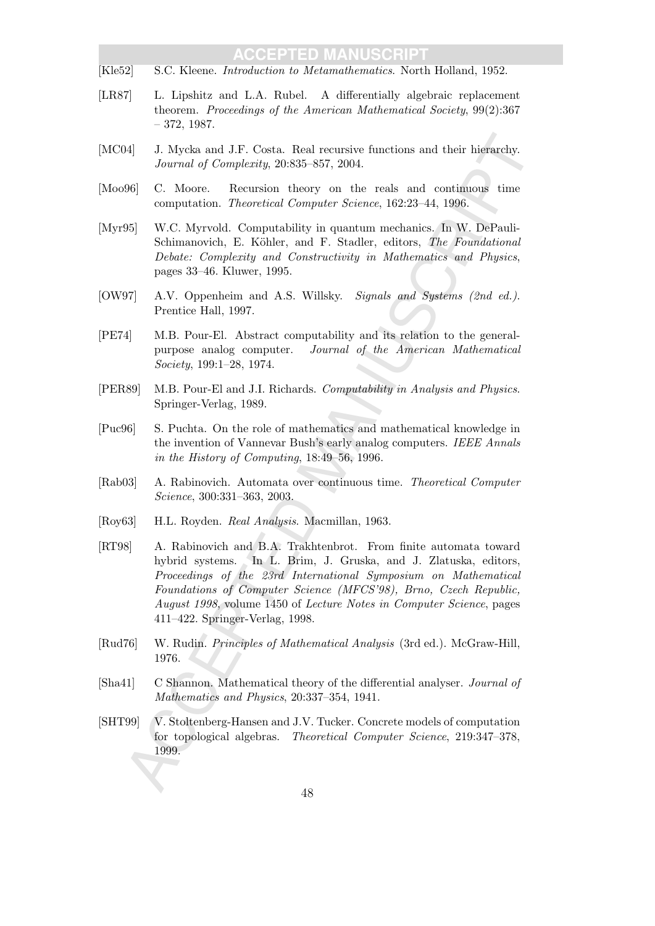- [Kle52] S.C. Kleene. Introduction to Metamathematics. North Holland, 1952.
- [LR87] L. Lipshitz and L.A. Rubel. A differentially algebraic replacement theorem. Proceedings of the American Mathematical Society, 99(2):367 – 372, 1987.
- [MC04] J. Mycka and J.F. Costa. Real recursive functions and their hierarchy. Journal of Complexity, 20:835–857, 2004.
- [Moo96] C. Moore. Recursion theory on the reals and continuous time computation. Theoretical Computer Science, 162:23–44, 1996.
- [Myr95] W.C. Myrvold. Computability in quantum mechanics. In W. DePauli-Schimanovich, E. Köhler, and F. Stadler, editors, The Foundational Debate: Complexity and Constructivity in Mathematics and Physics, pages 33–46. Kluwer, 1995.
- [OW97] A.V. Oppenheim and A.S. Willsky. Signals and Systems (2nd ed.). Prentice Hall, 1997.
- [PE74] M.B. Pour-El. Abstract computability and its relation to the generalpurpose analog computer. Journal of the American Mathematical Society, 199:1–28, 1974.
- [PER89] M.B. Pour-El and J.I. Richards. Computability in Analysis and Physics. Springer-Verlag, 1989.
- [Puc96] S. Puchta. On the role of mathematics and mathematical knowledge in the invention of Vannevar Bush's early analog computers. IEEE Annals in the History of Computing, 18:49–56, 1996.
- [Rab03] A. Rabinovich. Automata over continuous time. Theoretical Computer Science, 300:331–363, 2003.
- [Roy63] H.L. Royden. Real Analysis. Macmillan, 1963.
- 34 J. Myckia and J.F. Costa. Real recursive functions and their hierarchy.<br>
Journal of Completatin, 20:835 857, 2004.<br>
166 C. Moore. Recension theory on the reals and continuous time<br>
computation. The<br>ortical Computer's c [RT98] A. Rabinovich and B.A. Trakhtenbrot. From finite automata toward hybrid systems. In L. Brim, J. Gruska, and J. Zlatuska, editors, Proceedings of the 23rd International Symposium on Mathematical Foundations of Computer Science (MFCS'98), Brno, Czech Republic, August 1998, volume 1450 of Lecture Notes in Computer Science, pages 411–422. Springer-Verlag, 1998.
- [Rud76] W. Rudin. Principles of Mathematical Analysis (3rd ed.). McGraw-Hill, 1976.
- [Sha41] C Shannon. Mathematical theory of the differential analyser. Journal of Mathematics and Physics, 20:337–354, 1941.
- [SHT99] V. Stoltenberg-Hansen and J.V. Tucker. Concrete models of computation for topological algebras. Theoretical Computer Science, 219:347–378, 1999.